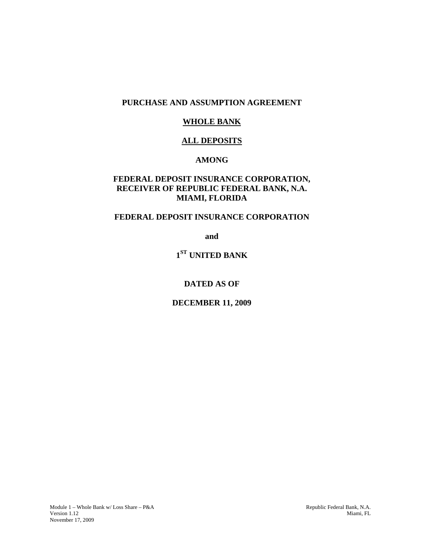### **PURCHASE AND ASSUMPTION AGREEMENT**

### **WHOLE BANK**

## **ALL DEPOSITS**

## **AMONG**

### **FEDERAL DEPOSIT INSURANCE CORPORATION, RECEIVER OF REPUBLIC FEDERAL BANK, N.A. MIAMI, FLORIDA**

### **FEDERAL DEPOSIT INSURANCE CORPORATION**

**and** 

**1ST UNITED BANK** 

**DATED AS OF**

**DECEMBER 11, 2009**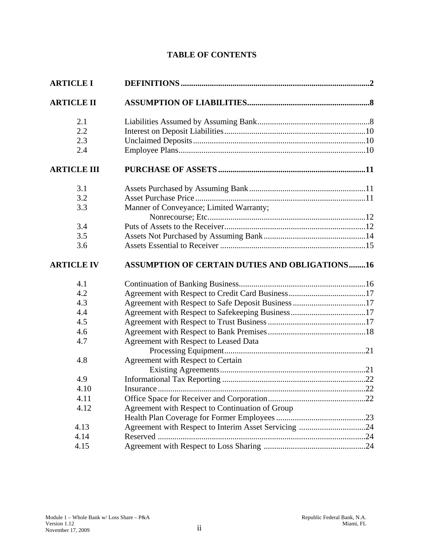# **TABLE OF CONTENTS**

| <b>ARTICLE I</b>   |                                                       |  |
|--------------------|-------------------------------------------------------|--|
| <b>ARTICLE II</b>  |                                                       |  |
| 2.1                |                                                       |  |
| 2.2                |                                                       |  |
| 2.3                |                                                       |  |
| 2.4                |                                                       |  |
| <b>ARTICLE III</b> |                                                       |  |
| 3.1                |                                                       |  |
| 3.2                |                                                       |  |
| 3.3                | Manner of Conveyance; Limited Warranty;               |  |
|                    |                                                       |  |
| 3.4                |                                                       |  |
| 3.5                |                                                       |  |
| 3.6                |                                                       |  |
| <b>ARTICLE IV</b>  | <b>ASSUMPTION OF CERTAIN DUTIES AND OBLIGATIONS16</b> |  |
| 4.1                |                                                       |  |
| 4.2                |                                                       |  |
| 4.3                |                                                       |  |
| 4.4                |                                                       |  |
| 4.5                |                                                       |  |
| 4.6                |                                                       |  |
| 4.7                | Agreement with Respect to Leased Data                 |  |
|                    |                                                       |  |
| 4.8                | Agreement with Respect to Certain                     |  |
|                    |                                                       |  |
| 4.9                |                                                       |  |
| 4.10               |                                                       |  |
| 4.11               |                                                       |  |
| 4.12               | Agreement with Respect to Continuation of Group       |  |
|                    |                                                       |  |
| 4.13               | Agreement with Respect to Interim Asset Servicing 24  |  |
| 4.14               |                                                       |  |
| 4.15               |                                                       |  |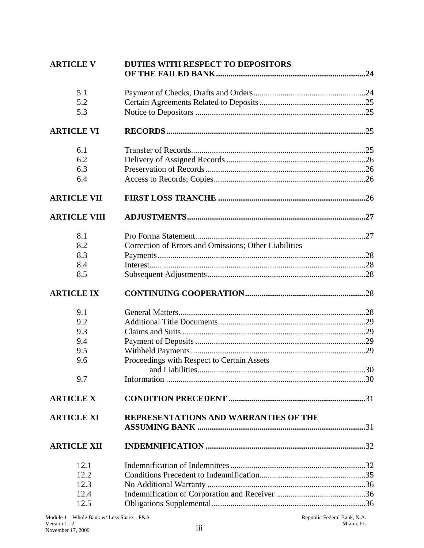| <b>ARTICLE V</b>    | DUTIES WITH RESPECT TO DEPOSITORS                     |  |
|---------------------|-------------------------------------------------------|--|
|                     |                                                       |  |
| 5.1                 |                                                       |  |
| 5.2                 |                                                       |  |
| 5.3                 |                                                       |  |
| <b>ARTICLE VI</b>   |                                                       |  |
| 6.1                 |                                                       |  |
| 6.2                 |                                                       |  |
| 6.3                 |                                                       |  |
| 6.4                 |                                                       |  |
| <b>ARTICLE VII</b>  |                                                       |  |
| <b>ARTICLE VIII</b> |                                                       |  |
| 8.1                 |                                                       |  |
| 8.2                 | Correction of Errors and Omissions; Other Liabilities |  |
| 8.3                 |                                                       |  |
| 8.4                 |                                                       |  |
| 8.5                 |                                                       |  |
| <b>ARTICLE IX</b>   |                                                       |  |
| 9.1                 |                                                       |  |
| 9.2                 |                                                       |  |
| 9.3                 |                                                       |  |
| 9.4                 |                                                       |  |
| 9.5                 |                                                       |  |
| 9.6                 | Proceedings with Respect to Certain Assets            |  |
|                     |                                                       |  |
| 9.7                 |                                                       |  |
| <b>ARTICLE X</b>    |                                                       |  |
| <b>ARTICLE XI</b>   | REPRESENTATIONS AND WARRANTIES OF THE                 |  |
| <b>ARTICLE XII</b>  |                                                       |  |
| 12.1                |                                                       |  |
| 12.2                |                                                       |  |
| 12.3                |                                                       |  |
| 12.4                |                                                       |  |
| 12.5                |                                                       |  |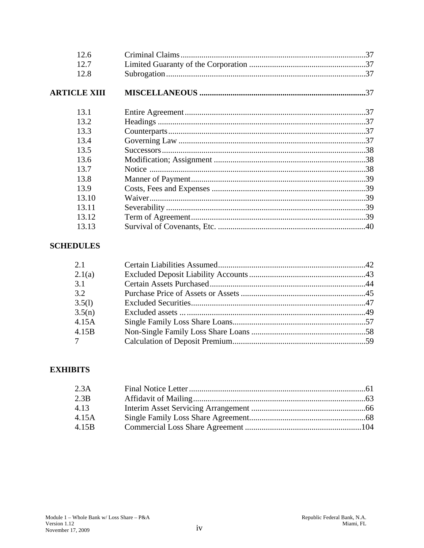| 12.6                |  |
|---------------------|--|
| 12.7                |  |
| 12.8                |  |
| <b>ARTICLE XIII</b> |  |
| 13.1                |  |
| 13.2                |  |
| 13.3                |  |
| 13.4                |  |
| 13.5                |  |
| 13.6                |  |
| 13.7                |  |
| 13.8                |  |
| 13.9                |  |
| 13.10               |  |
| 13.11               |  |
| 13.12               |  |
| 13.13               |  |
|                     |  |

## **SCHEDULES**

| 2.1    |  |
|--------|--|
| 2.1(a) |  |
| 3.1    |  |
| 3.2    |  |
| 3.5(l) |  |
| 3.5(n) |  |
| 4.15A  |  |
| 4.15B  |  |
| 7      |  |

# **EXHIBITS**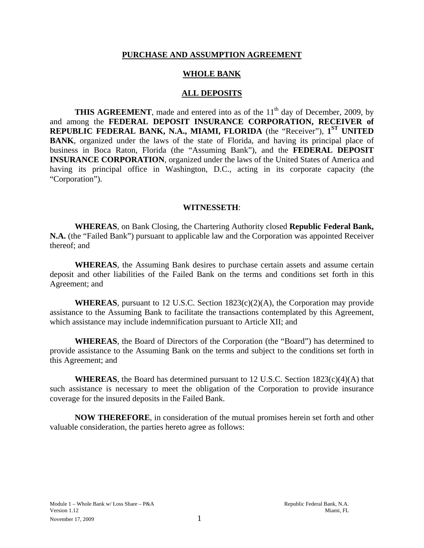#### **PURCHASE AND ASSUMPTION AGREEMENT**

#### **WHOLE BANK**

#### **ALL DEPOSITS**

**THIS AGREEMENT**, made and entered into as of the 11<sup>th</sup> day of December, 2009, by and among the **FEDERAL DEPOSIT INSURANCE CORPORATION, RECEIVER of REPUBLIC FEDERAL BANK, N.A., MIAMI, FLORIDA** (the "Receiver"), **1ST UNITED BANK**, organized under the laws of the state of Florida, and having its principal place of business in Boca Raton, Florida (the "Assuming Bank"), and the **FEDERAL DEPOSIT INSURANCE CORPORATION**, organized under the laws of the United States of America and having its principal office in Washington, D.C., acting in its corporate capacity (the "Corporation").

#### **WITNESSETH**:

**WHEREAS**, on Bank Closing, the Chartering Authority closed **Republic Federal Bank, N.A.** (the "Failed Bank") pursuant to applicable law and the Corporation was appointed Receiver thereof; and

 **WHEREAS**, the Assuming Bank desires to purchase certain assets and assume certain deposit and other liabilities of the Failed Bank on the terms and conditions set forth in this Agreement; and

**WHEREAS**, pursuant to 12 U.S.C. Section 1823(c)(2)(A), the Corporation may provide assistance to the Assuming Bank to facilitate the transactions contemplated by this Agreement, which assistance may include indemnification pursuant to Article XII; and

**WHEREAS**, the Board of Directors of the Corporation (the "Board") has determined to provide assistance to the Assuming Bank on the terms and subject to the conditions set forth in this Agreement; and

**WHEREAS**, the Board has determined pursuant to 12 U.S.C. Section 1823(c)(4)(A) that such assistance is necessary to meet the obligation of the Corporation to provide insurance coverage for the insured deposits in the Failed Bank.

 **NOW THEREFORE**, in consideration of the mutual promises herein set forth and other valuable consideration, the parties hereto agree as follows: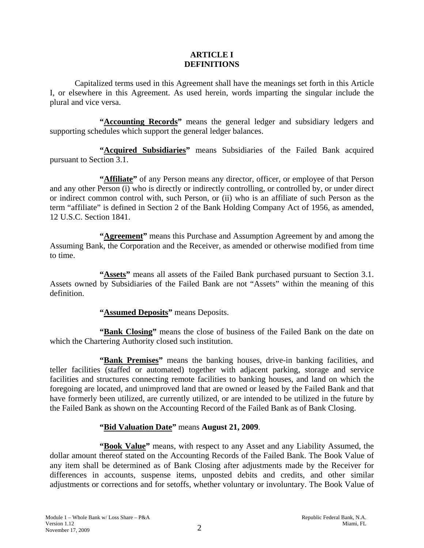### **ARTICLE I DEFINITIONS**

<span id="page-5-1"></span><span id="page-5-0"></span>Capitalized terms used in this Agreement shall have the meanings set forth in this Article I, or elsewhere in this Agreement. As used herein, words imparting the singular include the plural and vice versa.

**"Accounting Records"** means the general ledger and subsidiary ledgers and supporting schedules which support the general ledger balances.

**"Acquired Subsidiaries"** means Subsidiaries of the Failed Bank acquired pursuant to Section 3.1.

"**Affiliate**" of any Person means any director, officer, or employee of that Person and any other Person (i) who is directly or indirectly controlling, or controlled by, or under direct or indirect common control with, such Person, or (ii) who is an affiliate of such Person as the term "affiliate" is defined in Section 2 of the Bank Holding Company Act of 1956, as amended, 12 U.S.C. Section 1841.

**"Agreement"** means this Purchase and Assumption Agreement by and among the Assuming Bank, the Corporation and the Receiver, as amended or otherwise modified from time to time.

**"Assets"** means all assets of the Failed Bank purchased pursuant to Section 3.1. Assets owned by Subsidiaries of the Failed Bank are not "Assets" within the meaning of this definition.

**"Assumed Deposits"** means Deposits.

**"Bank Closing"** means the close of business of the Failed Bank on the date on which the Chartering Authority closed such institution.

**"Bank Premises"** means the banking houses, drive-in banking facilities, and teller facilities (staffed or automated) together with adjacent parking, storage and service facilities and structures connecting remote facilities to banking houses, and land on which the foregoing are located, and unimproved land that are owned or leased by the Failed Bank and that have formerly been utilized, are currently utilized, or are intended to be utilized in the future by the Failed Bank as shown on the Accounting Record of the Failed Bank as of Bank Closing.

## **"Bid Valuation Date"** means **August 21, 2009**.

**"Book Value"** means, with respect to any Asset and any Liability Assumed, the dollar amount thereof stated on the Accounting Records of the Failed Bank. The Book Value of any item shall be determined as of Bank Closing after adjustments made by the Receiver for differences in accounts, suspense items, unposted debits and credits, and other similar adjustments or corrections and for setoffs, whether voluntary or involuntary. The Book Value of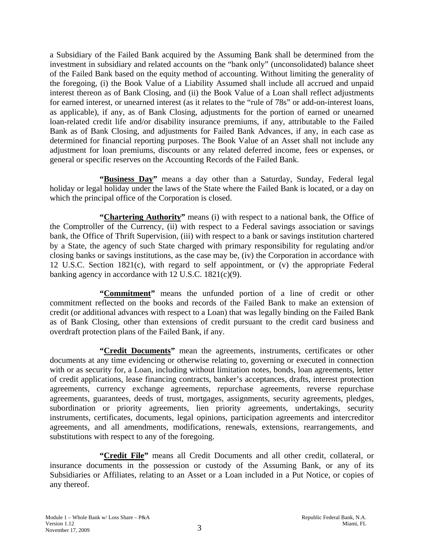<span id="page-6-0"></span>a Subsidiary of the Failed Bank acquired by the Assuming Bank shall be determined from the investment in subsidiary and related accounts on the "bank only" (unconsolidated) balance sheet of the Failed Bank based on the equity method of accounting. Without limiting the generality of the foregoing, (i) the Book Value of a Liability Assumed shall include all accrued and unpaid interest thereon as of Bank Closing, and (ii) the Book Value of a Loan shall reflect adjustments for earned interest, or unearned interest (as it relates to the "rule of 78s" or add-on-interest loans, as applicable), if any, as of Bank Closing, adjustments for the portion of earned or unearned loan-related credit life and/or disability insurance premiums, if any, attributable to the Failed Bank as of Bank Closing, and adjustments for Failed Bank Advances, if any, in each case as determined for financial reporting purposes. The Book Value of an Asset shall not include any adjustment for loan premiums, discounts or any related deferred income, fees or expenses, or general or specific reserves on the Accounting Records of the Failed Bank.

"Business Day" means a day other than a Saturday, Sunday, Federal legal holiday or legal holiday under the laws of the State where the Failed Bank is located, or a day on which the principal office of the Corporation is closed.

**"Chartering Authority"** means (i) with respect to a national bank, the Office of the Comptroller of the Currency, (ii) with respect to a Federal savings association or savings bank, the Office of Thrift Supervision, (iii) with respect to a bank or savings institution chartered by a State, the agency of such State charged with primary responsibility for regulating and/or closing banks or savings institutions, as the case may be, (iv) the Corporation in accordance with 12 U.S.C. Section 1821(c), with regard to self appointment, or (v) the appropriate Federal banking agency in accordance with 12 U.S.C. 1821(c)(9).

**"Commitment"** means the unfunded portion of a line of credit or other commitment reflected on the books and records of the Failed Bank to make an extension of credit (or additional advances with respect to a Loan) that was legally binding on the Failed Bank as of Bank Closing, other than extensions of credit pursuant to the credit card business and overdraft protection plans of the Failed Bank, if any.

"**Credit Documents**" mean the agreements, instruments, certificates or other documents at any time evidencing or otherwise relating to, governing or executed in connection with or as security for, a Loan, including without limitation notes, bonds, loan agreements, letter of credit applications, lease financing contracts, banker's acceptances, drafts, interest protection agreements, currency exchange agreements, repurchase agreements, reverse repurchase agreements, guarantees, deeds of trust, mortgages, assignments, security agreements, pledges, subordination or priority agreements, lien priority agreements, undertakings, security instruments, certificates, documents, legal opinions, participation agreements and intercreditor agreements, and all amendments, modifications, renewals, extensions, rearrangements, and substitutions with respect to any of the foregoing.

**"Credit File"** means all Credit Documents and all other credit, collateral, or insurance documents in the possession or custody of the Assuming Bank, or any of its Subsidiaries or Affiliates, relating to an Asset or a Loan included in a Put Notice, or copies of any thereof.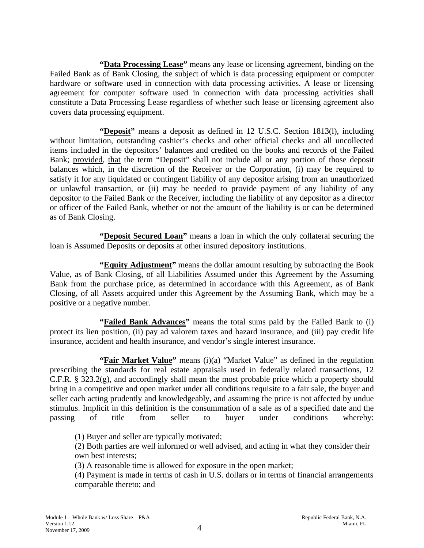<span id="page-7-0"></span> **"Data Processing Lease"** means any lease or licensing agreement, binding on the Failed Bank as of Bank Closing, the subject of which is data processing equipment or computer hardware or software used in connection with data processing activities. A lease or licensing agreement for computer software used in connection with data processing activities shall constitute a Data Processing Lease regardless of whether such lease or licensing agreement also covers data processing equipment.

**"Deposit"** means a deposit as defined in 12 U.S.C. Section 1813(l), including without limitation, outstanding cashier's checks and other official checks and all uncollected items included in the depositors' balances and credited on the books and records of the Failed Bank; provided, that the term "Deposit" shall not include all or any portion of those deposit balances which, in the discretion of the Receiver or the Corporation, (i) may be required to satisfy it for any liquidated or contingent liability of any depositor arising from an unauthorized or unlawful transaction, or (ii) may be needed to provide payment of any liability of any depositor to the Failed Bank or the Receiver, including the liability of any depositor as a director or officer of the Failed Bank, whether or not the amount of the liability is or can be determined as of Bank Closing.

**"Deposit Secured Loan"** means a loan in which the only collateral securing the loan is Assumed Deposits or deposits at other insured depository institutions.

**"Equity Adjustment"** means the dollar amount resulting by subtracting the Book Value, as of Bank Closing, of all Liabilities Assumed under this Agreement by the Assuming Bank from the purchase price, as determined in accordance with this Agreement, as of Bank Closing, of all Assets acquired under this Agreement by the Assuming Bank, which may be a positive or a negative number.

**"Failed Bank Advances"** means the total sums paid by the Failed Bank to (i) protect its lien position, (ii) pay ad valorem taxes and hazard insurance, and (iii) pay credit life insurance, accident and health insurance, and vendor's single interest insurance.

**"Fair Market Value"** means (i)(a) "Market Value" as defined in the regulation prescribing the standards for real estate appraisals used in federally related transactions, 12 C.F.R. § 323.2(g), and accordingly shall mean the most probable price which a property should bring in a competitive and open market under all conditions requisite to a fair sale, the buyer and seller each acting prudently and knowledgeably, and assuming the price is not affected by undue stimulus. Implicit in this definition is the consummation of a sale as of a specified date and the passing of title from seller to buyer under conditions whereby:

(1) Buyer and seller are typically motivated;

(2) Both parties are well informed or well advised, and acting in what they consider their own best interests;

(3) A reasonable time is allowed for exposure in the open market;

(4) Payment is made in terms of cash in U.S. dollars or in terms of financial arrangements comparable thereto; and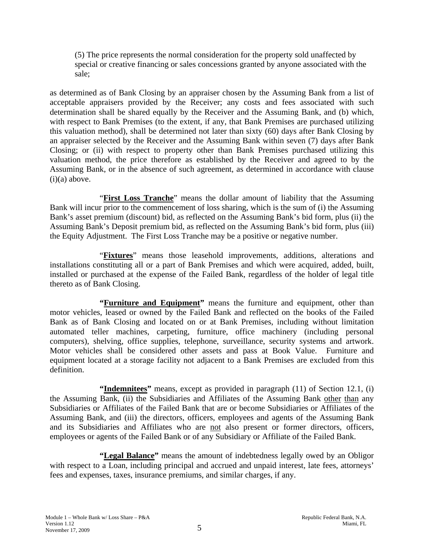(5) The price represents the normal consideration for the property sold unaffected by special or creative financing or sales concessions granted by anyone associated with the sale;

as determined as of Bank Closing by an appraiser chosen by the Assuming Bank from a list of acceptable appraisers provided by the Receiver; any costs and fees associated with such determination shall be shared equally by the Receiver and the Assuming Bank, and (b) which, with respect to Bank Premises (to the extent, if any, that Bank Premises are purchased utilizing this valuation method), shall be determined not later than sixty (60) days after Bank Closing by an appraiser selected by the Receiver and the Assuming Bank within seven (7) days after Bank Closing; or (ii) with respect to property other than Bank Premises purchased utilizing this valuation method, the price therefore as established by the Receiver and agreed to by the Assuming Bank, or in the absence of such agreement, as determined in accordance with clause  $(i)(a)$  above.

"**First Loss Tranche**" means the dollar amount of liability that the Assuming Bank will incur prior to the commencement of loss sharing, which is the sum of (i) the Assuming Bank's asset premium (discount) bid, as reflected on the Assuming Bank's bid form, plus (ii) the Assuming Bank's Deposit premium bid, as reflected on the Assuming Bank's bid form, plus (iii) the Equity Adjustment. The First Loss Tranche may be a positive or negative number.

"**Fixtures**" means those leasehold improvements, additions, alterations and installations constituting all or a part of Bank Premises and which were acquired, added, built, installed or purchased at the expense of the Failed Bank, regardless of the holder of legal title thereto as of Bank Closing.

"**Furniture and Equipment**" means the furniture and equipment, other than motor vehicles, leased or owned by the Failed Bank and reflected on the books of the Failed Bank as of Bank Closing and located on or at Bank Premises, including without limitation automated teller machines, carpeting, furniture, office machinery (including personal computers), shelving, office supplies, telephone, surveillance, security systems and artwork. Motor vehicles shall be considered other assets and pass at Book Value. Furniture and equipment located at a storage facility not adjacent to a Bank Premises are excluded from this definition.

**"Indemnitees"** means, except as provided in paragraph (11) of Section 12.1, (i) the Assuming Bank, (ii) the Subsidiaries and Affiliates of the Assuming Bank other than any Subsidiaries or Affiliates of the Failed Bank that are or become Subsidiaries or Affiliates of the Assuming Bank, and (iii) the directors, officers, employees and agents of the Assuming Bank and its Subsidiaries and Affiliates who are not also present or former directors, officers, employees or agents of the Failed Bank or of any Subsidiary or Affiliate of the Failed Bank.

**"Legal Balance"** means the amount of indebtedness legally owed by an Obligor with respect to a Loan, including principal and accrued and unpaid interest, late fees, attorneys' fees and expenses, taxes, insurance premiums, and similar charges, if any.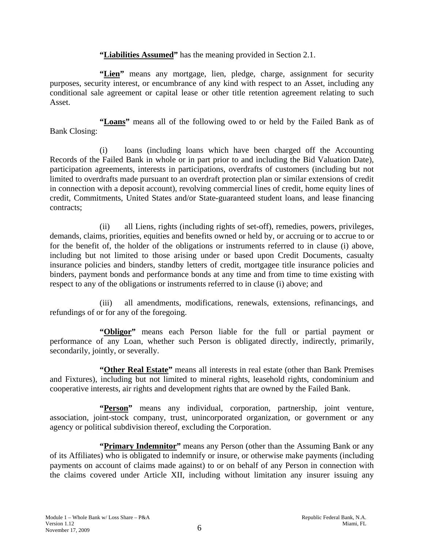**"Liabilities Assumed"** has the meaning provided in Section 2.1.

**"Lien"** means any mortgage, lien, pledge, charge, assignment for security purposes, security interest, or encumbrance of any kind with respect to an Asset, including any conditional sale agreement or capital lease or other title retention agreement relating to such Asset.

**"Loans"** means all of the following owed to or held by the Failed Bank as of Bank Closing:

(i) loans (including loans which have been charged off the Accounting Records of the Failed Bank in whole or in part prior to and including the Bid Valuation Date), participation agreements, interests in participations, overdrafts of customers (including but not limited to overdrafts made pursuant to an overdraft protection plan or similar extensions of credit in connection with a deposit account), revolving commercial lines of credit, home equity lines of credit, Commitments, United States and/or State-guaranteed student loans, and lease financing contracts;

(ii) all Liens, rights (including rights of set-off), remedies, powers, privileges, demands, claims, priorities, equities and benefits owned or held by, or accruing or to accrue to or for the benefit of, the holder of the obligations or instruments referred to in clause (i) above, including but not limited to those arising under or based upon Credit Documents, casualty insurance policies and binders, standby letters of credit, mortgagee title insurance policies and binders, payment bonds and performance bonds at any time and from time to time existing with respect to any of the obligations or instruments referred to in clause (i) above; and

(iii) all amendments, modifications, renewals, extensions, refinancings, and refundings of or for any of the foregoing.

**"Obligor"** means each Person liable for the full or partial payment or performance of any Loan, whether such Person is obligated directly, indirectly, primarily, secondarily, jointly, or severally.

**"Other Real Estate"** means all interests in real estate (other than Bank Premises and Fixtures), including but not limited to mineral rights, leasehold rights, condominium and cooperative interests, air rights and development rights that are owned by the Failed Bank.

**"Person"** means any individual, corporation, partnership, joint venture, association, joint-stock company, trust, unincorporated organization, or government or any agency or political subdivision thereof, excluding the Corporation.

**"Primary Indemnitor"** means any Person (other than the Assuming Bank or any of its Affiliates) who is obligated to indemnify or insure, or otherwise make payments (including payments on account of claims made against) to or on behalf of any Person in connection with the claims covered under Article XII, including without limitation any insurer issuing any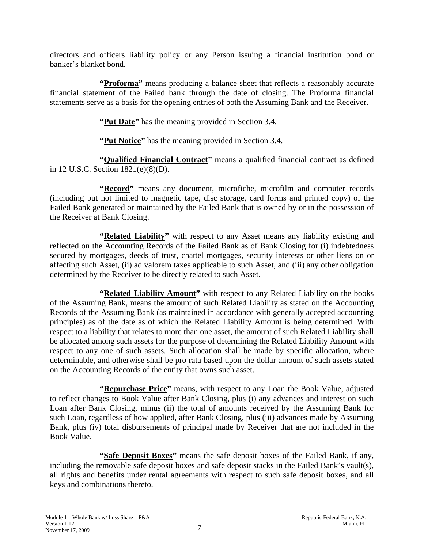directors and officers liability policy or any Person issuing a financial institution bond or banker's blanket bond.

**"Proforma"** means producing a balance sheet that reflects a reasonably accurate financial statement of the Failed bank through the date of closing. The Proforma financial statements serve as a basis for the opening entries of both the Assuming Bank and the Receiver.

**"Put Date"** has the meaning provided in Section 3.4.

**"Put Notice"** has the meaning provided in Section 3.4.

"**Qualified Financial Contract**" means a qualified financial contract as defined in 12 U.S.C. Section 1821(e)(8)(D).

**"Record"** means any document, microfiche, microfilm and computer records (including but not limited to magnetic tape, disc storage, card forms and printed copy) of the Failed Bank generated or maintained by the Failed Bank that is owned by or in the possession of the Receiver at Bank Closing.

**"Related Liability"** with respect to any Asset means any liability existing and reflected on the Accounting Records of the Failed Bank as of Bank Closing for (i) indebtedness secured by mortgages, deeds of trust, chattel mortgages, security interests or other liens on or affecting such Asset, (ii) ad valorem taxes applicable to such Asset, and (iii) any other obligation determined by the Receiver to be directly related to such Asset.

**"Related Liability Amount"** with respect to any Related Liability on the books of the Assuming Bank, means the amount of such Related Liability as stated on the Accounting Records of the Assuming Bank (as maintained in accordance with generally accepted accounting principles) as of the date as of which the Related Liability Amount is being determined. With respect to a liability that relates to more than one asset, the amount of such Related Liability shall be allocated among such assets for the purpose of determining the Related Liability Amount with respect to any one of such assets. Such allocation shall be made by specific allocation, where determinable, and otherwise shall be pro rata based upon the dollar amount of such assets stated on the Accounting Records of the entity that owns such asset.

 **"Repurchase Price"** means, with respect to any Loan the Book Value, adjusted to reflect changes to Book Value after Bank Closing, plus (i) any advances and interest on such Loan after Bank Closing, minus (ii) the total of amounts received by the Assuming Bank for such Loan, regardless of how applied, after Bank Closing, plus (iii) advances made by Assuming Bank, plus (iv) total disbursements of principal made by Receiver that are not included in the Book Value.

**"Safe Deposit Boxes"** means the safe deposit boxes of the Failed Bank, if any, including the removable safe deposit boxes and safe deposit stacks in the Failed Bank's vault(s), all rights and benefits under rental agreements with respect to such safe deposit boxes, and all keys and combinations thereto.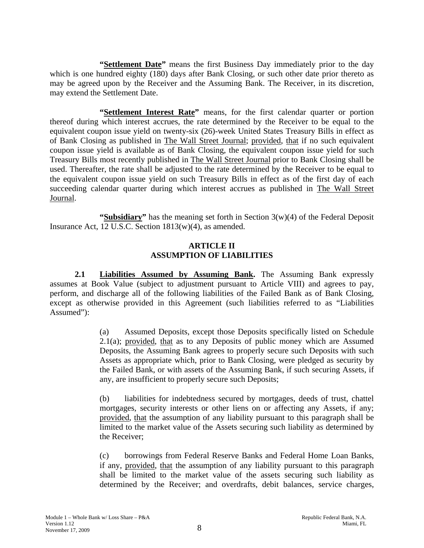**"Settlement Date"** means the first Business Day immediately prior to the day which is one hundred eighty (180) days after Bank Closing, or such other date prior thereto as may be agreed upon by the Receiver and the Assuming Bank. The Receiver, in its discretion, may extend the Settlement Date.

**"Settlement Interest Rate"** means, for the first calendar quarter or portion thereof during which interest accrues, the rate determined by the Receiver to be equal to the equivalent coupon issue yield on twenty-six (26)-week United States Treasury Bills in effect as of Bank Closing as published in The Wall Street Journal; provided, that if no such equivalent coupon issue yield is available as of Bank Closing, the equivalent coupon issue yield for such Treasury Bills most recently published in The Wall Street Journal prior to Bank Closing shall be used. Thereafter, the rate shall be adjusted to the rate determined by the Receiver to be equal to the equivalent coupon issue yield on such Treasury Bills in effect as of the first day of each succeeding calendar quarter during which interest accrues as published in The Wall Street Journal.

**"Subsidiary"** has the meaning set forth in Section 3(w)(4) of the Federal Deposit Insurance Act, 12 U.S.C. Section 1813(w)(4), as amended.

### **ARTICLE II ASSUMPTION OF LIABILITIES**

<span id="page-11-1"></span><span id="page-11-0"></span> **2.1 Liabilities Assumed by Assuming Bank.** The Assuming Bank expressly assumes at Book Value (subject to adjustment pursuant to Article VIII) and agrees to pay, perform, and discharge all of the following liabilities of the Failed Bank as of Bank Closing, except as otherwise provided in this Agreement (such liabilities referred to as "Liabilities Assumed"):

> (a) Assumed Deposits, except those Deposits specifically listed on Schedule 2.1(a); provided, that as to any Deposits of public money which are Assumed Deposits, the Assuming Bank agrees to properly secure such Deposits with such Assets as appropriate which, prior to Bank Closing, were pledged as security by the Failed Bank, or with assets of the Assuming Bank, if such securing Assets, if any, are insufficient to properly secure such Deposits;

> (b) liabilities for indebtedness secured by mortgages, deeds of trust, chattel mortgages, security interests or other liens on or affecting any Assets, if any; provided, that the assumption of any liability pursuant to this paragraph shall be limited to the market value of the Assets securing such liability as determined by the Receiver;

> (c) borrowings from Federal Reserve Banks and Federal Home Loan Banks, if any, provided, that the assumption of any liability pursuant to this paragraph shall be limited to the market value of the assets securing such liability as determined by the Receiver; and overdrafts, debit balances, service charges,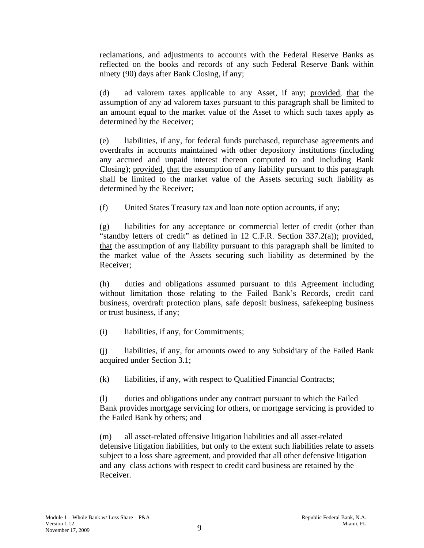reclamations, and adjustments to accounts with the Federal Reserve Banks as reflected on the books and records of any such Federal Reserve Bank within ninety (90) days after Bank Closing, if any;

(d) ad valorem taxes applicable to any Asset, if any; provided, that the assumption of any ad valorem taxes pursuant to this paragraph shall be limited to an amount equal to the market value of the Asset to which such taxes apply as determined by the Receiver;

(e) liabilities, if any, for federal funds purchased, repurchase agreements and overdrafts in accounts maintained with other depository institutions (including any accrued and unpaid interest thereon computed to and including Bank Closing); provided, that the assumption of any liability pursuant to this paragraph shall be limited to the market value of the Assets securing such liability as determined by the Receiver;

(f) United States Treasury tax and loan note option accounts, if any;

(g) liabilities for any acceptance or commercial letter of credit (other than "standby letters of credit" as defined in 12 C.F.R. Section 337.2(a)); provided, that the assumption of any liability pursuant to this paragraph shall be limited to the market value of the Assets securing such liability as determined by the Receiver;

(h) duties and obligations assumed pursuant to this Agreement including without limitation those relating to the Failed Bank's Records, credit card business, overdraft protection plans, safe deposit business, safekeeping business or trust business, if any;

(i) liabilities, if any, for Commitments;

(j) liabilities, if any, for amounts owed to any Subsidiary of the Failed Bank acquired under Section 3.1;

(k) liabilities, if any, with respect to Qualified Financial Contracts;

(l) duties and obligations under any contract pursuant to which the Failed Bank provides mortgage servicing for others, or mortgage servicing is provided to the Failed Bank by others; and

(m) all asset-related offensive litigation liabilities and all asset-related defensive litigation liabilities, but only to the extent such liabilities relate to assets subject to a loss share agreement, and provided that all other defensive litigation and any class actions with respect to credit card business are retained by the Receiver.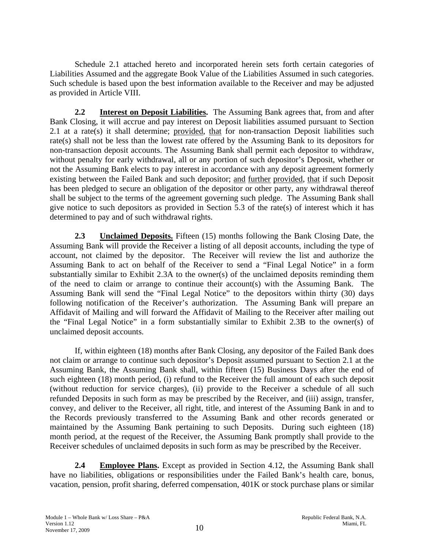Schedule 2.1 attached hereto and incorporated herein sets forth certain categories of Liabilities Assumed and the aggregate Book Value of the Liabilities Assumed in such categories. Such schedule is based upon the best information available to the Receiver and may be adjusted as provided in Article VIII.

<span id="page-13-0"></span>**2.2 Interest on Deposit Liabilities.** The Assuming Bank agrees that, from and after Bank Closing, it will accrue and pay interest on Deposit liabilities assumed pursuant to Section 2.1 at a rate(s) it shall determine; provided, that for non-transaction Deposit liabilities such rate(s) shall not be less than the lowest rate offered by the Assuming Bank to its depositors for non-transaction deposit accounts. The Assuming Bank shall permit each depositor to withdraw, without penalty for early withdrawal, all or any portion of such depositor's Deposit, whether or not the Assuming Bank elects to pay interest in accordance with any deposit agreement formerly existing between the Failed Bank and such depositor; and further provided, that if such Deposit has been pledged to secure an obligation of the depositor or other party, any withdrawal thereof shall be subject to the terms of the agreement governing such pledge. The Assuming Bank shall give notice to such depositors as provided in Section 5.3 of the rate(s) of interest which it has determined to pay and of such withdrawal rights.

<span id="page-13-1"></span>**2.3 Unclaimed Deposits.** Fifteen (15) months following the Bank Closing Date, the Assuming Bank will provide the Receiver a listing of all deposit accounts, including the type of account, not claimed by the depositor. The Receiver will review the list and authorize the Assuming Bank to act on behalf of the Receiver to send a "Final Legal Notice" in a form substantially similar to Exhibit 2.3A to the owner(s) of the unclaimed deposits reminding them of the need to claim or arrange to continue their account(s) with the Assuming Bank. The Assuming Bank will send the "Final Legal Notice" to the depositors within thirty (30) days following notification of the Receiver's authorization. The Assuming Bank will prepare an Affidavit of Mailing and will forward the Affidavit of Mailing to the Receiver after mailing out the "Final Legal Notice" in a form substantially similar to Exhibit 2.3B to the owner(s) of unclaimed deposit accounts.

If, within eighteen (18) months after Bank Closing, any depositor of the Failed Bank does not claim or arrange to continue such depositor's Deposit assumed pursuant to Section 2.1 at the Assuming Bank, the Assuming Bank shall, within fifteen (15) Business Days after the end of such eighteen (18) month period, (i) refund to the Receiver the full amount of each such deposit (without reduction for service charges), (ii) provide to the Receiver a schedule of all such refunded Deposits in such form as may be prescribed by the Receiver, and (iii) assign, transfer, convey, and deliver to the Receiver, all right, title, and interest of the Assuming Bank in and to the Records previously transferred to the Assuming Bank and other records generated or maintained by the Assuming Bank pertaining to such Deposits. During such eighteen (18) month period, at the request of the Receiver, the Assuming Bank promptly shall provide to the Receiver schedules of unclaimed deposits in such form as may be prescribed by the Receiver.

<span id="page-13-2"></span>**2.4 Employee Plans.** Except as provided in Section 4.12, the Assuming Bank shall have no liabilities, obligations or responsibilities under the Failed Bank's health care, bonus, vacation, pension, profit sharing, deferred compensation, 401K or stock purchase plans or similar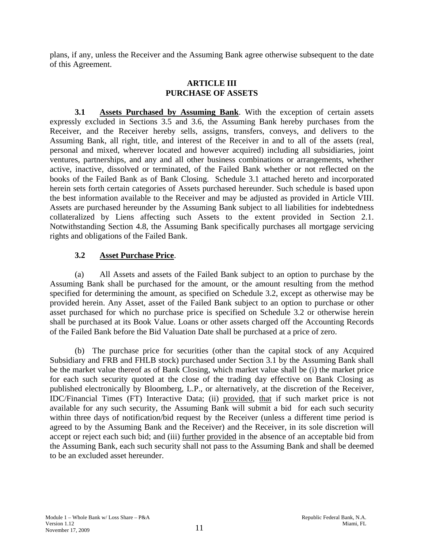plans, if any, unless the Receiver and the Assuming Bank agree otherwise subsequent to the date of this Agreement.

#### **ARTICLE III PURCHASE OF ASSETS**

<span id="page-14-1"></span><span id="page-14-0"></span>the best information available to the Receiver and may be adjusted as provided in Article VIII.  **3.1 Assets Purchased by Assuming Bank**. With the exception of certain assets expressly excluded in Sections 3.5 and 3.6, the Assuming Bank hereby purchases from the Receiver, and the Receiver hereby sells, assigns, transfers, conveys, and delivers to the Assuming Bank, all right, title, and interest of the Receiver in and to all of the assets (real, personal and mixed, wherever located and however acquired) including all subsidiaries, joint ventures, partnerships, and any and all other business combinations or arrangements, whether active, inactive, dissolved or terminated, of the Failed Bank whether or not reflected on the books of the Failed Bank as of Bank Closing. Schedule 3.1 attached hereto and incorporated herein sets forth certain categories of Assets purchased hereunder. Such schedule is based upon Assets are purchased hereunder by the Assuming Bank subject to all liabilities for indebtedness collateralized by Liens affecting such Assets to the extent provided in Section 2.1. Notwithstanding Section 4.8, the Assuming Bank specifically purchases all mortgage servicing rights and obligations of the Failed Bank.

## **3.2 Asset Purchase Price**.

<span id="page-14-2"></span>(a) All Assets and assets of the Failed Bank subject to an option to purchase by the Assuming Bank shall be purchased for the amount, or the amount resulting from the method specified for determining the amount, as specified on Schedule 3.2, except as otherwise may be provided herein. Any Asset, asset of the Failed Bank subject to an option to purchase or other asset purchased for which no purchase price is specified on Schedule 3.2 or otherwise herein shall be purchased at its Book Value. Loans or other assets charged off the Accounting Records of the Failed Bank before the Bid Valuation Date shall be purchased at a price of zero.

(b) The purchase price for securities (other than the capital stock of any Acquired Subsidiary and FRB and FHLB stock) purchased under Section 3.1 by the Assuming Bank shall be the market value thereof as of Bank Closing, which market value shall be (i) the market price for each such security quoted at the close of the trading day effective on Bank Closing as published electronically by Bloomberg, L.P., or alternatively, at the discretion of the Receiver, IDC/Financial Times (FT) Interactive Data; (ii) provided, that if such market price is not available for any such security, the Assuming Bank will submit a bid for each such security within three days of notification/bid request by the Receiver (unless a different time period is agreed to by the Assuming Bank and the Receiver) and the Receiver, in its sole discretion will accept or reject each such bid; and (iii) further provided in the absence of an acceptable bid from the Assuming Bank, each such security shall not pass to the Assuming Bank and shall be deemed to be an excluded asset hereunder.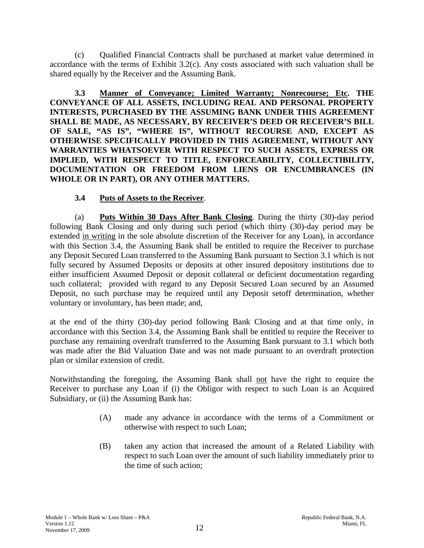(c) Qualified Financial Contracts shall be purchased at market value determined in accordance with the terms of Exhibit 3.2(c). Any costs associated with such valuation shall be shared equally by the Receiver and the Assuming Bank.

<span id="page-15-0"></span>**3.3 Manner of Conveyance; Limited Warranty; Nonrecourse; Etc. THE CONVEYANCE OF ALL ASSETS, INCLUDING REAL AND PERSONAL PROPERTY INTERESTS, PURCHASED BY THE ASSUMING BANK UNDER THIS AGREEMENT SHALL BE MADE, AS NECESSARY, BY RECEIVER'S DEED OR RECEIVER'S BILL OF SALE, "AS IS", "WHERE IS", WITHOUT RECOURSE AND, EXCEPT AS OTHERWISE SPECIFICALLY PROVIDED IN THIS AGREEMENT, WITHOUT ANY WARRANTIES WHATSOEVER WITH RESPECT TO SUCH ASSETS, EXPRESS OR IMPLIED, WITH RESPECT TO TITLE, ENFORCEABILITY, COLLECTIBILITY, DOCUMENTATION OR FREEDOM FROM LIENS OR ENCUMBRANCES (IN WHOLE OR IN PART), OR ANY OTHER MATTERS.** 

## **3.4 Puts of Assets to the Receiver**.

<span id="page-15-1"></span>(a) **Puts Within 30 Days After Bank Closing**. During the thirty (30)-day period following Bank Closing and only during such period (which thirty (30)-day period may be extended in writing in the sole absolute discretion of the Receiver for any Loan), in accordance with this Section 3.4, the Assuming Bank shall be entitled to require the Receiver to purchase any Deposit Secured Loan transferred to the Assuming Bank pursuant to Section 3.1 which is not fully secured by Assumed Deposits or deposits at other insured depository institutions due to either insufficient Assumed Deposit or deposit collateral or deficient documentation regarding such collateral; provided with regard to any Deposit Secured Loan secured by an Assumed Deposit, no such purchase may be required until any Deposit setoff determination, whether voluntary or involuntary, has been made; and,

at the end of the thirty (30)-day period following Bank Closing and at that time only, in accordance with this Section 3.4, the Assuming Bank shall be entitled to require the Receiver to purchase any remaining overdraft transferred to the Assuming Bank pursuant to 3.1 which both was made after the Bid Valuation Date and was not made pursuant to an overdraft protection plan or similar extension of credit.

Notwithstanding the foregoing, the Assuming Bank shall not have the right to require the Receiver to purchase any Loan if (i) the Obligor with respect to such Loan is an Acquired Subsidiary, or (ii) the Assuming Bank has:

- (A) made any advance in accordance with the terms of a Commitment or otherwise with respect to such Loan;
- (B) taken any action that increased the amount of a Related Liability with respect to such Loan over the amount of such liability immediately prior to the time of such action;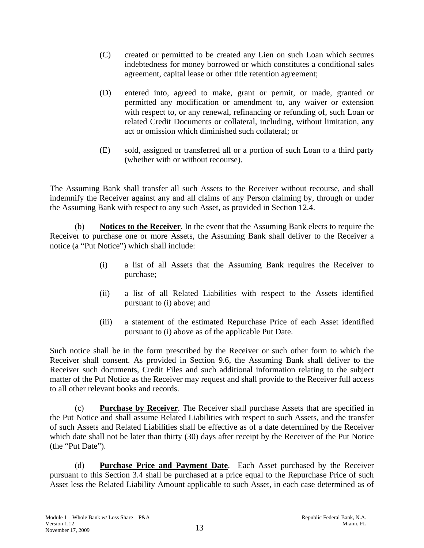- (C) created or permitted to be created any Lien on such Loan which secures indebtedness for money borrowed or which constitutes a conditional sales agreement, capital lease or other title retention agreement;
- (D) entered into, agreed to make, grant or permit, or made, granted or permitted any modification or amendment to, any waiver or extension with respect to, or any renewal, refinancing or refunding of, such Loan or related Credit Documents or collateral, including, without limitation, any act or omission which diminished such collateral; or
- (E) sold, assigned or transferred all or a portion of such Loan to a third party (whether with or without recourse).

The Assuming Bank shall transfer all such Assets to the Receiver without recourse, and shall indemnify the Receiver against any and all claims of any Person claiming by, through or under the Assuming Bank with respect to any such Asset, as provided in Section 12.4.

(b) **Notices to the Receiver**. In the event that the Assuming Bank elects to require the Receiver to purchase one or more Assets, the Assuming Bank shall deliver to the Receiver a notice (a "Put Notice") which shall include:

- (i) a list of all Assets that the Assuming Bank requires the Receiver to purchase;
- (ii) a list of all Related Liabilities with respect to the Assets identified pursuant to (i) above; and
- (iii) a statement of the estimated Repurchase Price of each Asset identified pursuant to (i) above as of the applicable Put Date.

Such notice shall be in the form prescribed by the Receiver or such other form to which the Receiver shall consent. As provided in Section 9.6, the Assuming Bank shall deliver to the Receiver such documents, Credit Files and such additional information relating to the subject matter of the Put Notice as the Receiver may request and shall provide to the Receiver full access to all other relevant books and records.

(c) **Purchase by Receiver**. The Receiver shall purchase Assets that are specified in the Put Notice and shall assume Related Liabilities with respect to such Assets, and the transfer of such Assets and Related Liabilities shall be effective as of a date determined by the Receiver which date shall not be later than thirty (30) days after receipt by the Receiver of the Put Notice (the "Put Date").

(d) **Purchase Price and Payment Date**. Each Asset purchased by the Receiver pursuant to this Section 3.4 shall be purchased at a price equal to the Repurchase Price of such Asset less the Related Liability Amount applicable to such Asset, in each case determined as of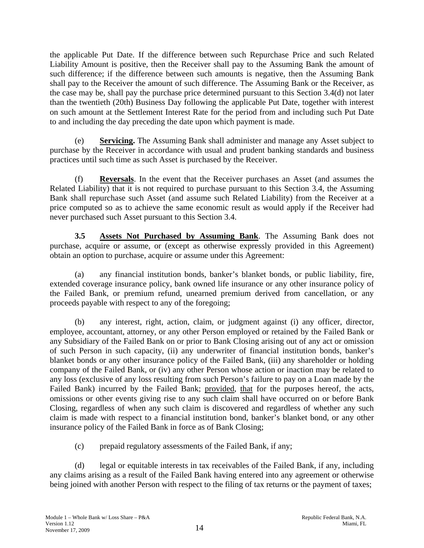the applicable Put Date. If the difference between such Repurchase Price and such Related Liability Amount is positive, then the Receiver shall pay to the Assuming Bank the amount of such difference; if the difference between such amounts is negative, then the Assuming Bank shall pay to the Receiver the amount of such difference. The Assuming Bank or the Receiver, as the case may be, shall pay the purchase price determined pursuant to this Section 3.4(d) not later than the twentieth (20th) Business Day following the applicable Put Date, together with interest on such amount at the Settlement Interest Rate for the period from and including such Put Date to and including the day preceding the date upon which payment is made.

(e) **Servicing.** The Assuming Bank shall administer and manage any Asset subject to purchase by the Receiver in accordance with usual and prudent banking standards and business practices until such time as such Asset is purchased by the Receiver.

(f) **Reversals**. In the event that the Receiver purchases an Asset (and assumes the Related Liability) that it is not required to purchase pursuant to this Section 3.4, the Assuming Bank shall repurchase such Asset (and assume such Related Liability) from the Receiver at a price computed so as to achieve the same economic result as would apply if the Receiver had never purchased such Asset pursuant to this Section 3.4.

<span id="page-17-0"></span>**3.5 Assets Not Purchased by Assuming Bank**. The Assuming Bank does not purchase, acquire or assume, or (except as otherwise expressly provided in this Agreement) obtain an option to purchase, acquire or assume under this Agreement:

(a) any financial institution bonds, banker's blanket bonds, or public liability, fire, extended coverage insurance policy, bank owned life insurance or any other insurance policy of the Failed Bank, or premium refund, unearned premium derived from cancellation, or any proceeds payable with respect to any of the foregoing;

(b) any interest, right, action, claim, or judgment against (i) any officer, director, employee, accountant, attorney, or any other Person employed or retained by the Failed Bank or any Subsidiary of the Failed Bank on or prior to Bank Closing arising out of any act or omission of such Person in such capacity, (ii) any underwriter of financial institution bonds, banker's blanket bonds or any other insurance policy of the Failed Bank, (iii) any shareholder or holding company of the Failed Bank, or (iv) any other Person whose action or inaction may be related to any loss (exclusive of any loss resulting from such Person's failure to pay on a Loan made by the Failed Bank) incurred by the Failed Bank; provided, that for the purposes hereof, the acts, omissions or other events giving rise to any such claim shall have occurred on or before Bank Closing, regardless of when any such claim is discovered and regardless of whether any such claim is made with respect to a financial institution bond, banker's blanket bond, or any other insurance policy of the Failed Bank in force as of Bank Closing;

(c) prepaid regulatory assessments of the Failed Bank, if any;

(d) legal or equitable interests in tax receivables of the Failed Bank, if any, including any claims arising as a result of the Failed Bank having entered into any agreement or otherwise being joined with another Person with respect to the filing of tax returns or the payment of taxes;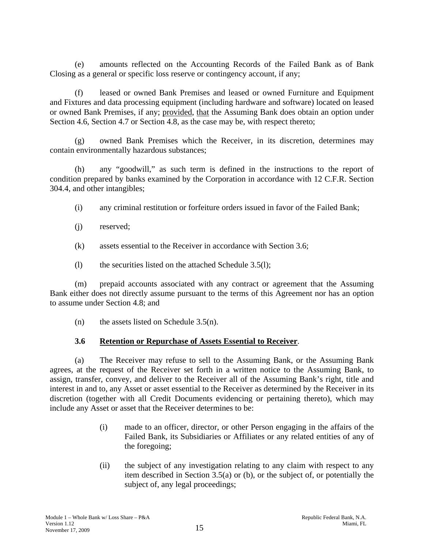(e) amounts reflected on the Accounting Records of the Failed Bank as of Bank Closing as a general or specific loss reserve or contingency account, if any;

(f) leased or owned Bank Premises and leased or owned Furniture and Equipment and Fixtures and data processing equipment (including hardware and software) located on leased or owned Bank Premises, if any; provided, that the Assuming Bank does obtain an option under Section 4.6, Section 4.7 or Section 4.8, as the case may be, with respect thereto;

(g) owned Bank Premises which the Receiver, in its discretion, determines may contain environmentally hazardous substances;

(h) any "goodwill," as such term is defined in the instructions to the report of condition prepared by banks examined by the Corporation in accordance with 12 C.F.R. Section 304.4, and other intangibles;

- (i) any criminal restitution or forfeiture orders issued in favor of the Failed Bank;
- (j) reserved;
- (k) assets essential to the Receiver in accordance with Section 3.6;
- (1) the securities listed on the attached Schedule  $3.5(1)$ ;

(m) prepaid accounts associated with any contract or agreement that the Assuming Bank either does not directly assume pursuant to the terms of this Agreement nor has an option to assume under Section 4.8; and

(n) the assets listed on Schedule  $3.5(n)$ .

## **3.6 Retention or Repurchase of Assets Essential to Receiver**.

<span id="page-18-0"></span>(a) The Receiver may refuse to sell to the Assuming Bank, or the Assuming Bank agrees, at the request of the Receiver set forth in a written notice to the Assuming Bank, to assign, transfer, convey, and deliver to the Receiver all of the Assuming Bank's right, title and interest in and to, any Asset or asset essential to the Receiver as determined by the Receiver in its discretion (together with all Credit Documents evidencing or pertaining thereto), which may include any Asset or asset that the Receiver determines to be:

- (i) made to an officer, director, or other Person engaging in the affairs of the Failed Bank, its Subsidiaries or Affiliates or any related entities of any of the foregoing;
- (ii) the subject of any investigation relating to any claim with respect to any item described in Section 3.5(a) or (b), or the subject of, or potentially the subject of, any legal proceedings;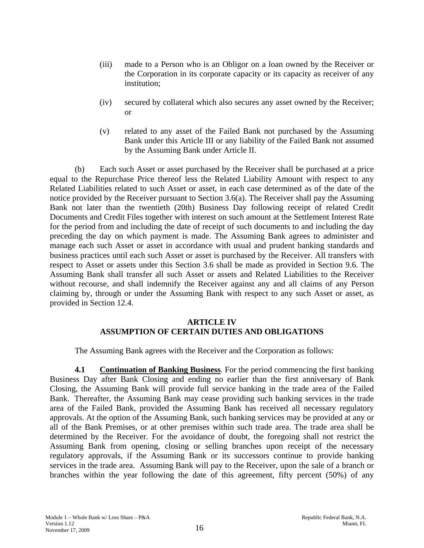- (iii) made to a Person who is an Obligor on a loan owned by the Receiver or the Corporation in its corporate capacity or its capacity as receiver of any institution;
- (iv) secured by collateral which also secures any asset owned by the Receiver; or
- (v) related to any asset of the Failed Bank not purchased by the Assuming Bank under this Article III or any liability of the Failed Bank not assumed by the Assuming Bank under Article II.

(b) Each such Asset or asset purchased by the Receiver shall be purchased at a price equal to the Repurchase Price thereof less the Related Liability Amount with respect to any Related Liabilities related to such Asset or asset, in each case determined as of the date of the notice provided by the Receiver pursuant to Section 3.6(a). The Receiver shall pay the Assuming Bank not later than the twentieth (20th) Business Day following receipt of related Credit Documents and Credit Files together with interest on such amount at the Settlement Interest Rate for the period from and including the date of receipt of such documents to and including the day preceding the day on which payment is made. The Assuming Bank agrees to administer and manage each such Asset or asset in accordance with usual and prudent banking standards and business practices until each such Asset or asset is purchased by the Receiver. All transfers with respect to Asset or assets under this Section 3.6 shall be made as provided in Section 9.6. The Assuming Bank shall transfer all such Asset or assets and Related Liabilities to the Receiver without recourse, and shall indemnify the Receiver against any and all claims of any Person claiming by, through or under the Assuming Bank with respect to any such Asset or asset, as provided in Section 12.4.

### **ARTICLE IV ASSUMPTION OF CERTAIN DUTIES AND OBLIGATIONS**

The Assuming Bank agrees with the Receiver and the Corporation as follows:

<span id="page-19-1"></span><span id="page-19-0"></span>**4.1 Continuation of Banking Business**. For the period commencing the first banking Business Day after Bank Closing and ending no earlier than the first anniversary of Bank Closing, the Assuming Bank will provide full service banking in the trade area of the Failed Bank. Thereafter, the Assuming Bank may cease providing such banking services in the trade area of the Failed Bank, provided the Assuming Bank has received all necessary regulatory approvals. At the option of the Assuming Bank, such banking services may be provided at any or all of the Bank Premises, or at other premises within such trade area. The trade area shall be determined by the Receiver. For the avoidance of doubt, the foregoing shall not restrict the Assuming Bank from opening, closing or selling branches upon receipt of the necessary regulatory approvals, if the Assuming Bank or its successors continue to provide banking services in the trade area. Assuming Bank will pay to the Receiver, upon the sale of a branch or branches within the year following the date of this agreement, fifty percent (50%) of any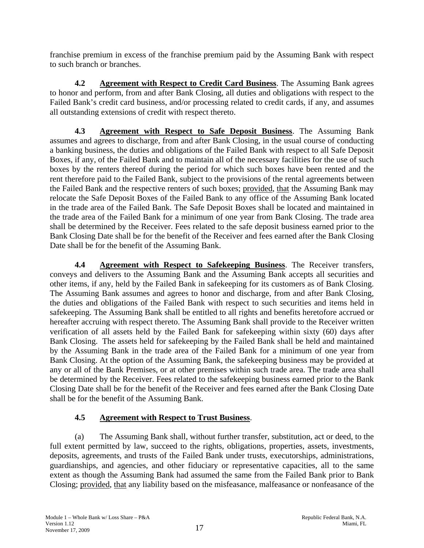franchise premium in excess of the franchise premium paid by the Assuming Bank with respect to such branch or branches.

**4.2 Agreement with Respect to Credit Card Business**. The Assuming Bank agrees to honor and perform, from and after Bank Closing, all duties and obligations with respect to the Failed Bank's credit card business, and/or processing related to credit cards, if any, and assumes all outstanding extensions of credit with respect thereto.

**4.3 Agreement with Respect to Safe Deposit Business**. The Assuming Bank assumes and agrees to discharge, from and after Bank Closing, in the usual course of conducting a banking business, the duties and obligations of the Failed Bank with respect to all Safe Deposit Boxes, if any, of the Failed Bank and to maintain all of the necessary facilities for the use of such boxes by the renters thereof during the period for which such boxes have been rented and the rent therefore paid to the Failed Bank, subject to the provisions of the rental agreements between the Failed Bank and the respective renters of such boxes; provided, that the Assuming Bank may relocate the Safe Deposit Boxes of the Failed Bank to any office of the Assuming Bank located in the trade area of the Failed Bank. The Safe Deposit Boxes shall be located and maintained in the trade area of the Failed Bank for a minimum of one year from Bank Closing. The trade area shall be determined by the Receiver. Fees related to the safe deposit business earned prior to the Bank Closing Date shall be for the benefit of the Receiver and fees earned after the Bank Closing Date shall be for the benefit of the Assuming Bank.

**4.4 Agreement with Respect to Safekeeping Business**. The Receiver transfers, conveys and delivers to the Assuming Bank and the Assuming Bank accepts all securities and other items, if any, held by the Failed Bank in safekeeping for its customers as of Bank Closing. The Assuming Bank assumes and agrees to honor and discharge, from and after Bank Closing, the duties and obligations of the Failed Bank with respect to such securities and items held in safekeeping. The Assuming Bank shall be entitled to all rights and benefits heretofore accrued or hereafter accruing with respect thereto. The Assuming Bank shall provide to the Receiver written verification of all assets held by the Failed Bank for safekeeping within sixty (60) days after Bank Closing. The assets held for safekeeping by the Failed Bank shall be held and maintained by the Assuming Bank in the trade area of the Failed Bank for a minimum of one year from Bank Closing. At the option of the Assuming Bank, the safekeeping business may be provided at any or all of the Bank Premises, or at other premises within such trade area. The trade area shall be determined by the Receiver. Fees related to the safekeeping business earned prior to the Bank Closing Date shall be for the benefit of the Receiver and fees earned after the Bank Closing Date shall be for the benefit of the Assuming Bank.

# **4.5 Agreement with Respect to Trust Business**.

<span id="page-20-0"></span>(a) The Assuming Bank shall, without further transfer, substitution, act or deed, to the full extent permitted by law, succeed to the rights, obligations, properties, assets, investments, deposits, agreements, and trusts of the Failed Bank under trusts, executorships, administrations, guardianships, and agencies, and other fiduciary or representative capacities, all to the same extent as though the Assuming Bank had assumed the same from the Failed Bank prior to Bank Closing; provided, that any liability based on the misfeasance, malfeasance or nonfeasance of the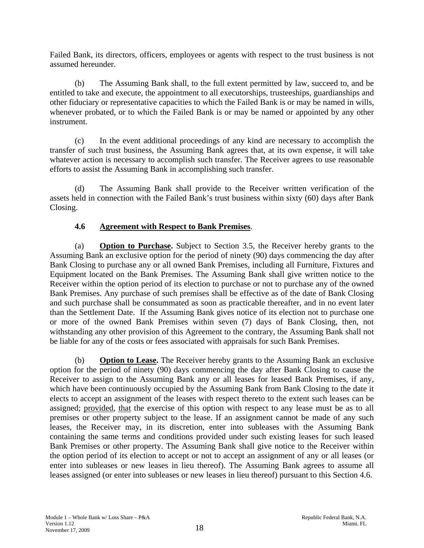Failed Bank, its directors, officers, employees or agents with respect to the trust business is not assumed hereunder.

(b) The Assuming Bank shall, to the full extent permitted by law, succeed to, and be entitled to take and execute, the appointment to all executorships, trusteeships, guardianships and other fiduciary or representative capacities to which the Failed Bank is or may be named in wills, whenever probated, or to which the Failed Bank is or may be named or appointed by any other instrument.

(c) In the event additional proceedings of any kind are necessary to accomplish the transfer of such trust business, the Assuming Bank agrees that, at its own expense, it will take whatever action is necessary to accomplish such transfer. The Receiver agrees to use reasonable efforts to assist the Assuming Bank in accomplishing such transfer.

(d) The Assuming Bank shall provide to the Receiver written verification of the assets held in connection with the Failed Bank's trust business within sixty (60) days after Bank Closing.

## **4.6 Agreement with Respect to Bank Premises**.

<span id="page-21-0"></span>(a) **Option to Purchase.** Subject to Section 3.5, the Receiver hereby grants to the Assuming Bank an exclusive option for the period of ninety (90) days commencing the day after Bank Closing to purchase any or all owned Bank Premises, including all Furniture, Fixtures and Equipment located on the Bank Premises. The Assuming Bank shall give written notice to the Receiver within the option period of its election to purchase or not to purchase any of the owned Bank Premises. Any purchase of such premises shall be effective as of the date of Bank Closing and such purchase shall be consummated as soon as practicable thereafter, and in no event later than the Settlement Date. If the Assuming Bank gives notice of its election not to purchase one or more of the owned Bank Premises within seven (7) days of Bank Closing, then, not withstanding any other provision of this Agreement to the contrary, the Assuming Bank shall not be liable for any of the costs or fees associated with appraisals for such Bank Premises.

(b) **Option to Lease.** The Receiver hereby grants to the Assuming Bank an exclusive option for the period of ninety (90) days commencing the day after Bank Closing to cause the Receiver to assign to the Assuming Bank any or all leases for leased Bank Premises, if any, which have been continuously occupied by the Assuming Bank from Bank Closing to the date it elects to accept an assignment of the leases with respect thereto to the extent such leases can be assigned; provided, that the exercise of this option with respect to any lease must be as to all premises or other property subject to the lease. If an assignment cannot be made of any such leases, the Receiver may, in its discretion, enter into subleases with the Assuming Bank containing the same terms and conditions provided under such existing leases for such leased Bank Premises or other property. The Assuming Bank shall give notice to the Receiver within the option period of its election to accept or not to accept an assignment of any or all leases (or enter into subleases or new leases in lieu thereof). The Assuming Bank agrees to assume all leases assigned (or enter into subleases or new leases in lieu thereof) pursuant to this Section 4.6.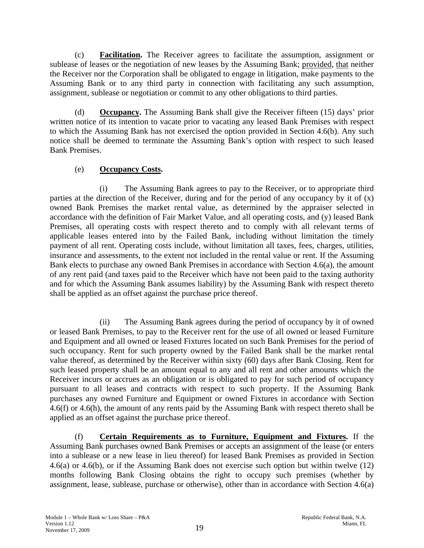(c) **Facilitation.** The Receiver agrees to facilitate the assumption, assignment or sublease of leases or the negotiation of new leases by the Assuming Bank; provided, that neither the Receiver nor the Corporation shall be obligated to engage in litigation, make payments to the Assuming Bank or to any third party in connection with facilitating any such assumption, assignment, sublease or negotiation or commit to any other obligations to third parties.

(d) **Occupancy.** The Assuming Bank shall give the Receiver fifteen (15) days' prior written notice of its intention to vacate prior to vacating any leased Bank Premises with respect to which the Assuming Bank has not exercised the option provided in Section 4.6(b). Any such notice shall be deemed to terminate the Assuming Bank's option with respect to such leased Bank Premises.

# (e) **Occupancy Costs.**

(i) The Assuming Bank agrees to pay to the Receiver, or to appropriate third parties at the direction of the Receiver, during and for the period of any occupancy by it of (x) owned Bank Premises the market rental value, as determined by the appraiser selected in accordance with the definition of Fair Market Value, and all operating costs, and (y) leased Bank Premises, all operating costs with respect thereto and to comply with all relevant terms of applicable leases entered into by the Failed Bank, including without limitation the timely payment of all rent. Operating costs include, without limitation all taxes, fees, charges, utilities, insurance and assessments, to the extent not included in the rental value or rent. If the Assuming Bank elects to purchase any owned Bank Premises in accordance with Section 4.6(a), the amount of any rent paid (and taxes paid to the Receiver which have not been paid to the taxing authority and for which the Assuming Bank assumes liability) by the Assuming Bank with respect thereto shall be applied as an offset against the purchase price thereof.

(ii) The Assuming Bank agrees during the period of occupancy by it of owned or leased Bank Premises, to pay to the Receiver rent for the use of all owned or leased Furniture and Equipment and all owned or leased Fixtures located on such Bank Premises for the period of such occupancy. Rent for such property owned by the Failed Bank shall be the market rental value thereof, as determined by the Receiver within sixty (60) days after Bank Closing. Rent for such leased property shall be an amount equal to any and all rent and other amounts which the Receiver incurs or accrues as an obligation or is obligated to pay for such period of occupancy pursuant to all leases and contracts with respect to such property. If the Assuming Bank purchases any owned Furniture and Equipment or owned Fixtures in accordance with Section 4.6(f) or 4.6(h), the amount of any rents paid by the Assuming Bank with respect thereto shall be applied as an offset against the purchase price thereof.

(f) **Certain Requirements as to Furniture, Equipment and Fixtures.** If the Assuming Bank purchases owned Bank Premises or accepts an assignment of the lease (or enters into a sublease or a new lease in lieu thereof) for leased Bank Premises as provided in Section 4.6(a) or 4.6(b), or if the Assuming Bank does not exercise such option but within twelve (12) months following Bank Closing obtains the right to occupy such premises (whether by assignment, lease, sublease, purchase or otherwise), other than in accordance with Section 4.6(a)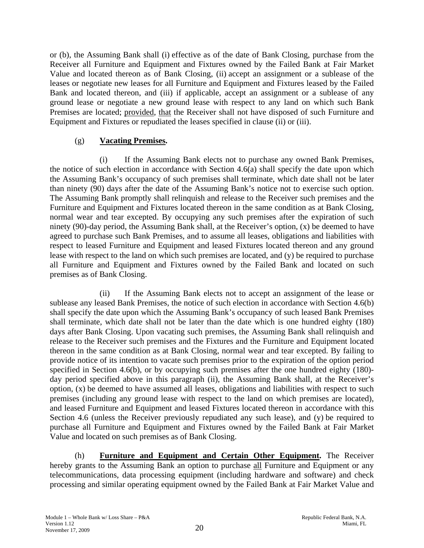or (b), the Assuming Bank shall (i) effective as of the date of Bank Closing, purchase from the Receiver all Furniture and Equipment and Fixtures owned by the Failed Bank at Fair Market Value and located thereon as of Bank Closing, (ii) accept an assignment or a sublease of the leases or negotiate new leases for all Furniture and Equipment and Fixtures leased by the Failed Bank and located thereon, and (iii) if applicable, accept an assignment or a sublease of any ground lease or negotiate a new ground lease with respect to any land on which such Bank Premises are located; provided, that the Receiver shall not have disposed of such Furniture and Equipment and Fixtures or repudiated the leases specified in clause (ii) or (iii).

## (g) **Vacating Premises.**

(i) If the Assuming Bank elects not to purchase any owned Bank Premises, the notice of such election in accordance with Section 4.6(a) shall specify the date upon which the Assuming Bank's occupancy of such premises shall terminate, which date shall not be later than ninety (90) days after the date of the Assuming Bank's notice not to exercise such option. The Assuming Bank promptly shall relinquish and release to the Receiver such premises and the Furniture and Equipment and Fixtures located thereon in the same condition as at Bank Closing, normal wear and tear excepted. By occupying any such premises after the expiration of such ninety (90)-day period, the Assuming Bank shall, at the Receiver's option, (x) be deemed to have agreed to purchase such Bank Premises, and to assume all leases, obligations and liabilities with respect to leased Furniture and Equipment and leased Fixtures located thereon and any ground lease with respect to the land on which such premises are located, and (y) be required to purchase all Furniture and Equipment and Fixtures owned by the Failed Bank and located on such premises as of Bank Closing.

(ii) If the Assuming Bank elects not to accept an assignment of the lease or sublease any leased Bank Premises, the notice of such election in accordance with Section 4.6(b) shall specify the date upon which the Assuming Bank's occupancy of such leased Bank Premises shall terminate, which date shall not be later than the date which is one hundred eighty (180) days after Bank Closing. Upon vacating such premises, the Assuming Bank shall relinquish and release to the Receiver such premises and the Fixtures and the Furniture and Equipment located thereon in the same condition as at Bank Closing, normal wear and tear excepted. By failing to provide notice of its intention to vacate such premises prior to the expiration of the option period specified in Section 4.6(b), or by occupying such premises after the one hundred eighty (180) day period specified above in this paragraph (ii), the Assuming Bank shall, at the Receiver's option, (x) be deemed to have assumed all leases, obligations and liabilities with respect to such premises (including any ground lease with respect to the land on which premises are located), and leased Furniture and Equipment and leased Fixtures located thereon in accordance with this Section 4.6 (unless the Receiver previously repudiated any such lease), and (y) be required to purchase all Furniture and Equipment and Fixtures owned by the Failed Bank at Fair Market Value and located on such premises as of Bank Closing.

(h) **Furniture and Equipment and Certain Other Equipment.** The Receiver hereby grants to the Assuming Bank an option to purchase all Furniture and Equipment or any telecommunications, data processing equipment (including hardware and software) and check processing and similar operating equipment owned by the Failed Bank at Fair Market Value and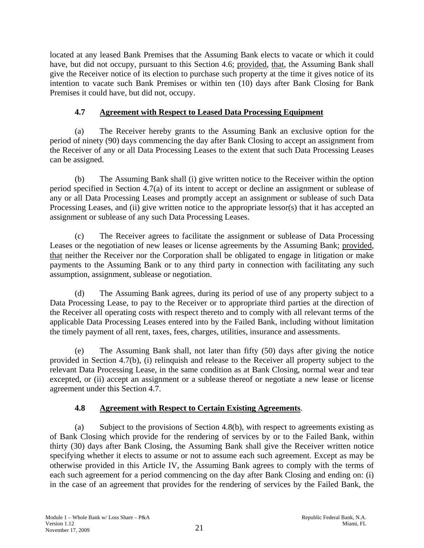located at any leased Bank Premises that the Assuming Bank elects to vacate or which it could have, but did not occupy, pursuant to this Section 4.6; provided, that, the Assuming Bank shall give the Receiver notice of its election to purchase such property at the time it gives notice of its intention to vacate such Bank Premises or within ten (10) days after Bank Closing for Bank Premises it could have, but did not, occupy.

# **4.7 Agreement with Respect to Leased Data Processing Equipment**

<span id="page-24-0"></span>(a) The Receiver hereby grants to the Assuming Bank an exclusive option for the period of ninety (90) days commencing the day after Bank Closing to accept an assignment from the Receiver of any or all Data Processing Leases to the extent that such Data Processing Leases can be assigned.

(b) The Assuming Bank shall (i) give written notice to the Receiver within the option period specified in Section 4.7(a) of its intent to accept or decline an assignment or sublease of any or all Data Processing Leases and promptly accept an assignment or sublease of such Data Processing Leases, and (ii) give written notice to the appropriate lessor(s) that it has accepted an assignment or sublease of any such Data Processing Leases.

(c) The Receiver agrees to facilitate the assignment or sublease of Data Processing Leases or the negotiation of new leases or license agreements by the Assuming Bank; provided, that neither the Receiver nor the Corporation shall be obligated to engage in litigation or make payments to the Assuming Bank or to any third party in connection with facilitating any such assumption, assignment, sublease or negotiation.

(d) The Assuming Bank agrees, during its period of use of any property subject to a Data Processing Lease, to pay to the Receiver or to appropriate third parties at the direction of the Receiver all operating costs with respect thereto and to comply with all relevant terms of the applicable Data Processing Leases entered into by the Failed Bank, including without limitation the timely payment of all rent, taxes, fees, charges, utilities, insurance and assessments.

(e) The Assuming Bank shall, not later than fifty (50) days after giving the notice provided in Section 4.7(b), (i) relinquish and release to the Receiver all property subject to the relevant Data Processing Lease, in the same condition as at Bank Closing, normal wear and tear excepted, or (ii) accept an assignment or a sublease thereof or negotiate a new lease or license agreement under this Section 4.7.

# **4.8 Agreement with Respect to Certain Existing Agreements**.

<span id="page-24-1"></span>(a) Subject to the provisions of Section 4.8(b), with respect to agreements existing as of Bank Closing which provide for the rendering of services by or to the Failed Bank, within thirty (30) days after Bank Closing, the Assuming Bank shall give the Receiver written notice specifying whether it elects to assume or not to assume each such agreement. Except as may be otherwise provided in this Article IV, the Assuming Bank agrees to comply with the terms of each such agreement for a period commencing on the day after Bank Closing and ending on: (i) in the case of an agreement that provides for the rendering of services by the Failed Bank, the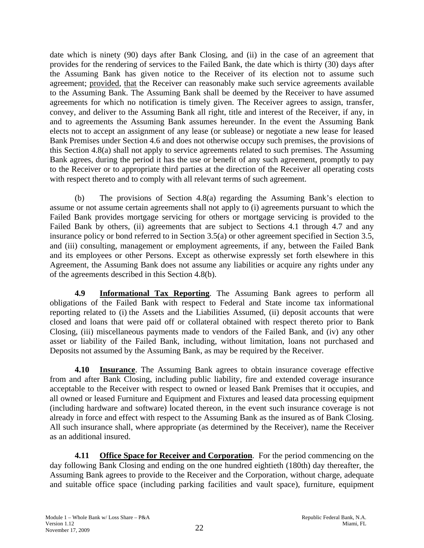date which is ninety (90) days after Bank Closing, and (ii) in the case of an agreement that provides for the rendering of services to the Failed Bank, the date which is thirty (30) days after the Assuming Bank has given notice to the Receiver of its election not to assume such agreement; provided, that the Receiver can reasonably make such service agreements available to the Assuming Bank. The Assuming Bank shall be deemed by the Receiver to have assumed agreements for which no notification is timely given. The Receiver agrees to assign, transfer, convey, and deliver to the Assuming Bank all right, title and interest of the Receiver, if any, in and to agreements the Assuming Bank assumes hereunder. In the event the Assuming Bank elects not to accept an assignment of any lease (or sublease) or negotiate a new lease for leased Bank Premises under Section 4.6 and does not otherwise occupy such premises, the provisions of this Section 4.8(a) shall not apply to service agreements related to such premises. The Assuming Bank agrees, during the period it has the use or benefit of any such agreement, promptly to pay to the Receiver or to appropriate third parties at the direction of the Receiver all operating costs with respect thereto and to comply with all relevant terms of such agreement.

(b) The provisions of Section 4.8(a) regarding the Assuming Bank's election to assume or not assume certain agreements shall not apply to (i) agreements pursuant to which the Failed Bank provides mortgage servicing for others or mortgage servicing is provided to the Failed Bank by others, (ii) agreements that are subject to Sections 4.1 through 4.7 and any insurance policy or bond referred to in Section 3.5(a) or other agreement specified in Section 3.5, and (iii) consulting, management or employment agreements, if any, between the Failed Bank and its employees or other Persons. Except as otherwise expressly set forth elsewhere in this Agreement, the Assuming Bank does not assume any liabilities or acquire any rights under any of the agreements described in this Section 4.8(b).

<span id="page-25-0"></span>**4.9 Informational Tax Reporting**. The Assuming Bank agrees to perform all obligations of the Failed Bank with respect to Federal and State income tax informational reporting related to (i) the Assets and the Liabilities Assumed, (ii) deposit accounts that were closed and loans that were paid off or collateral obtained with respect thereto prior to Bank Closing, (iii) miscellaneous payments made to vendors of the Failed Bank, and (iv) any other asset or liability of the Failed Bank, including, without limitation, loans not purchased and Deposits not assumed by the Assuming Bank, as may be required by the Receiver.

<span id="page-25-1"></span>**4.10 Insurance**. The Assuming Bank agrees to obtain insurance coverage effective from and after Bank Closing, including public liability, fire and extended coverage insurance acceptable to the Receiver with respect to owned or leased Bank Premises that it occupies, and all owned or leased Furniture and Equipment and Fixtures and leased data processing equipment (including hardware and software) located thereon, in the event such insurance coverage is not already in force and effect with respect to the Assuming Bank as the insured as of Bank Closing. All such insurance shall, where appropriate (as determined by the Receiver), name the Receiver as an additional insured.

<span id="page-25-2"></span>**4.11 Office Space for Receiver and Corporation**. For the period commencing on the day following Bank Closing and ending on the one hundred eightieth (180th) day thereafter, the Assuming Bank agrees to provide to the Receiver and the Corporation, without charge, adequate and suitable office space (including parking facilities and vault space), furniture, equipment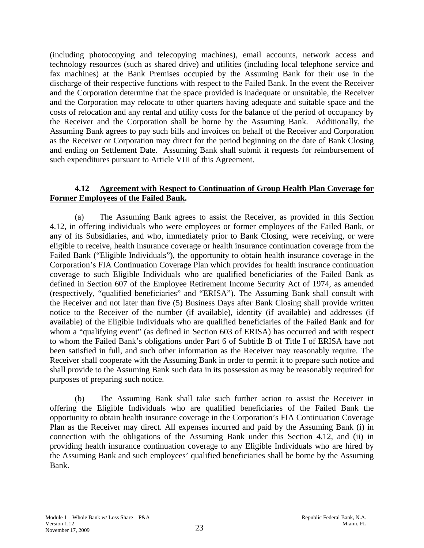(including photocopying and telecopying machines), email accounts, network access and technology resources (such as shared drive) and utilities (including local telephone service and fax machines) at the Bank Premises occupied by the Assuming Bank for their use in the discharge of their respective functions with respect to the Failed Bank. In the event the Receiver and the Corporation determine that the space provided is inadequate or unsuitable, the Receiver and the Corporation may relocate to other quarters having adequate and suitable space and the costs of relocation and any rental and utility costs for the balance of the period of occupancy by the Receiver and the Corporation shall be borne by the Assuming Bank. Additionally, the Assuming Bank agrees to pay such bills and invoices on behalf of the Receiver and Corporation as the Receiver or Corporation may direct for the period beginning on the date of Bank Closing and ending on Settlement Date. Assuming Bank shall submit it requests for reimbursement of such expenditures pursuant to Article VIII of this Agreement.

### <span id="page-26-0"></span>**4.12 Agreement with Respect to Continuation of Group Health Plan Coverage for Former Employees of the Failed Bank.**

(a) The Assuming Bank agrees to assist the Receiver, as provided in this Section 4.12, in offering individuals who were employees or former employees of the Failed Bank, or any of its Subsidiaries, and who, immediately prior to Bank Closing, were receiving, or were eligible to receive, health insurance coverage or health insurance continuation coverage from the Failed Bank ("Eligible Individuals"), the opportunity to obtain health insurance coverage in the Corporation's FIA Continuation Coverage Plan which provides for health insurance continuation coverage to such Eligible Individuals who are qualified beneficiaries of the Failed Bank as defined in Section 607 of the Employee Retirement Income Security Act of 1974, as amended (respectively, "qualified beneficiaries" and "ERISA"). The Assuming Bank shall consult with the Receiver and not later than five (5) Business Days after Bank Closing shall provide written notice to the Receiver of the number (if available), identity (if available) and addresses (if available) of the Eligible Individuals who are qualified beneficiaries of the Failed Bank and for whom a "qualifying event" (as defined in Section 603 of ERISA) has occurred and with respect to whom the Failed Bank's obligations under Part 6 of Subtitle B of Title I of ERISA have not been satisfied in full, and such other information as the Receiver may reasonably require. The Receiver shall cooperate with the Assuming Bank in order to permit it to prepare such notice and shall provide to the Assuming Bank such data in its possession as may be reasonably required for purposes of preparing such notice.

(b) The Assuming Bank shall take such further action to assist the Receiver in offering the Eligible Individuals who are qualified beneficiaries of the Failed Bank the opportunity to obtain health insurance coverage in the Corporation's FIA Continuation Coverage Plan as the Receiver may direct. All expenses incurred and paid by the Assuming Bank (i) in connection with the obligations of the Assuming Bank under this Section 4.12, and (ii) in providing health insurance continuation coverage to any Eligible Individuals who are hired by the Assuming Bank and such employees' qualified beneficiaries shall be borne by the Assuming Bank.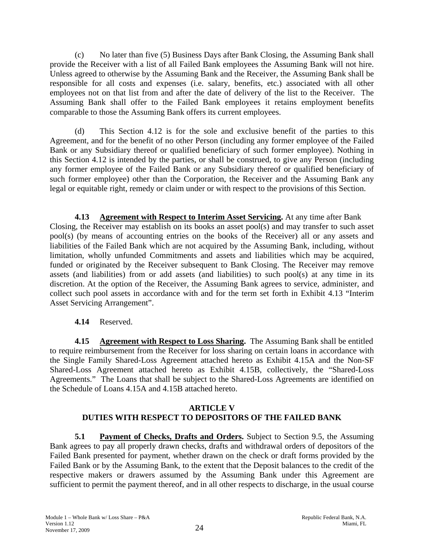(c) No later than five (5) Business Days after Bank Closing, the Assuming Bank shall provide the Receiver with a list of all Failed Bank employees the Assuming Bank will not hire. Unless agreed to otherwise by the Assuming Bank and the Receiver, the Assuming Bank shall be responsible for all costs and expenses (i.e. salary, benefits, etc.) associated with all other employees not on that list from and after the date of delivery of the list to the Receiver. The Assuming Bank shall offer to the Failed Bank employees it retains employment benefits comparable to those the Assuming Bank offers its current employees.

(d) This Section 4.12 is for the sole and exclusive benefit of the parties to this Agreement, and for the benefit of no other Person (including any former employee of the Failed Bank or any Subsidiary thereof or qualified beneficiary of such former employee). Nothing in this Section 4.12 is intended by the parties, or shall be construed, to give any Person (including any former employee of the Failed Bank or any Subsidiary thereof or qualified beneficiary of such former employee) other than the Corporation, the Receiver and the Assuming Bank any legal or equitable right, remedy or claim under or with respect to the provisions of this Section.

<span id="page-27-0"></span>**4.13 Agreement with Respect to Interim Asset Servicing.** At any time after Bank Closing, the Receiver may establish on its books an asset pool(s) and may transfer to such asset pool(s) (by means of accounting entries on the books of the Receiver) all or any assets and liabilities of the Failed Bank which are not acquired by the Assuming Bank, including, without limitation, wholly unfunded Commitments and assets and liabilities which may be acquired, funded or originated by the Receiver subsequent to Bank Closing. The Receiver may remove assets (and liabilities) from or add assets (and liabilities) to such pool(s) at any time in its discretion. At the option of the Receiver, the Assuming Bank agrees to service, administer, and collect such pool assets in accordance with and for the term set forth in Exhibit 4.13 "Interim Asset Servicing Arrangement".

## **4.14** Reserved.

**4.15 Agreement with Respect to Loss Sharing.** The Assuming Bank shall be entitled to require reimbursement from the Receiver for loss sharing on certain loans in accordance with the Single Family Shared-Loss Agreement attached hereto as Exhibit 4.15A and the Non-SF Shared-Loss Agreement attached hereto as Exhibit 4.15B, collectively, the "Shared-Loss Agreements." The Loans that shall be subject to the Shared-Loss Agreements are identified on the Schedule of Loans 4.15A and 4.15B attached hereto.

## **ARTICLE V DUTIES WITH RESPECT TO DEPOSITORS OF THE FAILED BANK**

<span id="page-27-2"></span><span id="page-27-1"></span>**5.1 Payment of Checks, Drafts and Orders.** Subject to Section 9.5, the Assuming Bank agrees to pay all properly drawn checks, drafts and withdrawal orders of depositors of the Failed Bank presented for payment, whether drawn on the check or draft forms provided by the Failed Bank or by the Assuming Bank, to the extent that the Deposit balances to the credit of the respective makers or drawers assumed by the Assuming Bank under this Agreement are sufficient to permit the payment thereof, and in all other respects to discharge, in the usual course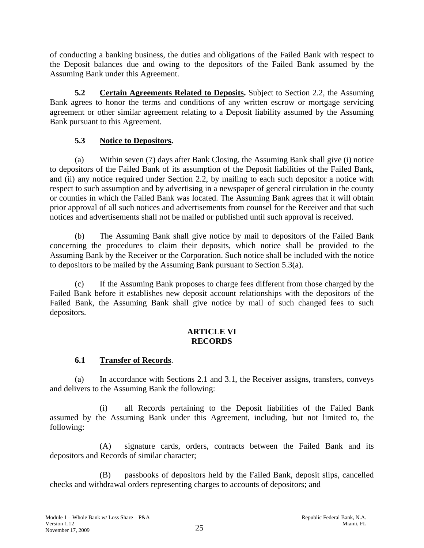of conducting a banking business, the duties and obligations of the Failed Bank with respect to the Deposit balances due and owing to the depositors of the Failed Bank assumed by the Assuming Bank under this Agreement.

<span id="page-28-0"></span>**5.2 Certain Agreements Related to Deposits.** Subject to Section 2.2, the Assuming Bank agrees to honor the terms and conditions of any written escrow or mortgage servicing agreement or other similar agreement relating to a Deposit liability assumed by the Assuming Bank pursuant to this Agreement.

# **5.3 Notice to Depositors.**

<span id="page-28-1"></span>(a) Within seven (7) days after Bank Closing, the Assuming Bank shall give (i) notice to depositors of the Failed Bank of its assumption of the Deposit liabilities of the Failed Bank, and (ii) any notice required under Section 2.2, by mailing to each such depositor a notice with respect to such assumption and by advertising in a newspaper of general circulation in the county or counties in which the Failed Bank was located. The Assuming Bank agrees that it will obtain prior approval of all such notices and advertisements from counsel for the Receiver and that such notices and advertisements shall not be mailed or published until such approval is received.

(b) The Assuming Bank shall give notice by mail to depositors of the Failed Bank concerning the procedures to claim their deposits, which notice shall be provided to the Assuming Bank by the Receiver or the Corporation. Such notice shall be included with the notice to depositors to be mailed by the Assuming Bank pursuant to Section 5.3(a).

(c) If the Assuming Bank proposes to charge fees different from those charged by the Failed Bank before it establishes new deposit account relationships with the depositors of the Failed Bank, the Assuming Bank shall give notice by mail of such changed fees to such depositors.

## **ARTICLE VI RECORDS**

# **6.1 Transfer of Records**.

<span id="page-28-3"></span><span id="page-28-2"></span>(a) In accordance with Sections 2.1 and 3.1, the Receiver assigns, transfers, conveys and delivers to the Assuming Bank the following:

(i) all Records pertaining to the Deposit liabilities of the Failed Bank assumed by the Assuming Bank under this Agreement, including, but not limited to, the following:

(A) signature cards, orders, contracts between the Failed Bank and its depositors and Records of similar character;

(B) passbooks of depositors held by the Failed Bank, deposit slips, cancelled checks and withdrawal orders representing charges to accounts of depositors; and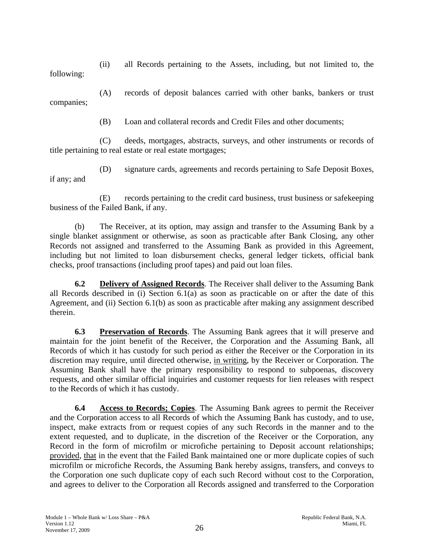following: (ii) all Records pertaining to the Assets, including, but not limited to, the

companies; (A) records of deposit balances carried with other banks, bankers or trust

(B) Loan and collateral records and Credit Files and other documents;

(C) deeds, mortgages, abstracts, surveys, and other instruments or records of title pertaining to real estate or real estate mortgages;

(D) signature cards, agreements and records pertaining to Safe Deposit Boxes, if any; and

(E) records pertaining to the credit card business, trust business or safekeeping business of the Failed Bank, if any.

(b) The Receiver, at its option, may assign and transfer to the Assuming Bank by a single blanket assignment or otherwise, as soon as practicable after Bank Closing, any other Records not assigned and transferred to the Assuming Bank as provided in this Agreement, including but not limited to loan disbursement checks, general ledger tickets, official bank checks, proof transactions (including proof tapes) and paid out loan files.

<span id="page-29-0"></span>**6.2 Delivery of Assigned Records**. The Receiver shall deliver to the Assuming Bank all Records described in (i) Section 6.1(a) as soon as practicable on or after the date of this Agreement, and (ii) Section 6.1(b) as soon as practicable after making any assignment described therein.

<span id="page-29-1"></span>**6.3 Preservation of Records**. The Assuming Bank agrees that it will preserve and maintain for the joint benefit of the Receiver, the Corporation and the Assuming Bank, all Records of which it has custody for such period as either the Receiver or the Corporation in its discretion may require, until directed otherwise, in writing, by the Receiver or Corporation. The Assuming Bank shall have the primary responsibility to respond to subpoenas, discovery requests, and other similar official inquiries and customer requests for lien releases with respect to the Records of which it has custody.

**6.4 Access to Records; Copies**. The Assuming Bank agrees to permit the Receiver and the Corporation access to all Records of which the Assuming Bank has custody, and to use, inspect, make extracts from or request copies of any such Records in the manner and to the extent requested, and to duplicate, in the discretion of the Receiver or the Corporation, any Record in the form of microfilm or microfiche pertaining to Deposit account relationships; provided, that in the event that the Failed Bank maintained one or more duplicate copies of such microfilm or microfiche Records, the Assuming Bank hereby assigns, transfers, and conveys to the Corporation one such duplicate copy of each such Record without cost to the Corporation, and agrees to deliver to the Corporation all Records assigned and transferred to the Corporation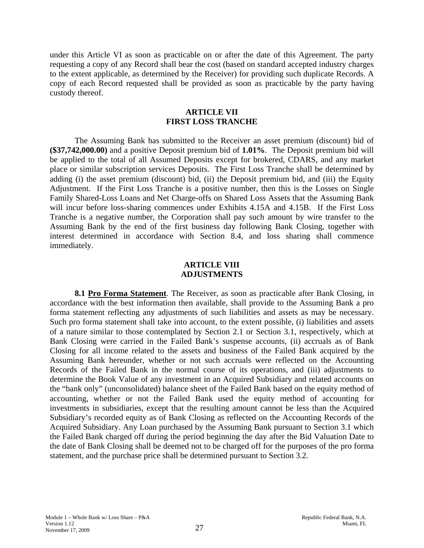under this Article VI as soon as practicable on or after the date of this Agreement. The party requesting a copy of any Record shall bear the cost (based on standard accepted industry charges to the extent applicable, as determined by the Receiver) for providing such duplicate Records. A copy of each Record requested shall be provided as soon as practicable by the party having custody thereof.

### **ARTICLE VII FIRST LOSS TRANCHE**

 The Assuming Bank has submitted to the Receiver an asset premium (discount) bid of **(\$37,742,000.00)** and a positive Deposit premium bid of **1.01%**. The Deposit premium bid will be applied to the total of all Assumed Deposits except for brokered, CDARS, and any market place or similar subscription services Deposits. The First Loss Tranche shall be determined by adding (i) the asset premium (discount) bid, (ii) the Deposit premium bid, and (iii) the Equity Adjustment. If the First Loss Tranche is a positive number, then this is the Losses on Single Family Shared-Loss Loans and Net Charge-offs on Shared Loss Assets that the Assuming Bank will incur before loss-sharing commences under Exhibits 4.15A and 4.15B. If the First Loss Tranche is a negative number, the Corporation shall pay such amount by wire transfer to the Assuming Bank by the end of the first business day following Bank Closing, together with interest determined in accordance with Section 8.4, and loss sharing shall commence immediately.

#### **ARTICLE VIII ADJUSTMENTS**

<span id="page-30-1"></span><span id="page-30-0"></span>**8.1 Pro Forma Statement**. The Receiver, as soon as practicable after Bank Closing, in accordance with the best information then available, shall provide to the Assuming Bank a pro forma statement reflecting any adjustments of such liabilities and assets as may be necessary. Such pro forma statement shall take into account, to the extent possible, (i) liabilities and assets of a nature similar to those contemplated by Section 2.1 or Section 3.1, respectively, which at Bank Closing were carried in the Failed Bank's suspense accounts, (ii) accruals as of Bank Closing for all income related to the assets and business of the Failed Bank acquired by the Assuming Bank hereunder, whether or not such accruals were reflected on the Accounting Records of the Failed Bank in the normal course of its operations, and (iii) adjustments to determine the Book Value of any investment in an Acquired Subsidiary and related accounts on the "bank only" (unconsolidated) balance sheet of the Failed Bank based on the equity method of accounting, whether or not the Failed Bank used the equity method of accounting for investments in subsidiaries, except that the resulting amount cannot be less than the Acquired Subsidiary's recorded equity as of Bank Closing as reflected on the Accounting Records of the Acquired Subsidiary. Any Loan purchased by the Assuming Bank pursuant to Section 3.1 which the Failed Bank charged off during the period beginning the day after the Bid Valuation Date to the date of Bank Closing shall be deemed not to be charged off for the purposes of the pro forma statement, and the purchase price shall be determined pursuant to Section 3.2.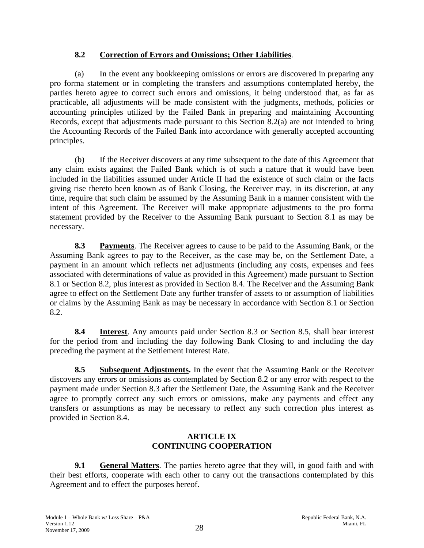## **8.2 Correction of Errors and Omissions; Other Liabilities**.

(a) In the event any bookkeeping omissions or errors are discovered in preparing any pro forma statement or in completing the transfers and assumptions contemplated hereby, the parties hereto agree to correct such errors and omissions, it being understood that, as far as practicable, all adjustments will be made consistent with the judgments, methods, policies or accounting principles utilized by the Failed Bank in preparing and maintaining Accounting Records, except that adjustments made pursuant to this Section 8.2(a) are not intended to bring the Accounting Records of the Failed Bank into accordance with generally accepted accounting principles.

(b) If the Receiver discovers at any time subsequent to the date of this Agreement that any claim exists against the Failed Bank which is of such a nature that it would have been included in the liabilities assumed under Article II had the existence of such claim or the facts giving rise thereto been known as of Bank Closing, the Receiver may, in its discretion, at any time, require that such claim be assumed by the Assuming Bank in a manner consistent with the intent of this Agreement. The Receiver will make appropriate adjustments to the pro forma statement provided by the Receiver to the Assuming Bank pursuant to Section 8.1 as may be necessary.

<span id="page-31-0"></span>**8.3 Payments**. The Receiver agrees to cause to be paid to the Assuming Bank, or the Assuming Bank agrees to pay to the Receiver, as the case may be, on the Settlement Date, a payment in an amount which reflects net adjustments (including any costs, expenses and fees associated with determinations of value as provided in this Agreement) made pursuant to Section 8.1 or Section 8.2, plus interest as provided in Section 8.4. The Receiver and the Assuming Bank agree to effect on the Settlement Date any further transfer of assets to or assumption of liabilities or claims by the Assuming Bank as may be necessary in accordance with Section 8.1 or Section 8.2.

<span id="page-31-1"></span>**8.4 Interest**. Any amounts paid under Section 8.3 or Section 8.5, shall bear interest for the period from and including the day following Bank Closing to and including the day preceding the payment at the Settlement Interest Rate.

<span id="page-31-2"></span>**8.5 Subsequent Adjustments.** In the event that the Assuming Bank or the Receiver discovers any errors or omissions as contemplated by Section 8.2 or any error with respect to the payment made under Section 8.3 after the Settlement Date, the Assuming Bank and the Receiver agree to promptly correct any such errors or omissions, make any payments and effect any transfers or assumptions as may be necessary to reflect any such correction plus interest as provided in Section 8.4.

## **ARTICLE IX CONTINUING COOPERATION**

<span id="page-31-4"></span><span id="page-31-3"></span>**9.1 General Matters**. The parties hereto agree that they will, in good faith and with their best efforts, cooperate with each other to carry out the transactions contemplated by this Agreement and to effect the purposes hereof.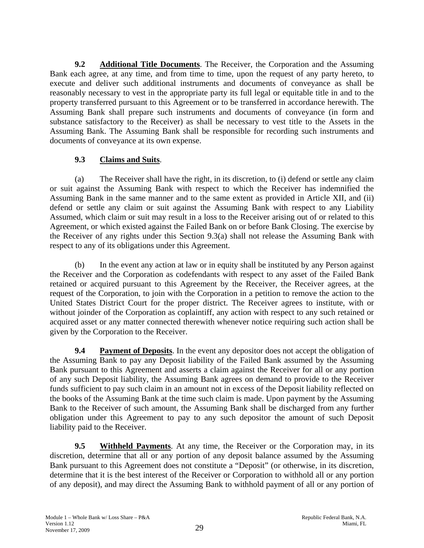<span id="page-32-0"></span>**9.2** Additional Title Documents. The Receiver, the Corporation and the Assuming Bank each agree, at any time, and from time to time, upon the request of any party hereto, to execute and deliver such additional instruments and documents of conveyance as shall be reasonably necessary to vest in the appropriate party its full legal or equitable title in and to the property transferred pursuant to this Agreement or to be transferred in accordance herewith. The Assuming Bank shall prepare such instruments and documents of conveyance (in form and substance satisfactory to the Receiver) as shall be necessary to vest title to the Assets in the Assuming Bank. The Assuming Bank shall be responsible for recording such instruments and documents of conveyance at its own expense.

# **9.3 Claims and Suits**.

<span id="page-32-1"></span>(a) The Receiver shall have the right, in its discretion, to (i) defend or settle any claim or suit against the Assuming Bank with respect to which the Receiver has indemnified the Assuming Bank in the same manner and to the same extent as provided in Article XII, and (ii) defend or settle any claim or suit against the Assuming Bank with respect to any Liability Assumed, which claim or suit may result in a loss to the Receiver arising out of or related to this Agreement, or which existed against the Failed Bank on or before Bank Closing. The exercise by the Receiver of any rights under this Section 9.3(a) shall not release the Assuming Bank with respect to any of its obligations under this Agreement.

(b) In the event any action at law or in equity shall be instituted by any Person against the Receiver and the Corporation as codefendants with respect to any asset of the Failed Bank retained or acquired pursuant to this Agreement by the Receiver, the Receiver agrees, at the request of the Corporation, to join with the Corporation in a petition to remove the action to the United States District Court for the proper district. The Receiver agrees to institute, with or without joinder of the Corporation as coplaintiff, any action with respect to any such retained or acquired asset or any matter connected therewith whenever notice requiring such action shall be given by the Corporation to the Receiver.

<span id="page-32-2"></span>**9.4 Payment of Deposits**. In the event any depositor does not accept the obligation of the Assuming Bank to pay any Deposit liability of the Failed Bank assumed by the Assuming Bank pursuant to this Agreement and asserts a claim against the Receiver for all or any portion of any such Deposit liability, the Assuming Bank agrees on demand to provide to the Receiver funds sufficient to pay such claim in an amount not in excess of the Deposit liability reflected on the books of the Assuming Bank at the time such claim is made. Upon payment by the Assuming Bank to the Receiver of such amount, the Assuming Bank shall be discharged from any further obligation under this Agreement to pay to any such depositor the amount of such Deposit liability paid to the Receiver.

<span id="page-32-3"></span>**9.5 Withheld Payments**. At any time, the Receiver or the Corporation may, in its discretion, determine that all or any portion of any deposit balance assumed by the Assuming Bank pursuant to this Agreement does not constitute a "Deposit" (or otherwise, in its discretion, determine that it is the best interest of the Receiver or Corporation to withhold all or any portion of any deposit), and may direct the Assuming Bank to withhold payment of all or any portion of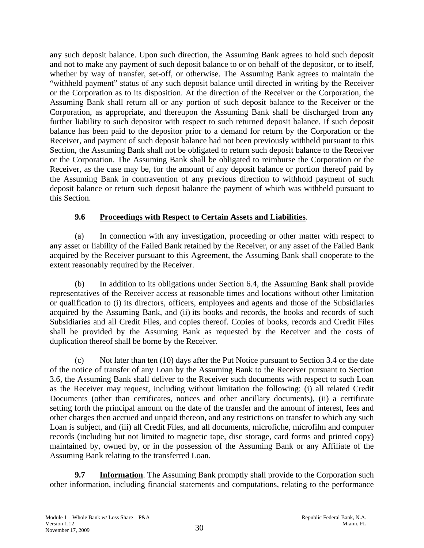any such deposit balance. Upon such direction, the Assuming Bank agrees to hold such deposit and not to make any payment of such deposit balance to or on behalf of the depositor, or to itself, whether by way of transfer, set-off, or otherwise. The Assuming Bank agrees to maintain the "withheld payment" status of any such deposit balance until directed in writing by the Receiver or the Corporation as to its disposition. At the direction of the Receiver or the Corporation, the Assuming Bank shall return all or any portion of such deposit balance to the Receiver or the Corporation, as appropriate, and thereupon the Assuming Bank shall be discharged from any further liability to such depositor with respect to such returned deposit balance. If such deposit balance has been paid to the depositor prior to a demand for return by the Corporation or the Receiver, and payment of such deposit balance had not been previously withheld pursuant to this Section, the Assuming Bank shall not be obligated to return such deposit balance to the Receiver or the Corporation. The Assuming Bank shall be obligated to reimburse the Corporation or the Receiver, as the case may be, for the amount of any deposit balance or portion thereof paid by the Assuming Bank in contravention of any previous direction to withhold payment of such deposit balance or return such deposit balance the payment of which was withheld pursuant to this Section.

## **9.6 Proceedings with Respect to Certain Assets and Liabilities**.

<span id="page-33-0"></span>(a) In connection with any investigation, proceeding or other matter with respect to any asset or liability of the Failed Bank retained by the Receiver, or any asset of the Failed Bank acquired by the Receiver pursuant to this Agreement, the Assuming Bank shall cooperate to the extent reasonably required by the Receiver.

(b) In addition to its obligations under Section 6.4, the Assuming Bank shall provide representatives of the Receiver access at reasonable times and locations without other limitation or qualification to (i) its directors, officers, employees and agents and those of the Subsidiaries acquired by the Assuming Bank, and (ii) its books and records, the books and records of such Subsidiaries and all Credit Files, and copies thereof. Copies of books, records and Credit Files shall be provided by the Assuming Bank as requested by the Receiver and the costs of duplication thereof shall be borne by the Receiver.

(c) Not later than ten (10) days after the Put Notice pursuant to Section 3.4 or the date of the notice of transfer of any Loan by the Assuming Bank to the Receiver pursuant to Section 3.6, the Assuming Bank shall deliver to the Receiver such documents with respect to such Loan as the Receiver may request, including without limitation the following: (i) all related Credit Documents (other than certificates, notices and other ancillary documents), (ii) a certificate setting forth the principal amount on the date of the transfer and the amount of interest, fees and other charges then accrued and unpaid thereon, and any restrictions on transfer to which any such Loan is subject, and (iii) all Credit Files, and all documents, microfiche, microfilm and computer records (including but not limited to magnetic tape, disc storage, card forms and printed copy) maintained by, owned by, or in the possession of the Assuming Bank or any Affiliate of the Assuming Bank relating to the transferred Loan.

<span id="page-33-1"></span>**9.7 Information**. The Assuming Bank promptly shall provide to the Corporation such other information, including financial statements and computations, relating to the performance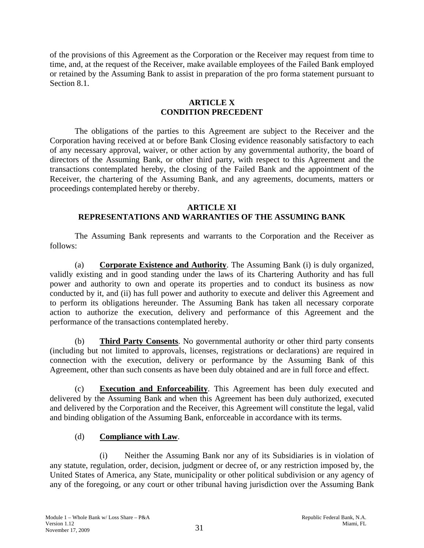of the provisions of this Agreement as the Corporation or the Receiver may request from time to time, and, at the request of the Receiver, make available employees of the Failed Bank employed or retained by the Assuming Bank to assist in preparation of the pro forma statement pursuant to Section 8.1.

### **ARTICLE X CONDITION PRECEDENT**

<span id="page-34-0"></span>The obligations of the parties to this Agreement are subject to the Receiver and the Corporation having received at or before Bank Closing evidence reasonably satisfactory to each of any necessary approval, waiver, or other action by any governmental authority, the board of directors of the Assuming Bank, or other third party, with respect to this Agreement and the transactions contemplated hereby, the closing of the Failed Bank and the appointment of the Receiver, the chartering of the Assuming Bank, and any agreements, documents, matters or proceedings contemplated hereby or thereby.

### **ARTICLE XI REPRESENTATIONS AND WARRANTIES OF THE ASSUMING BANK**

<span id="page-34-1"></span>The Assuming Bank represents and warrants to the Corporation and the Receiver as follows:

(a) **Corporate Existence and Authority**. The Assuming Bank (i) is duly organized, validly existing and in good standing under the laws of its Chartering Authority and has full power and authority to own and operate its properties and to conduct its business as now conducted by it, and (ii) has full power and authority to execute and deliver this Agreement and to perform its obligations hereunder. The Assuming Bank has taken all necessary corporate action to authorize the execution, delivery and performance of this Agreement and the performance of the transactions contemplated hereby.

(b) **Third Party Consents**. No governmental authority or other third party consents (including but not limited to approvals, licenses, registrations or declarations) are required in connection with the execution, delivery or performance by the Assuming Bank of this Agreement, other than such consents as have been duly obtained and are in full force and effect.

(c) **Execution and Enforceability**. This Agreement has been duly executed and delivered by the Assuming Bank and when this Agreement has been duly authorized, executed and delivered by the Corporation and the Receiver, this Agreement will constitute the legal, valid and binding obligation of the Assuming Bank, enforceable in accordance with its terms.

### (d) **Compliance with Law**.

(i) Neither the Assuming Bank nor any of its Subsidiaries is in violation of any statute, regulation, order, decision, judgment or decree of, or any restriction imposed by, the United States of America, any State, municipality or other political subdivision or any agency of any of the foregoing, or any court or other tribunal having jurisdiction over the Assuming Bank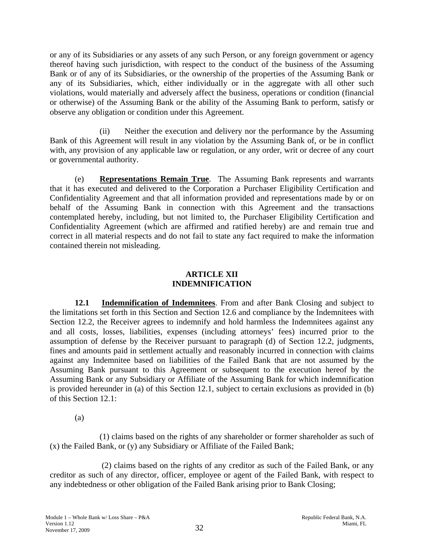or any of its Subsidiaries or any assets of any such Person, or any foreign government or agency thereof having such jurisdiction, with respect to the conduct of the business of the Assuming Bank or of any of its Subsidiaries, or the ownership of the properties of the Assuming Bank or any of its Subsidiaries, which, either individually or in the aggregate with all other such violations, would materially and adversely affect the business, operations or condition (financial or otherwise) of the Assuming Bank or the ability of the Assuming Bank to perform, satisfy or observe any obligation or condition under this Agreement.

(ii) Neither the execution and delivery nor the performance by the Assuming Bank of this Agreement will result in any violation by the Assuming Bank of, or be in conflict with, any provision of any applicable law or regulation, or any order, writ or decree of any court or governmental authority.

(e) **Representations Remain True**. The Assuming Bank represents and warrants that it has executed and delivered to the Corporation a Purchaser Eligibility Certification and Confidentiality Agreement and that all information provided and representations made by or on behalf of the Assuming Bank in connection with this Agreement and the transactions contemplated hereby, including, but not limited to, the Purchaser Eligibility Certification and Confidentiality Agreement (which are affirmed and ratified hereby) are and remain true and correct in all material respects and do not fail to state any fact required to make the information contained therein not misleading.

### **ARTICLE XII INDEMNIFICATION**

<span id="page-35-0"></span>**12.1** Indemnification of Indemnitees. From and after Bank Closing and subject to the limitations set forth in this Section and Section 12.6 and compliance by the Indemnitees with Section 12.2, the Receiver agrees to indemnify and hold harmless the Indemnitees against any and all costs, losses, liabilities, expenses (including attorneys' fees) incurred prior to the assumption of defense by the Receiver pursuant to paragraph (d) of Section 12.2, judgments, fines and amounts paid in settlement actually and reasonably incurred in connection with claims against any Indemnitee based on liabilities of the Failed Bank that are not assumed by the Assuming Bank pursuant to this Agreement or subsequent to the execution hereof by the Assuming Bank or any Subsidiary or Affiliate of the Assuming Bank for which indemnification is provided hereunder in (a) of this Section 12.1, subject to certain exclusions as provided in (b) of this Section 12.1:

(a)

(1) claims based on the rights of any shareholder or former shareholder as such of (x) the Failed Bank, or (y) any Subsidiary or Affiliate of the Failed Bank;

(2) claims based on the rights of any creditor as such of the Failed Bank, or any creditor as such of any director, officer, employee or agent of the Failed Bank, with respect to any indebtedness or other obligation of the Failed Bank arising prior to Bank Closing;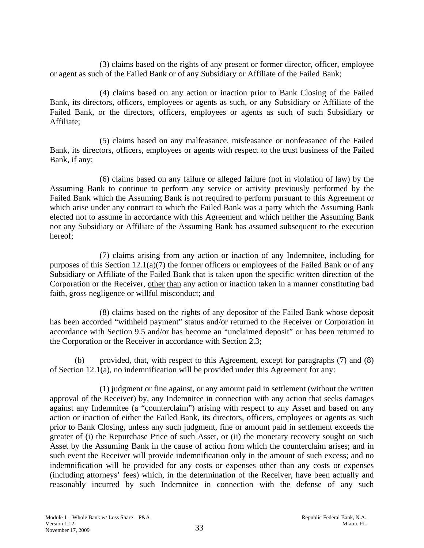(3) claims based on the rights of any present or former director, officer, employee or agent as such of the Failed Bank or of any Subsidiary or Affiliate of the Failed Bank;

(4) claims based on any action or inaction prior to Bank Closing of the Failed Bank, its directors, officers, employees or agents as such, or any Subsidiary or Affiliate of the Failed Bank, or the directors, officers, employees or agents as such of such Subsidiary or Affiliate;

(5) claims based on any malfeasance, misfeasance or nonfeasance of the Failed Bank, its directors, officers, employees or agents with respect to the trust business of the Failed Bank, if any;

(6) claims based on any failure or alleged failure (not in violation of law) by the Assuming Bank to continue to perform any service or activity previously performed by the Failed Bank which the Assuming Bank is not required to perform pursuant to this Agreement or which arise under any contract to which the Failed Bank was a party which the Assuming Bank elected not to assume in accordance with this Agreement and which neither the Assuming Bank nor any Subsidiary or Affiliate of the Assuming Bank has assumed subsequent to the execution hereof;

(7) claims arising from any action or inaction of any Indemnitee, including for purposes of this Section 12.1(a)(7) the former officers or employees of the Failed Bank or of any Subsidiary or Affiliate of the Failed Bank that is taken upon the specific written direction of the Corporation or the Receiver, other than any action or inaction taken in a manner constituting bad faith, gross negligence or willful misconduct; and

(8) claims based on the rights of any depositor of the Failed Bank whose deposit has been accorded "withheld payment" status and/or returned to the Receiver or Corporation in accordance with Section 9.5 and/or has become an "unclaimed deposit" or has been returned to the Corporation or the Receiver in accordance with Section 2.3;

(b) provided, that, with respect to this Agreement, except for paragraphs (7) and (8) of Section 12.1(a), no indemnification will be provided under this Agreement for any:

(1) judgment or fine against, or any amount paid in settlement (without the written approval of the Receiver) by, any Indemnitee in connection with any action that seeks damages against any Indemnitee (a "counterclaim") arising with respect to any Asset and based on any action or inaction of either the Failed Bank, its directors, officers, employees or agents as such prior to Bank Closing, unless any such judgment, fine or amount paid in settlement exceeds the greater of (i) the Repurchase Price of such Asset, or (ii) the monetary recovery sought on such Asset by the Assuming Bank in the cause of action from which the counterclaim arises; and in such event the Receiver will provide indemnification only in the amount of such excess; and no indemnification will be provided for any costs or expenses other than any costs or expenses (including attorneys' fees) which, in the determination of the Receiver, have been actually and reasonably incurred by such Indemnitee in connection with the defense of any such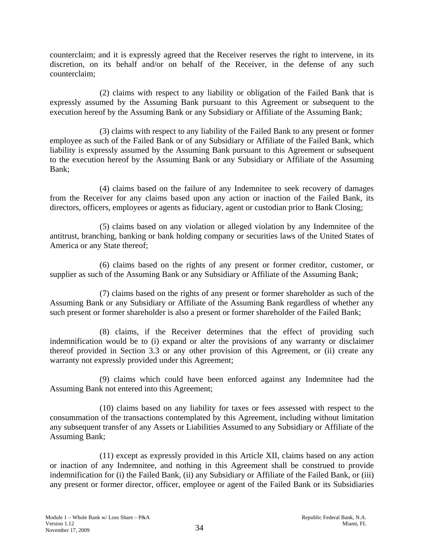counterclaim; and it is expressly agreed that the Receiver reserves the right to intervene, in its discretion, on its behalf and/or on behalf of the Receiver, in the defense of any such counterclaim;

(2) claims with respect to any liability or obligation of the Failed Bank that is expressly assumed by the Assuming Bank pursuant to this Agreement or subsequent to the execution hereof by the Assuming Bank or any Subsidiary or Affiliate of the Assuming Bank;

(3) claims with respect to any liability of the Failed Bank to any present or former employee as such of the Failed Bank or of any Subsidiary or Affiliate of the Failed Bank, which liability is expressly assumed by the Assuming Bank pursuant to this Agreement or subsequent to the execution hereof by the Assuming Bank or any Subsidiary or Affiliate of the Assuming Bank;

(4) claims based on the failure of any Indemnitee to seek recovery of damages from the Receiver for any claims based upon any action or inaction of the Failed Bank, its directors, officers, employees or agents as fiduciary, agent or custodian prior to Bank Closing;

(5) claims based on any violation or alleged violation by any Indemnitee of the antitrust, branching, banking or bank holding company or securities laws of the United States of America or any State thereof;

(6) claims based on the rights of any present or former creditor, customer, or supplier as such of the Assuming Bank or any Subsidiary or Affiliate of the Assuming Bank;

(7) claims based on the rights of any present or former shareholder as such of the Assuming Bank or any Subsidiary or Affiliate of the Assuming Bank regardless of whether any such present or former shareholder is also a present or former shareholder of the Failed Bank;

(8) claims, if the Receiver determines that the effect of providing such indemnification would be to (i) expand or alter the provisions of any warranty or disclaimer thereof provided in Section 3.3 or any other provision of this Agreement, or (ii) create any warranty not expressly provided under this Agreement;

(9) claims which could have been enforced against any Indemnitee had the Assuming Bank not entered into this Agreement;

(10) claims based on any liability for taxes or fees assessed with respect to the consummation of the transactions contemplated by this Agreement, including without limitation any subsequent transfer of any Assets or Liabilities Assumed to any Subsidiary or Affiliate of the Assuming Bank;

(11) except as expressly provided in this Article XII, claims based on any action or inaction of any Indemnitee, and nothing in this Agreement shall be construed to provide indemnification for (i) the Failed Bank, (ii) any Subsidiary or Affiliate of the Failed Bank, or (iii) any present or former director, officer, employee or agent of the Failed Bank or its Subsidiaries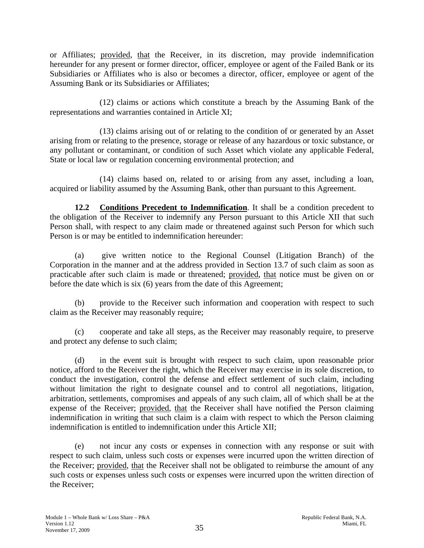or Affiliates; provided, that the Receiver, in its discretion, may provide indemnification hereunder for any present or former director, officer, employee or agent of the Failed Bank or its Subsidiaries or Affiliates who is also or becomes a director, officer, employee or agent of the Assuming Bank or its Subsidiaries or Affiliates;

(12) claims or actions which constitute a breach by the Assuming Bank of the representations and warranties contained in Article XI;

(13) claims arising out of or relating to the condition of or generated by an Asset arising from or relating to the presence, storage or release of any hazardous or toxic substance, or any pollutant or contaminant, or condition of such Asset which violate any applicable Federal, State or local law or regulation concerning environmental protection; and

(14) claims based on, related to or arising from any asset, including a loan, acquired or liability assumed by the Assuming Bank, other than pursuant to this Agreement.

**12.2 Conditions Precedent to Indemnification**. It shall be a condition precedent to the obligation of the Receiver to indemnify any Person pursuant to this Article XII that such Person shall, with respect to any claim made or threatened against such Person for which such Person is or may be entitled to indemnification hereunder:

(a) give written notice to the Regional Counsel (Litigation Branch) of the Corporation in the manner and at the address provided in Section 13.7 of such claim as soon as practicable after such claim is made or threatened; provided, that notice must be given on or before the date which is six (6) years from the date of this Agreement;

(b) provide to the Receiver such information and cooperation with respect to such claim as the Receiver may reasonably require;

(c) cooperate and take all steps, as the Receiver may reasonably require, to preserve and protect any defense to such claim;

(d) in the event suit is brought with respect to such claim, upon reasonable prior notice, afford to the Receiver the right, which the Receiver may exercise in its sole discretion, to conduct the investigation, control the defense and effect settlement of such claim, including without limitation the right to designate counsel and to control all negotiations, litigation, arbitration, settlements, compromises and appeals of any such claim, all of which shall be at the expense of the Receiver; provided, that the Receiver shall have notified the Person claiming indemnification in writing that such claim is a claim with respect to which the Person claiming indemnification is entitled to indemnification under this Article XII;

(e) not incur any costs or expenses in connection with any response or suit with respect to such claim, unless such costs or expenses were incurred upon the written direction of the Receiver; provided, that the Receiver shall not be obligated to reimburse the amount of any such costs or expenses unless such costs or expenses were incurred upon the written direction of the Receiver;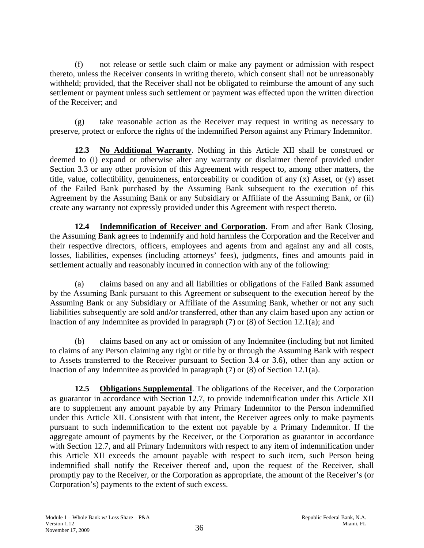(f) not release or settle such claim or make any payment or admission with respect thereto, unless the Receiver consents in writing thereto, which consent shall not be unreasonably withheld; provided, that the Receiver shall not be obligated to reimburse the amount of any such settlement or payment unless such settlement or payment was effected upon the written direction of the Receiver; and

(g) take reasonable action as the Receiver may request in writing as necessary to preserve, protect or enforce the rights of the indemnified Person against any Primary Indemnitor.

**12.3 No Additional Warranty**. Nothing in this Article XII shall be construed or deemed to (i) expand or otherwise alter any warranty or disclaimer thereof provided under Section 3.3 or any other provision of this Agreement with respect to, among other matters, the title, value, collectibility, genuineness, enforceability or condition of any (x) Asset, or (y) asset of the Failed Bank purchased by the Assuming Bank subsequent to the execution of this Agreement by the Assuming Bank or any Subsidiary or Affiliate of the Assuming Bank, or (ii) create any warranty not expressly provided under this Agreement with respect thereto.

**12.4 Indemnification of Receiver and Corporation**. From and after Bank Closing, the Assuming Bank agrees to indemnify and hold harmless the Corporation and the Receiver and their respective directors, officers, employees and agents from and against any and all costs, losses, liabilities, expenses (including attorneys' fees), judgments, fines and amounts paid in settlement actually and reasonably incurred in connection with any of the following:

(a) claims based on any and all liabilities or obligations of the Failed Bank assumed by the Assuming Bank pursuant to this Agreement or subsequent to the execution hereof by the Assuming Bank or any Subsidiary or Affiliate of the Assuming Bank, whether or not any such liabilities subsequently are sold and/or transferred, other than any claim based upon any action or inaction of any Indemnitee as provided in paragraph (7) or (8) of Section 12.1(a); and

(b) claims based on any act or omission of any Indemnitee (including but not limited to claims of any Person claiming any right or title by or through the Assuming Bank with respect to Assets transferred to the Receiver pursuant to Section 3.4 or 3.6), other than any action or inaction of any Indemnitee as provided in paragraph (7) or (8) of Section 12.1(a).

**12.5 Obligations Supplemental**. The obligations of the Receiver, and the Corporation as guarantor in accordance with Section 12.7, to provide indemnification under this Article XII are to supplement any amount payable by any Primary Indemnitor to the Person indemnified under this Article XII. Consistent with that intent, the Receiver agrees only to make payments pursuant to such indemnification to the extent not payable by a Primary Indemnitor. If the aggregate amount of payments by the Receiver, or the Corporation as guarantor in accordance with Section 12.7, and all Primary Indemnitors with respect to any item of indemnification under this Article XII exceeds the amount payable with respect to such item, such Person being indemnified shall notify the Receiver thereof and, upon the request of the Receiver, shall promptly pay to the Receiver, or the Corporation as appropriate, the amount of the Receiver's (or Corporation's) payments to the extent of such excess.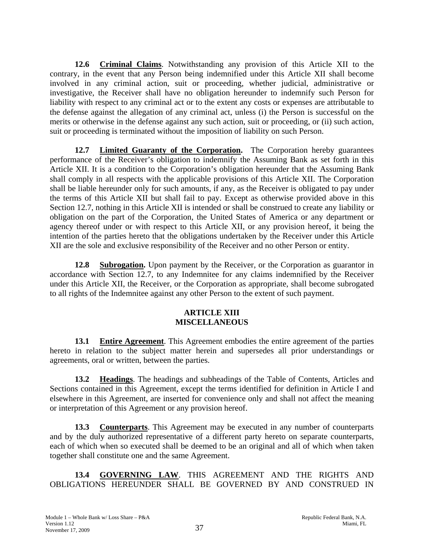**12.6 Criminal Claims**. Notwithstanding any provision of this Article XII to the contrary, in the event that any Person being indemnified under this Article XII shall become involved in any criminal action, suit or proceeding, whether judicial, administrative or investigative, the Receiver shall have no obligation hereunder to indemnify such Person for liability with respect to any criminal act or to the extent any costs or expenses are attributable to the defense against the allegation of any criminal act, unless (i) the Person is successful on the merits or otherwise in the defense against any such action, suit or proceeding, or (ii) such action, suit or proceeding is terminated without the imposition of liability on such Person.

12.7 **Limited Guaranty of the Corporation.** The Corporation hereby guarantees performance of the Receiver's obligation to indemnify the Assuming Bank as set forth in this Article XII. It is a condition to the Corporation's obligation hereunder that the Assuming Bank shall comply in all respects with the applicable provisions of this Article XII. The Corporation shall be liable hereunder only for such amounts, if any, as the Receiver is obligated to pay under the terms of this Article XII but shall fail to pay. Except as otherwise provided above in this Section 12.7, nothing in this Article XII is intended or shall be construed to create any liability or obligation on the part of the Corporation, the United States of America or any department or agency thereof under or with respect to this Article XII, or any provision hereof, it being the intention of the parties hereto that the obligations undertaken by the Receiver under this Article XII are the sole and exclusive responsibility of the Receiver and no other Person or entity.

**12.8** Subrogation. Upon payment by the Receiver, or the Corporation as guarantor in accordance with Section 12.7, to any Indemnitee for any claims indemnified by the Receiver under this Article XII, the Receiver, or the Corporation as appropriate, shall become subrogated to all rights of the Indemnitee against any other Person to the extent of such payment.

### **ARTICLE XIII MISCELLANEOUS**

**13.1 Entire Agreement**. This Agreement embodies the entire agreement of the parties hereto in relation to the subject matter herein and supersedes all prior understandings or agreements, oral or written, between the parties.

**13.2 Headings**. The headings and subheadings of the Table of Contents, Articles and Sections contained in this Agreement, except the terms identified for definition in Article I and elsewhere in this Agreement, are inserted for convenience only and shall not affect the meaning or interpretation of this Agreement or any provision hereof.

13.3 Counterparts. This Agreement may be executed in any number of counterparts and by the duly authorized representative of a different party hereto on separate counterparts, each of which when so executed shall be deemed to be an original and all of which when taken together shall constitute one and the same Agreement.

**13.4 GOVERNING LAW**. THIS AGREEMENT AND THE RIGHTS AND OBLIGATIONS HEREUNDER SHALL BE GOVERNED BY AND CONSTRUED IN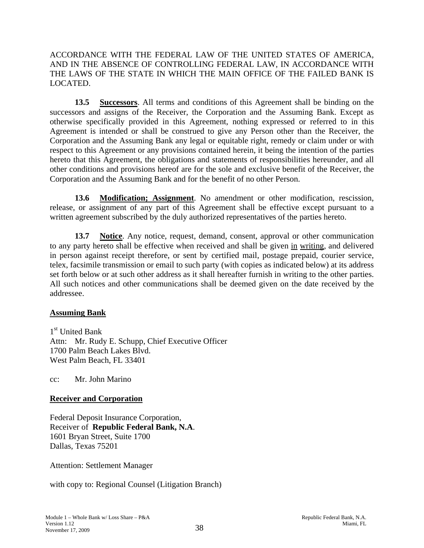ACCORDANCE WITH THE FEDERAL LAW OF THE UNITED STATES OF AMERICA, AND IN THE ABSENCE OF CONTROLLING FEDERAL LAW, IN ACCORDANCE WITH THE LAWS OF THE STATE IN WHICH THE MAIN OFFICE OF THE FAILED BANK IS LOCATED.

13.5 Successors. All terms and conditions of this Agreement shall be binding on the successors and assigns of the Receiver, the Corporation and the Assuming Bank. Except as otherwise specifically provided in this Agreement, nothing expressed or referred to in this Agreement is intended or shall be construed to give any Person other than the Receiver, the Corporation and the Assuming Bank any legal or equitable right, remedy or claim under or with respect to this Agreement or any provisions contained herein, it being the intention of the parties hereto that this Agreement, the obligations and statements of responsibilities hereunder, and all other conditions and provisions hereof are for the sole and exclusive benefit of the Receiver, the Corporation and the Assuming Bank and for the benefit of no other Person.

**13.6 Modification; Assignment**. No amendment or other modification, rescission, release, or assignment of any part of this Agreement shall be effective except pursuant to a written agreement subscribed by the duly authorized representatives of the parties hereto.

**13.7 Notice**. Any notice, request, demand, consent, approval or other communication to any party hereto shall be effective when received and shall be given in writing, and delivered in person against receipt therefore, or sent by certified mail, postage prepaid, courier service, telex, facsimile transmission or email to such party (with copies as indicated below) at its address set forth below or at such other address as it shall hereafter furnish in writing to the other parties. All such notices and other communications shall be deemed given on the date received by the addressee.

## **Assuming Bank**

1<sup>st</sup> United Bank Attn: Mr. Rudy E. Schupp, Chief Executive Officer 1700 Palm Beach Lakes Blvd. West Palm Beach, FL 33401

cc: Mr. John Marino

# **Receiver and Corporation**

Federal Deposit Insurance Corporation, Receiver of **Republic Federal Bank, N.A**. 1601 Bryan Street, Suite 1700 Dallas, Texas 75201

Attention: Settlement Manager

with copy to: Regional Counsel (Litigation Branch)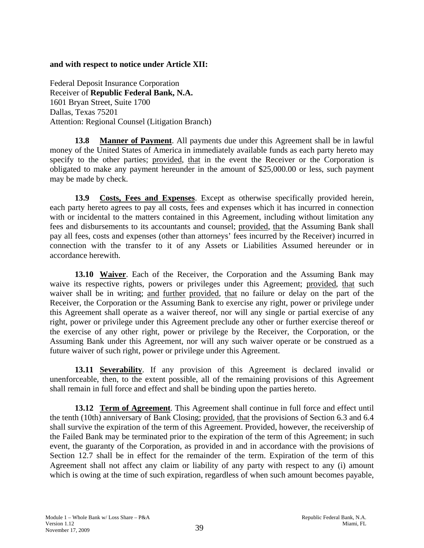### **and with respect to notice under Article XII:**

Federal Deposit Insurance Corporation Receiver of **Republic Federal Bank, N.A.**  1601 Bryan Street, Suite 1700 Dallas, Texas 75201 Attention: Regional Counsel (Litigation Branch)

 **13.8 Manner of Payment**. All payments due under this Agreement shall be in lawful money of the United States of America in immediately available funds as each party hereto may specify to the other parties; provided, that in the event the Receiver or the Corporation is obligated to make any payment hereunder in the amount of \$25,000.00 or less, such payment may be made by check.

**13.9 Costs, Fees and Expenses**. Except as otherwise specifically provided herein, each party hereto agrees to pay all costs, fees and expenses which it has incurred in connection with or incidental to the matters contained in this Agreement, including without limitation any fees and disbursements to its accountants and counsel; provided, that the Assuming Bank shall pay all fees, costs and expenses (other than attorneys' fees incurred by the Receiver) incurred in connection with the transfer to it of any Assets or Liabilities Assumed hereunder or in accordance herewith.

**13.10 Waiver**. Each of the Receiver, the Corporation and the Assuming Bank may waive its respective rights, powers or privileges under this Agreement; provided, that such waiver shall be in writing; and further provided, that no failure or delay on the part of the Receiver, the Corporation or the Assuming Bank to exercise any right, power or privilege under this Agreement shall operate as a waiver thereof, nor will any single or partial exercise of any right, power or privilege under this Agreement preclude any other or further exercise thereof or the exercise of any other right, power or privilege by the Receiver, the Corporation, or the Assuming Bank under this Agreement, nor will any such waiver operate or be construed as a future waiver of such right, power or privilege under this Agreement.

**13.11 Severability**. If any provision of this Agreement is declared invalid or unenforceable, then, to the extent possible, all of the remaining provisions of this Agreement shall remain in full force and effect and shall be binding upon the parties hereto.

**13.12 Term of Agreement**. This Agreement shall continue in full force and effect until the tenth (10th) anniversary of Bank Closing; provided, that the provisions of Section 6.3 and 6.4 shall survive the expiration of the term of this Agreement. Provided, however, the receivership of the Failed Bank may be terminated prior to the expiration of the term of this Agreement; in such event, the guaranty of the Corporation, as provided in and in accordance with the provisions of Section 12.7 shall be in effect for the remainder of the term. Expiration of the term of this Agreement shall not affect any claim or liability of any party with respect to any (i) amount which is owing at the time of such expiration, regardless of when such amount becomes payable,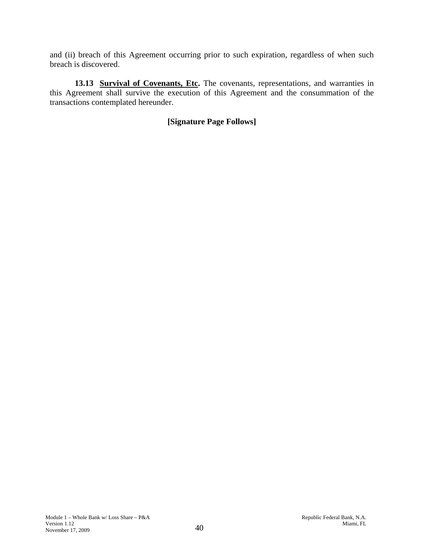and (ii) breach of this Agreement occurring prior to such expiration, regardless of when such breach is discovered.

13.13 **Survival of Covenants, Etc.** The covenants, representations, and warranties in this Agreement shall survive the execution of this Agreement and the consummation of the transactions contemplated hereunder.

# **[Signature Page Follows]**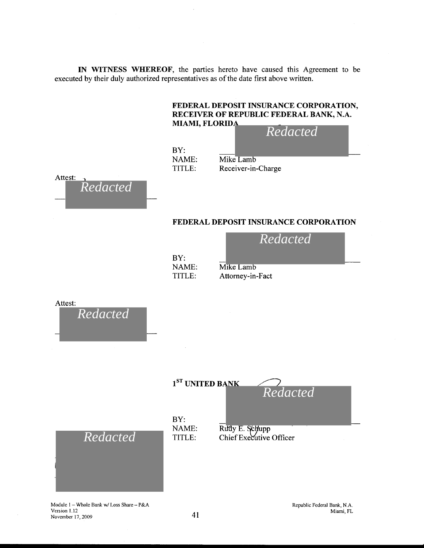IN WITNESS WHEREOF, the parties hereto have caused this Agreement to be executed by their duly authorized representatives as of the date first above written.



November 17,2009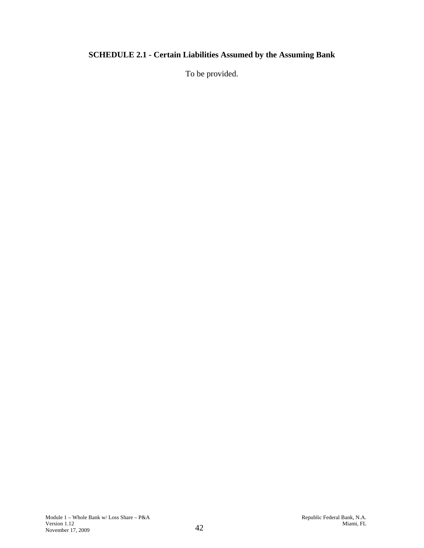# **SCHEDULE 2.1 - Certain Liabilities Assumed by the Assuming Bank**

To be provided.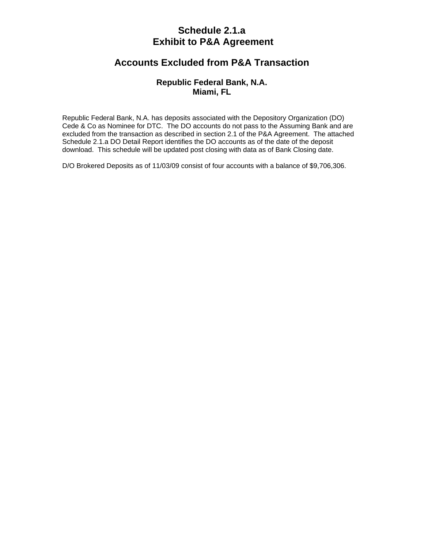# **Schedule 2.1.a Exhibit to P&A Agreement**

# **Accounts Excluded from P&A Transaction**

## **Republic Federal Bank, N.A. Miami, FL**

Republic Federal Bank, N.A. has deposits associated with the Depository Organization (DO) Cede & Co as Nominee for DTC. The DO accounts do not pass to the Assuming Bank and are excluded from the transaction as described in section 2.1 of the P&A Agreement. The attached Schedule 2.1.a DO Detail Report identifies the DO accounts as of the date of the deposit download. This schedule will be updated post closing with data as of Bank Closing date.

D/O Brokered Deposits as of 11/03/09 consist of four accounts with a balance of \$9,706,306.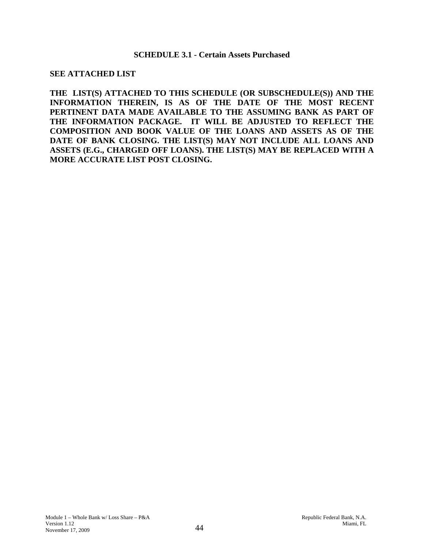### **SEE ATTACHED LIST**

THE LIST(S) ATTACHED TO THIS SCHEDULE (OR SUBSCHEDULE(S)) AND THE **INFORMATION THEREIN, IS AS OF THE DATE OF THE MOST RECENT PERTINENT DATA MADE AVAILABLE TO THE ASSUMING BANK AS PART OF THE INFORMATION PACKAGE. IT WILL BE ADJUSTED TO REFLECT THE COMPOSITION AND BOOK VALUE OF THE LOANS AND ASSETS AS OF THE DATE OF BANK CLOSING. THE LIST(S) MAY NOT INCLUDE ALL LOANS AND ASSETS (E.G., CHARGED OFF LOANS). THE LIST(S) MAY BE REPLACED WITH A MORE ACCURATE LIST POST CLOSING.**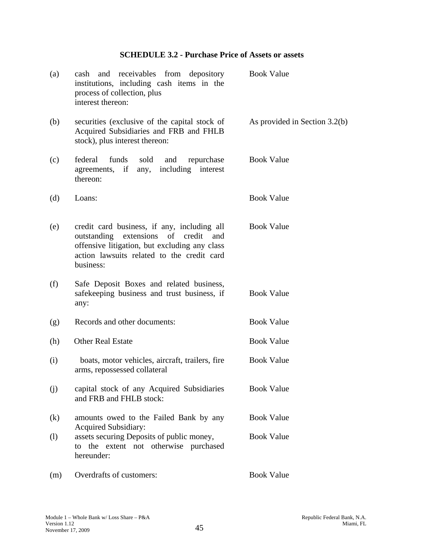# **SCHEDULE 3.2 - Purchase Price of Assets or assets**

| (a) | cash and receivables from depository<br>institutions, including cash items in the<br>process of collection, plus<br>interest thereon:                                                              | <b>Book Value</b>               |
|-----|----------------------------------------------------------------------------------------------------------------------------------------------------------------------------------------------------|---------------------------------|
| (b) | securities (exclusive of the capital stock of<br>Acquired Subsidiaries and FRB and FHLB<br>stock), plus interest thereon:                                                                          | As provided in Section $3.2(b)$ |
| (c) | federal<br>funds<br>sold<br>and<br>repurchase<br>if<br>agreements,<br>including interest<br>any,<br>thereon:                                                                                       | <b>Book Value</b>               |
| (d) | Loans:                                                                                                                                                                                             | <b>Book Value</b>               |
| (e) | credit card business, if any, including all<br>outstanding extensions<br>of credit and<br>offensive litigation, but excluding any class<br>action lawsuits related to the credit card<br>business: | <b>Book Value</b>               |
| (f) | Safe Deposit Boxes and related business,<br>safekeeping business and trust business, if<br>any:                                                                                                    | <b>Book Value</b>               |
| (g) | Records and other documents:                                                                                                                                                                       | <b>Book Value</b>               |
| (h) | <b>Other Real Estate</b>                                                                                                                                                                           | <b>Book Value</b>               |
| (i) | boats, motor vehicles, aircraft, trailers, fire<br>arms, repossessed collateral                                                                                                                    | <b>Book Value</b>               |
| (j) | capital stock of any Acquired Subsidiaries<br>and FRB and FHLB stock:                                                                                                                              | <b>Book Value</b>               |
| (k) | amounts owed to the Failed Bank by any                                                                                                                                                             | <b>Book Value</b>               |
| (1) | <b>Acquired Subsidiary:</b><br>assets securing Deposits of public money,<br>to the extent not otherwise purchased<br>hereunder:                                                                    | <b>Book Value</b>               |
| (m) | Overdrafts of customers:                                                                                                                                                                           | <b>Book Value</b>               |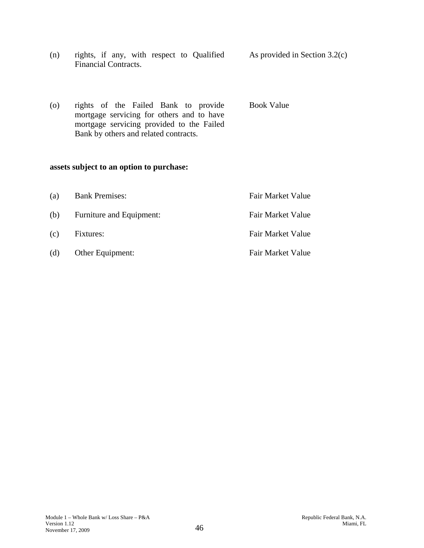- (n) rights, if any, with respect to Qualified As provided in Section 3.2(c) Financial Contracts.
- (o) rights of the Failed Bank to provide Book Value mortgage servicing for others and to have mortgage servicing provided to the Failed Bank by others and related contracts.

### **assets subject to an option to purchase:**

| (a) | <b>Bank Premises:</b>    | Fair Market Value |
|-----|--------------------------|-------------------|
| (b) | Furniture and Equipment: | Fair Market Value |
| (c) | Fixtures:                | Fair Market Value |
| (d) | Other Equipment:         | Fair Market Value |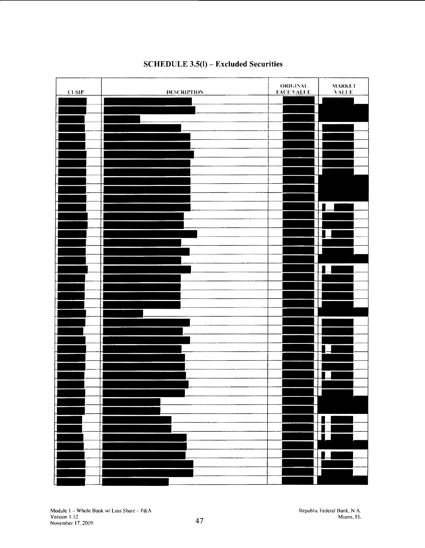

# **SCHEDULE 3.5(1)- Excluded Securities**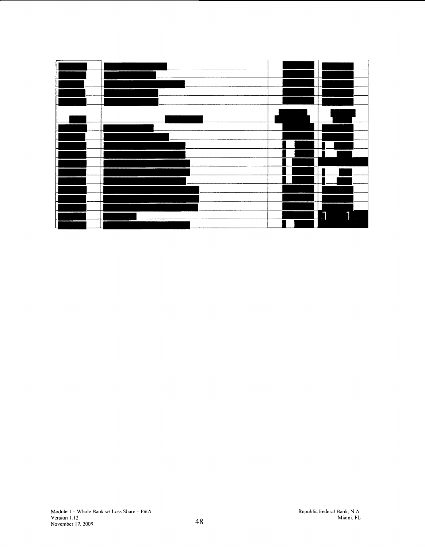| $\overline{\mathsf{I}}$ |  |
|-------------------------|--|
|                         |  |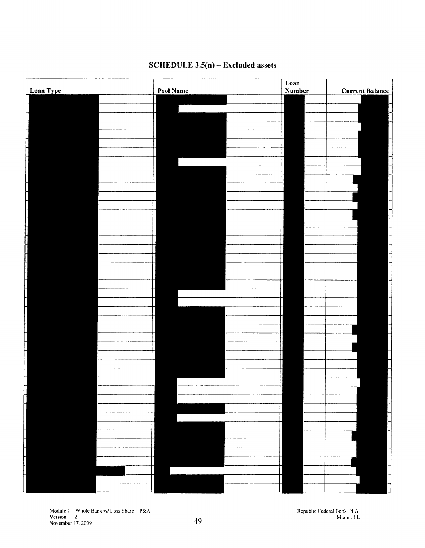|           |           | Loan          |                        |
|-----------|-----------|---------------|------------------------|
| Loan Type | Pool Name | <b>Number</b> | <b>Current Balance</b> |
|           |           |               |                        |
|           |           |               |                        |
|           |           |               |                        |
|           |           |               |                        |
|           |           |               |                        |
|           |           |               |                        |
|           |           |               |                        |
|           |           |               |                        |
|           |           |               |                        |
|           |           |               |                        |
|           |           |               |                        |
|           |           |               |                        |
|           |           |               |                        |
|           |           |               |                        |
|           |           |               |                        |
|           |           |               |                        |
|           |           |               |                        |
|           |           |               |                        |
|           |           |               |                        |
|           |           |               |                        |
|           |           |               |                        |
|           |           |               |                        |
|           |           |               |                        |
|           |           |               |                        |
|           |           |               |                        |
|           |           |               |                        |
|           |           |               |                        |
|           |           |               |                        |
|           |           |               |                        |
|           |           |               |                        |
|           |           |               |                        |
|           |           |               |                        |
|           |           |               |                        |
|           |           |               |                        |
|           |           |               |                        |
|           |           |               |                        |
|           |           |               |                        |
|           |           |               |                        |
|           |           |               |                        |
|           |           |               |                        |
|           |           |               |                        |
|           |           |               |                        |
|           |           |               |                        |
|           |           |               |                        |
|           |           |               |                        |
|           |           |               |                        |
|           |           |               |                        |
|           |           |               |                        |
|           |           |               |                        |
|           |           |               |                        |
|           |           |               |                        |
|           |           |               |                        |
|           |           |               |                        |
|           |           |               |                        |
|           |           |               |                        |

# **SCHEDULE 3.5(n)** – Excluded assets

Module I Whole Bank w/ Loss Share- P&A Version 1.12 November 17,2009 49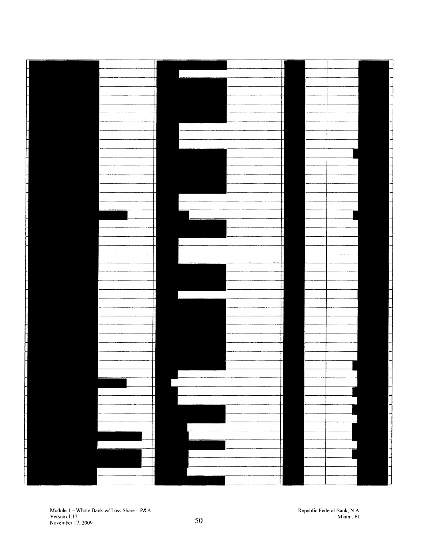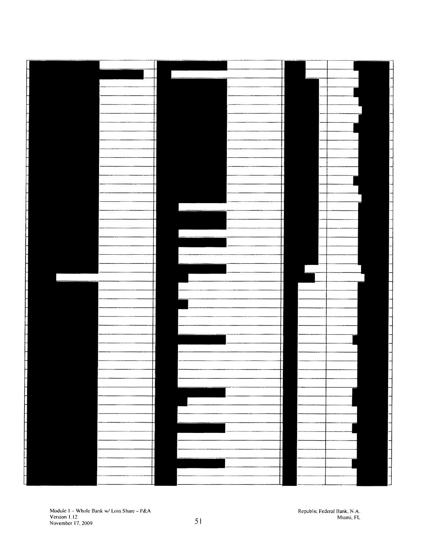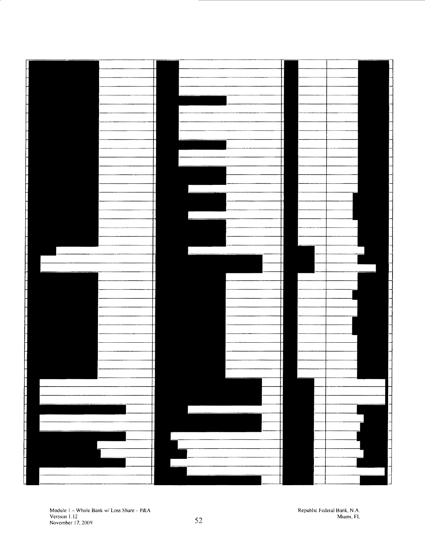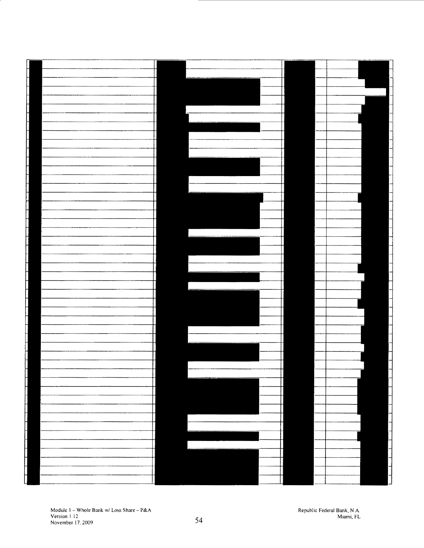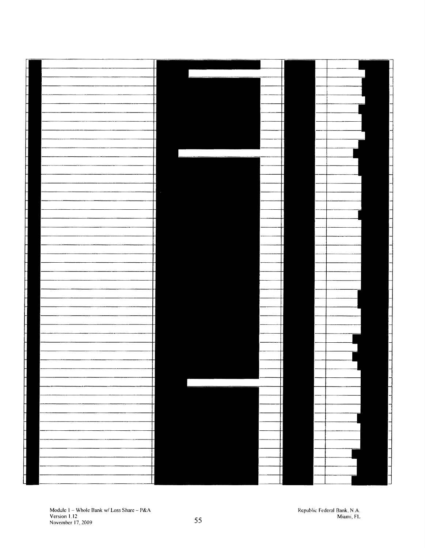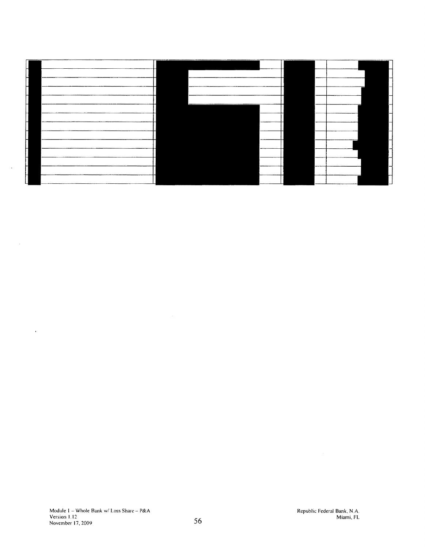$\ddot{\cdot}$ 

 $\sim$   $\sim$ 

 $\sim$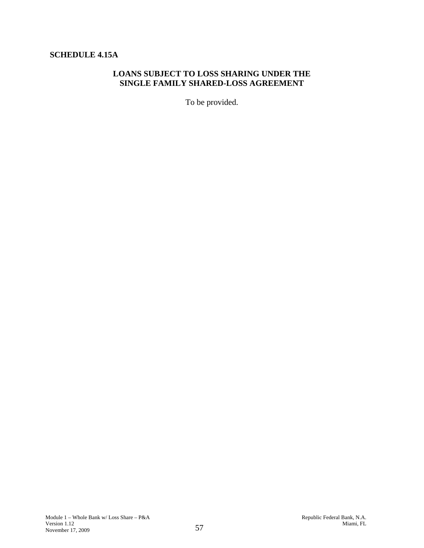# **SCHEDULE 4.15A**

# **LOANS SUBJECT TO LOSS SHARING UNDER THE SINGLE FAMILY SHARED-LOSS AGREEMENT**

To be provided.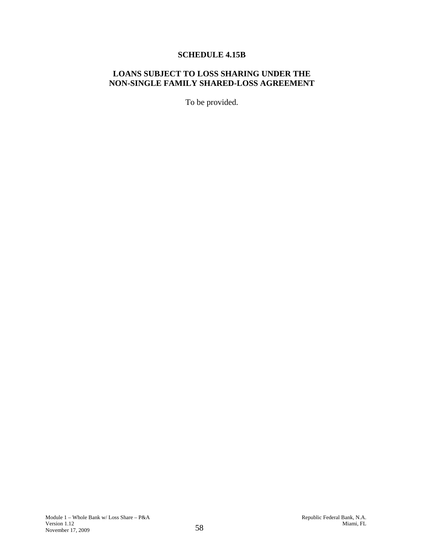# **SCHEDULE 4.15B**

# **LOANS SUBJECT TO LOSS SHARING UNDER THE NON-SINGLE FAMILY SHARED-LOSS AGREEMENT**

To be provided.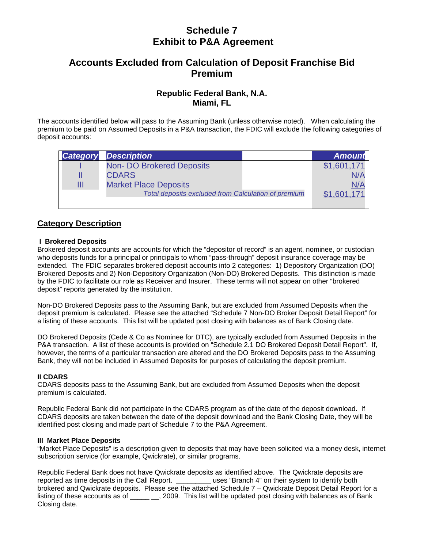# **Schedule 7 Exhibit to P&A Agreement**

# **Premium Accounts Excluded from Calculation of Deposit Franchise Bid**

# **Republic Federal Bank, N.A. Miami, FL**

The accounts identified below will pass to the Assuming Bank (unless otherwise noted). When calculating the premium to be paid on Assumed Deposits in a P&A transaction, the FDIC will exclude the following categories of deposit accounts:

| <b>Category</b> | <b>Description</b>                                  | <b>Amount</b> |
|-----------------|-----------------------------------------------------|---------------|
|                 | <b>Non-DO Brokered Deposits</b>                     | \$1,601,171   |
|                 | <b>CDARS</b>                                        | N/A           |
| Ш               | <b>Market Place Deposits</b>                        | N/A           |
|                 | Total deposits excluded from Calculation of premium | .171          |
|                 |                                                     |               |

### **Category Description**

#### **I Brokered Deposits**

Brokered deposit accounts are accounts for which the "depositor of record" is an agent, nominee, or custodian who deposits funds for a principal or principals to whom "pass-through" deposit insurance coverage may be extended. The FDIC separates brokered deposit accounts into 2 categories: 1) Depository Organization (DO) Brokered Deposits and 2) Non-Depository Organization (Non-DO) Brokered Deposits. This distinction is made by the FDIC to facilitate our role as Receiver and Insurer. These terms will not appear on other "brokered deposit" reports generated by the institution.

Non-DO Brokered Deposits pass to the Assuming Bank, but are excluded from Assumed Deposits when the deposit premium is calculated. Please see the attached "Schedule 7 Non-DO Broker Deposit Detail Report" for a listing of these accounts. This list will be updated post closing with balances as of Bank Closing date.

DO Brokered Deposits (Cede & Co as Nominee for DTC), are typically excluded from Assumed Deposits in the P&A transaction. A list of these accounts is provided on "Schedule 2.1 DO Brokered Deposit Detail Report". If, however, the terms of a particular transaction are altered and the DO Brokered Deposits pass to the Assuming Bank, they will not be included in Assumed Deposits for purposes of calculating the deposit premium.

#### **II CDARS**

CDARS deposits pass to the Assuming Bank, but are excluded from Assumed Deposits when the deposit premium is calculated.

Republic Federal Bank did not participate in the CDARS program as of the date of the deposit download. If CDARS deposits are taken between the date of the deposit download and the Bank Closing Date, they will be identified post closing and made part of Schedule 7 to the P&A Agreement.

#### **III Market Place Deposits**

"Market Place Deposits" is a description given to deposits that may have been solicited via a money desk, internet subscription service (for example, Qwickrate), or similar programs.

Republic Federal Bank does not have Qwickrate deposits as identified above. The Qwickrate deposits are reported as time deposits in the Call Report. \_\_\_\_\_\_\_\_\_\_\_ uses "Branch 4" on their system to identify both brokered and Qwickrate deposits. Please see the attached Schedule 7 – Qwickrate Deposit Detail Report for a listing of these accounts as of  $\qquad \qquad$ , 2009. This list will be updated post closing with balances as of Bank Closing date.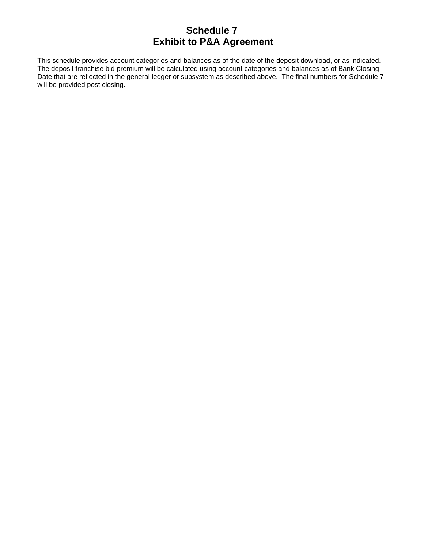# **Schedule 7 Exhibit to P&A Agreement**

This schedule provides account categories and balances as of the date of the deposit download, or as indicated. The deposit franchise bid premium will be calculated using account categories and balances as of Bank Closing Date that are reflected in the general ledger or subsystem as described above. The final numbers for Schedule 7 will be provided post closing.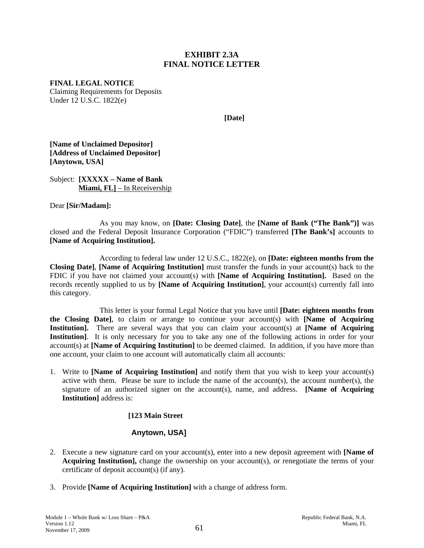### **EXHIBIT 2.3A FINAL NOTICE LETTER**

#### **FINAL LEGAL NOTICE**

Claiming Requirements for Deposits Under 12 U.S.C. 1822(e)

**[Date]** 

**[Name of Unclaimed Depositor] [Address of Unclaimed Depositor] [Anytown, USA]** 

Subject: **[XXXXX – Name of Bank Miami, FL]** – In Receivership

Dear **[Sir/Madam]:** 

As you may know, on **[Date: Closing Date]**, the **[Name of Bank ("The Bank")]** was closed and the Federal Deposit Insurance Corporation ("FDIC") transferred **[The Bank's]** accounts to **[Name of Acquiring Institution].** 

According to federal law under 12 U.S.C., 1822(e), on **[Date: eighteen months from the Closing Date]**, **[Name of Acquiring Institution]** must transfer the funds in your account(s) back to the FDIC if you have not claimed your account(s) with **[Name of Acquiring Institution].** Based on the records recently supplied to us by **[Name of Acquiring Institution]**, your account(s) currently fall into this category.

This letter is your formal Legal Notice that you have until **[Date: eighteen months from the Closing Date]**, to claim or arrange to continue your account(s) with **[Name of Acquiring Institution].** There are several ways that you can claim your account(s) at **[Name of Acquiring Institution]**. It is only necessary for you to take any one of the following actions in order for your account(s) at **[Name of Acquiring Institution]** to be deemed claimed. In addition, if you have more than one account, your claim to one account will automatically claim all accounts:

 signature of an authorized signer on the account(s), name, and address. **[Name of Acquiring**  1. Write to **[Name of Acquiring Institution]** and notify them that you wish to keep your account(s) active with them. Please be sure to include the name of the account(s), the account number(s), the **Institution]** address is:

### **[123 Main Street**

## **Anytown, USA]**

- 2. Execute a new signature card on your account(s), enter into a new deposit agreement with **[Name of Acquiring Institution],** change the ownership on your account(s), or renegotiate the terms of your certificate of deposit account(s) (if any).
- 3. Provide **[Name of Acquiring Institution]** with a change of address form.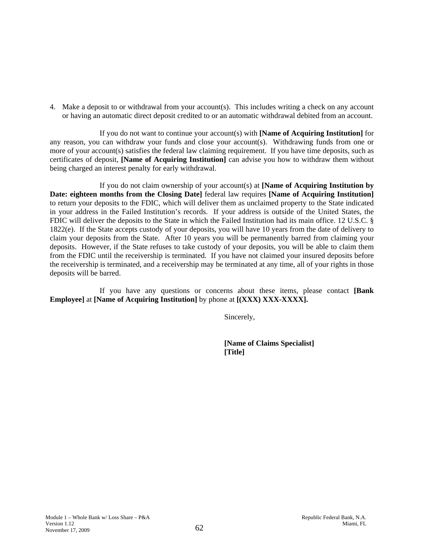4. Make a deposit to or withdrawal from your account(s). This includes writing a check on any account or having an automatic direct deposit credited to or an automatic withdrawal debited from an account.

If you do not want to continue your account(s) with **[Name of Acquiring Institution]** for any reason, you can withdraw your funds and close your account(s). Withdrawing funds from one or more of your account(s) satisfies the federal law claiming requirement. If you have time deposits, such as certificates of deposit, **[Name of Acquiring Institution]** can advise you how to withdraw them without being charged an interest penalty for early withdrawal.

If you do not claim ownership of your account(s) at **[Name of Acquiring Institution by Date: eighteen months from the Closing Date]** federal law requires **[Name of Acquiring Institution]**  to return your deposits to the FDIC, which will deliver them as unclaimed property to the State indicated in your address in the Failed Institution's records. If your address is outside of the United States, the FDIC will deliver the deposits to the State in which the Failed Institution had its main office. 12 U.S.C. § 1822(e). If the State accepts custody of your deposits, you will have 10 years from the date of delivery to claim your deposits from the State. After 10 years you will be permanently barred from claiming your deposits. However, if the State refuses to take custody of your deposits, you will be able to claim them from the FDIC until the receivership is terminated. If you have not claimed your insured deposits before the receivership is terminated, and a receivership may be terminated at any time, all of your rights in those deposits will be barred.

If you have any questions or concerns about these items, please contact **[Bank Employee]** at **[Name of Acquiring Institution]** by phone at **[(XXX) XXX-XXXX].** 

Sincerely,

**[Name of Claims Specialist] [Title]**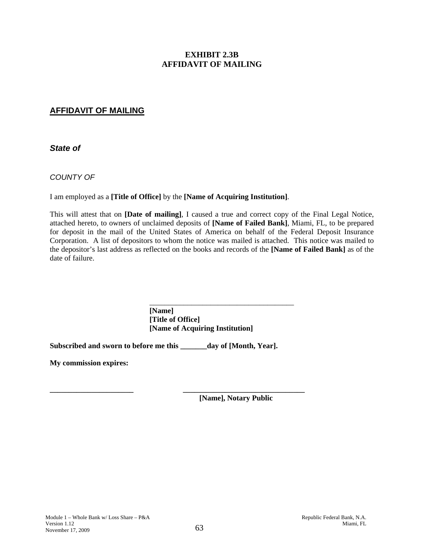# **EXHIBIT 2.3B AFFIDAVIT OF MAILING**

## **AFFIDAVIT OF MAILING**

*State of* 

*COUNTY OF* 

I am employed as a **[Title of Office]** by the **[Name of Acquiring Institution]**.

This will attest that on **[Date of mailing]**, I caused a true and correct copy of the Final Legal Notice, attached hereto, to owners of unclaimed deposits of **[Name of Failed Bank]**, Miami, FL, to be prepared for deposit in the mail of the United States of America on behalf of the Federal Deposit Insurance Corporation. A list of depositors to whom the notice was mailed is attached. This notice was mailed to the depositor's last address as reflected on the books and records of the **[Name of Failed Bank]** as of the date of failure.

 $\overline{\phantom{a}}$  , and the contract of the contract of the contract of the contract of the contract of the contract of the contract of the contract of the contract of the contract of the contract of the contract of the contrac **[Name] [Title of Office] [Name of Acquiring Institution]** 

**Subscribed and sworn to before me this \_\_\_\_\_\_\_day of [Month, Year].** 

**My commission expires:** 

**\_\_\_\_\_\_\_\_\_\_\_\_\_\_\_\_\_\_\_\_\_\_ \_\_\_\_\_\_\_\_\_\_\_\_\_\_\_\_\_\_\_\_\_\_\_\_\_\_\_\_\_\_\_\_ [Name], Notary Public**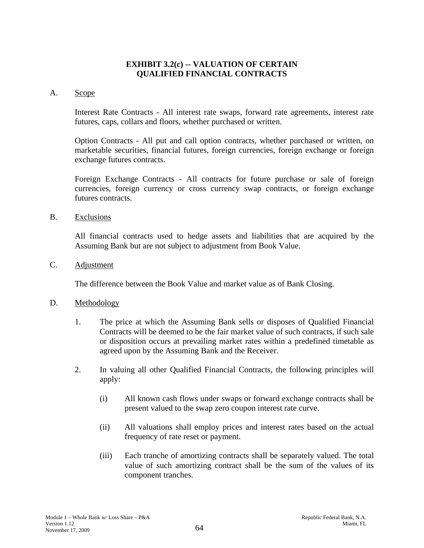# **EXHIBIT 3.2(c) -- VALUATION OF CERTAIN QUALIFIED FINANCIAL CONTRACTS**

### A. Scope

Interest Rate Contracts - All interest rate swaps, forward rate agreements, interest rate futures, caps, collars and floors, whether purchased or written.

Option Contracts - All put and call option contracts, whether purchased or written, on marketable securities, financial futures, foreign currencies, foreign exchange or foreign exchange futures contracts.

Foreign Exchange Contracts - All contracts for future purchase or sale of foreign currencies, foreign currency or cross currency swap contracts, or foreign exchange futures contracts.

### B. Exclusions

All financial contracts used to hedge assets and liabilities that are acquired by the Assuming Bank but are not subject to adjustment from Book Value.

### C. Adjustment

The difference between the Book Value and market value as of Bank Closing.

### D. Methodology

- 1. The price at which the Assuming Bank sells or disposes of Qualified Financial Contracts will be deemed to be the fair market value of such contracts, if such sale or disposition occurs at prevailing market rates within a predefined timetable as agreed upon by the Assuming Bank and the Receiver.
- 2. In valuing all other Qualified Financial Contracts, the following principles will apply:
	- (i) All known cash flows under swaps or forward exchange contracts shall be present valued to the swap zero coupon interest rate curve.
	- (ii) All valuations shall employ prices and interest rates based on the actual frequency of rate reset or payment.
	- (iii) Each tranche of amortizing contracts shall be separately valued. The total value of such amortizing contract shall be the sum of the values of its component tranches.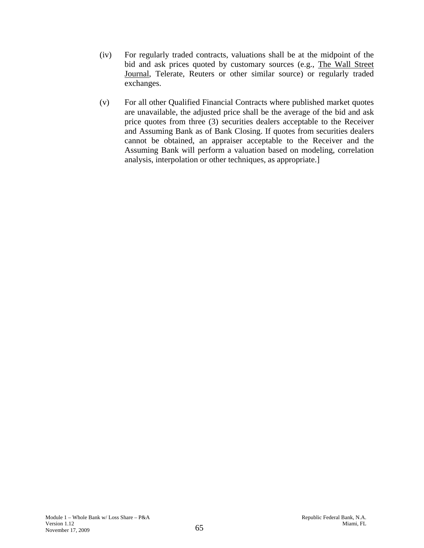- (iv) For regularly traded contracts, valuations shall be at the midpoint of the bid and ask prices quoted by customary sources (e.g., The Wall Street Journal, Telerate, Reuters or other similar source) or regularly traded exchanges.
- (v) For all other Qualified Financial Contracts where published market quotes are unavailable, the adjusted price shall be the average of the bid and ask price quotes from three (3) securities dealers acceptable to the Receiver and Assuming Bank as of Bank Closing. If quotes from securities dealers cannot be obtained, an appraiser acceptable to the Receiver and the Assuming Bank will perform a valuation based on modeling, correlation analysis, interpolation or other techniques, as appropriate.]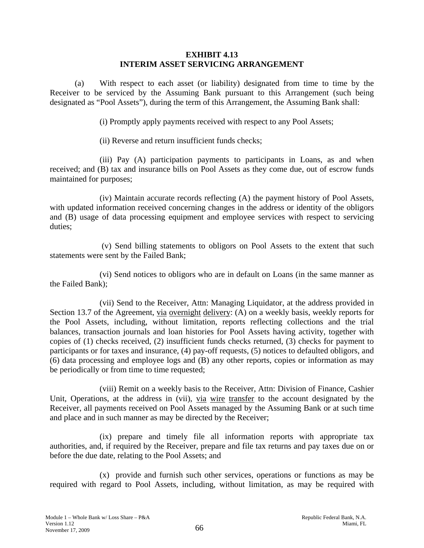### **EXHIBIT 4.13 INTERIM ASSET SERVICING ARRANGEMENT**

(a) With respect to each asset (or liability) designated from time to time by the Receiver to be serviced by the Assuming Bank pursuant to this Arrangement (such being designated as "Pool Assets"), during the term of this Arrangement, the Assuming Bank shall:

(i) Promptly apply payments received with respect to any Pool Assets;

(ii) Reverse and return insufficient funds checks;

(iii) Pay (A) participation payments to participants in Loans, as and when received; and (B) tax and insurance bills on Pool Assets as they come due, out of escrow funds maintained for purposes;

(iv) Maintain accurate records reflecting (A) the payment history of Pool Assets, with updated information received concerning changes in the address or identity of the obligors and (B) usage of data processing equipment and employee services with respect to servicing duties;

(v) Send billing statements to obligors on Pool Assets to the extent that such statements were sent by the Failed Bank;

(vi) Send notices to obligors who are in default on Loans (in the same manner as the Failed Bank);

(vii) Send to the Receiver, Attn: Managing Liquidator, at the address provided in Section 13.7 of the Agreement, via overnight delivery: (A) on a weekly basis, weekly reports for the Pool Assets, including, without limitation, reports reflecting collections and the trial balances, transaction journals and loan histories for Pool Assets having activity, together with copies of (1) checks received, (2) insufficient funds checks returned, (3) checks for payment to participants or for taxes and insurance, (4) pay-off requests, (5) notices to defaulted obligors, and (6) data processing and employee logs and (B) any other reports, copies or information as may be periodically or from time to time requested;

(viii) Remit on a weekly basis to the Receiver, Attn: Division of Finance, Cashier Unit, Operations, at the address in (vii), via wire transfer to the account designated by the Receiver, all payments received on Pool Assets managed by the Assuming Bank or at such time and place and in such manner as may be directed by the Receiver;

(ix) prepare and timely file all information reports with appropriate tax authorities, and, if required by the Receiver, prepare and file tax returns and pay taxes due on or before the due date, relating to the Pool Assets; and

(x) provide and furnish such other services, operations or functions as may be required with regard to Pool Assets, including, without limitation, as may be required with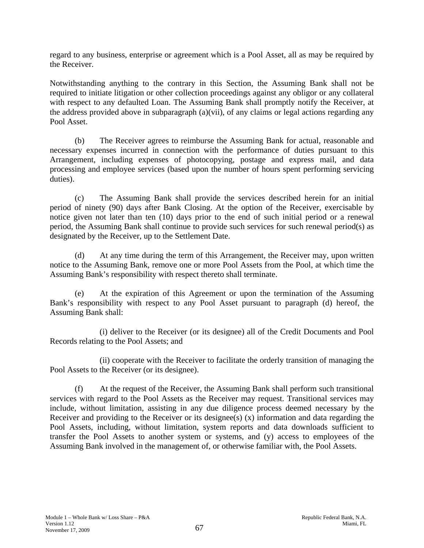regard to any business, enterprise or agreement which is a Pool Asset, all as may be required by the Receiver.

Notwithstanding anything to the contrary in this Section, the Assuming Bank shall not be required to initiate litigation or other collection proceedings against any obligor or any collateral with respect to any defaulted Loan. The Assuming Bank shall promptly notify the Receiver, at the address provided above in subparagraph (a)(vii), of any claims or legal actions regarding any Pool Asset.

(b) The Receiver agrees to reimburse the Assuming Bank for actual, reasonable and necessary expenses incurred in connection with the performance of duties pursuant to this Arrangement, including expenses of photocopying, postage and express mail, and data processing and employee services (based upon the number of hours spent performing servicing duties).

(c) The Assuming Bank shall provide the services described herein for an initial period of ninety (90) days after Bank Closing. At the option of the Receiver, exercisable by notice given not later than ten (10) days prior to the end of such initial period or a renewal period, the Assuming Bank shall continue to provide such services for such renewal period(s) as designated by the Receiver, up to the Settlement Date.

(d) At any time during the term of this Arrangement, the Receiver may, upon written notice to the Assuming Bank, remove one or more Pool Assets from the Pool, at which time the Assuming Bank's responsibility with respect thereto shall terminate.

(e) At the expiration of this Agreement or upon the termination of the Assuming Bank's responsibility with respect to any Pool Asset pursuant to paragraph (d) hereof, the Assuming Bank shall:

(i) deliver to the Receiver (or its designee) all of the Credit Documents and Pool Records relating to the Pool Assets; and

(ii) cooperate with the Receiver to facilitate the orderly transition of managing the Pool Assets to the Receiver (or its designee).

(f) At the request of the Receiver, the Assuming Bank shall perform such transitional services with regard to the Pool Assets as the Receiver may request. Transitional services may include, without limitation, assisting in any due diligence process deemed necessary by the Receiver and providing to the Receiver or its designee(s) (x) information and data regarding the Pool Assets, including, without limitation, system reports and data downloads sufficient to transfer the Pool Assets to another system or systems, and (y) access to employees of the Assuming Bank involved in the management of, or otherwise familiar with, the Pool Assets.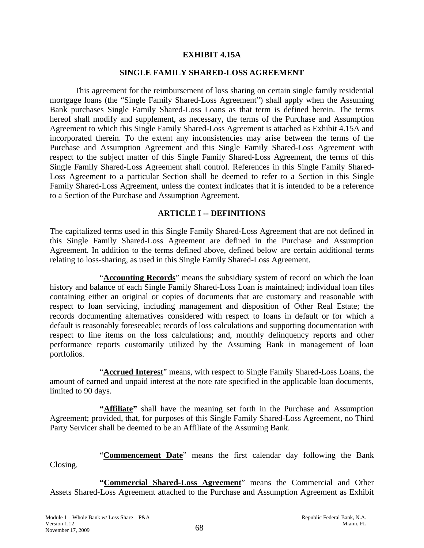### **EXHIBIT 4.15A**

### **SINGLE FAMILY SHARED-LOSS AGREEMENT**

This agreement for the reimbursement of loss sharing on certain single family residential mortgage loans (the "Single Family Shared-Loss Agreement") shall apply when the Assuming Bank purchases Single Family Shared-Loss Loans as that term is defined herein. The terms hereof shall modify and supplement, as necessary, the terms of the Purchase and Assumption Agreement to which this Single Family Shared-Loss Agreement is attached as Exhibit 4.15A and incorporated therein. To the extent any inconsistencies may arise between the terms of the Purchase and Assumption Agreement and this Single Family Shared-Loss Agreement with respect to the subject matter of this Single Family Shared-Loss Agreement, the terms of this Single Family Shared-Loss Agreement shall control. References in this Single Family Shared-Loss Agreement to a particular Section shall be deemed to refer to a Section in this Single Family Shared-Loss Agreement, unless the context indicates that it is intended to be a reference to a Section of the Purchase and Assumption Agreement.

### **ARTICLE I -- DEFINITIONS**

The capitalized terms used in this Single Family Shared-Loss Agreement that are not defined in this Single Family Shared-Loss Agreement are defined in the Purchase and Assumption Agreement. In addition to the terms defined above, defined below are certain additional terms relating to loss-sharing, as used in this Single Family Shared-Loss Agreement.

"**Accounting Records**" means the subsidiary system of record on which the loan history and balance of each Single Family Shared-Loss Loan is maintained; individual loan files containing either an original or copies of documents that are customary and reasonable with respect to loan servicing, including management and disposition of Other Real Estate; the records documenting alternatives considered with respect to loans in default or for which a default is reasonably foreseeable; records of loss calculations and supporting documentation with respect to line items on the loss calculations; and, monthly delinquency reports and other performance reports customarily utilized by the Assuming Bank in management of loan portfolios.

"**Accrued Interest**" means, with respect to Single Family Shared-Loss Loans, the amount of earned and unpaid interest at the note rate specified in the applicable loan documents, limited to 90 days.

**"Affiliate"** shall have the meaning set forth in the Purchase and Assumption Agreement; provided, that, for purposes of this Single Family Shared-Loss Agreement, no Third Party Servicer shall be deemed to be an Affiliate of the Assuming Bank.

"**Commencement Date**" means the first calendar day following the Bank Closing.

**"Commercial Shared-Loss Agreement**" means the Commercial and Other Assets Shared-Loss Agreement attached to the Purchase and Assumption Agreement as Exhibit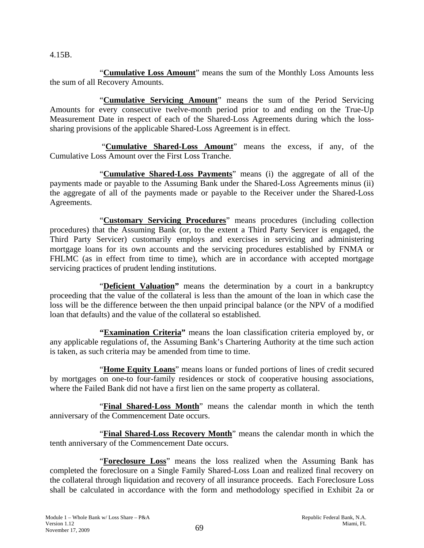4.15B.

"**Cumulative Loss Amount**" means the sum of the Monthly Loss Amounts less the sum of all Recovery Amounts.

"**Cumulative Servicing Amount**" means the sum of the Period Servicing Amounts for every consecutive twelve-month period prior to and ending on the True-Up Measurement Date in respect of each of the Shared-Loss Agreements during which the losssharing provisions of the applicable Shared-Loss Agreement is in effect.

"**Cumulative Shared-Loss Amount**" means the excess, if any, of the Cumulative Loss Amount over the First Loss Tranche.

"**Cumulative Shared-Loss Payments**" means (i) the aggregate of all of the payments made or payable to the Assuming Bank under the Shared-Loss Agreements minus (ii) the aggregate of all of the payments made or payable to the Receiver under the Shared-Loss Agreements.

"**Customary Servicing Procedures**" means procedures (including collection procedures) that the Assuming Bank (or, to the extent a Third Party Servicer is engaged, the Third Party Servicer) customarily employs and exercises in servicing and administering mortgage loans for its own accounts and the servicing procedures established by FNMA or FHLMC (as in effect from time to time), which are in accordance with accepted mortgage servicing practices of prudent lending institutions.

"**Deficient Valuation"** means the determination by a court in a bankruptcy proceeding that the value of the collateral is less than the amount of the loan in which case the loss will be the difference between the then unpaid principal balance (or the NPV of a modified loan that defaults) and the value of the collateral so established.

**"Examination Criteria"** means the loan classification criteria employed by, or any applicable regulations of, the Assuming Bank's Chartering Authority at the time such action is taken, as such criteria may be amended from time to time.

"**Home Equity Loans**" means loans or funded portions of lines of credit secured by mortgages on one-to four-family residences or stock of cooperative housing associations, where the Failed Bank did not have a first lien on the same property as collateral.

"**Final Shared-Loss Month**" means the calendar month in which the tenth anniversary of the Commencement Date occurs.

"**Final Shared-Loss Recovery Month**" means the calendar month in which the tenth anniversary of the Commencement Date occurs.

"**Foreclosure Loss**" means the loss realized when the Assuming Bank has completed the foreclosure on a Single Family Shared-Loss Loan and realized final recovery on the collateral through liquidation and recovery of all insurance proceeds. Each Foreclosure Loss shall be calculated in accordance with the form and methodology specified in Exhibit 2a or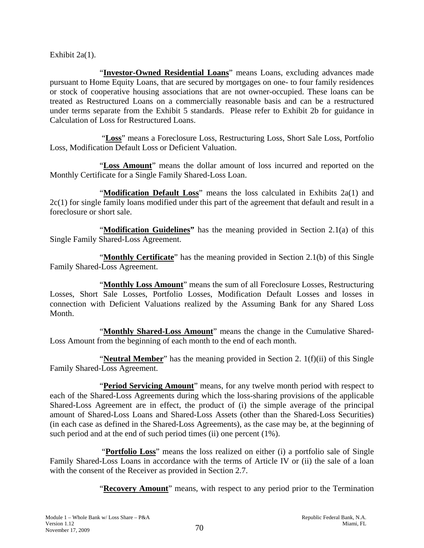Exhibit 2a(1).

"**Investor-Owned Residential Loans**" means Loans, excluding advances made pursuant to Home Equity Loans, that are secured by mortgages on one- to four family residences or stock of cooperative housing associations that are not owner-occupied. These loans can be treated as Restructured Loans on a commercially reasonable basis and can be a restructured under terms separate from the Exhibit 5 standards. Please refer to Exhibit 2b for guidance in Calculation of Loss for Restructured Loans.

"**Loss**" means a Foreclosure Loss, Restructuring Loss, Short Sale Loss, Portfolio Loss, Modification Default Loss or Deficient Valuation.

"**Loss Amount**" means the dollar amount of loss incurred and reported on the Monthly Certificate for a Single Family Shared-Loss Loan.

"**Modification Default Loss**" means the loss calculated in Exhibits 2a(1) and 2c(1) for single family loans modified under this part of the agreement that default and result in a foreclosure or short sale.

"**Modification Guidelines"** has the meaning provided in Section 2.1(a) of this Single Family Shared-Loss Agreement.

"**Monthly Certificate**" has the meaning provided in Section 2.1(b) of this Single Family Shared-Loss Agreement.

"Monthly Loss Amount" means the sum of all Foreclosure Losses, Restructuring Losses, Short Sale Losses, Portfolio Losses, Modification Default Losses and losses in connection with Deficient Valuations realized by the Assuming Bank for any Shared Loss Month.

"**Monthly Shared-Loss Amount**" means the change in the Cumulative Shared-Loss Amount from the beginning of each month to the end of each month.

"**Neutral Member**" has the meaning provided in Section 2. 1(f)(ii) of this Single Family Shared-Loss Agreement.

"**Period Servicing Amount**" means, for any twelve month period with respect to each of the Shared-Loss Agreements during which the loss-sharing provisions of the applicable Shared-Loss Agreement are in effect, the product of (i) the simple average of the principal amount of Shared-Loss Loans and Shared-Loss Assets (other than the Shared-Loss Securities) (in each case as defined in the Shared-Loss Agreements), as the case may be, at the beginning of such period and at the end of such period times (ii) one percent (1%).

"**Portfolio Loss**" means the loss realized on either (i) a portfolio sale of Single Family Shared-Loss Loans in accordance with the terms of Article IV or (ii) the sale of a loan with the consent of the Receiver as provided in Section 2.7.

"**Recovery Amount**" means, with respect to any period prior to the Termination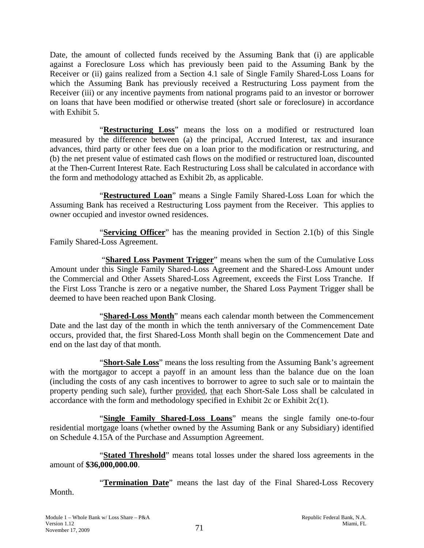Date, the amount of collected funds received by the Assuming Bank that (i) are applicable against a Foreclosure Loss which has previously been paid to the Assuming Bank by the Receiver or (ii) gains realized from a Section 4.1 sale of Single Family Shared-Loss Loans for which the Assuming Bank has previously received a Restructuring Loss payment from the Receiver (iii) or any incentive payments from national programs paid to an investor or borrower on loans that have been modified or otherwise treated (short sale or foreclosure) in accordance with Exhibit 5.

"**Restructuring Loss**" means the loss on a modified or restructured loan measured by the difference between (a) the principal, Accrued Interest, tax and insurance advances, third party or other fees due on a loan prior to the modification or restructuring, and (b) the net present value of estimated cash flows on the modified or restructured loan, discounted at the Then-Current Interest Rate. Each Restructuring Loss shall be calculated in accordance with the form and methodology attached as Exhibit 2b, as applicable.

"**Restructured Loan**" means a Single Family Shared-Loss Loan for which the Assuming Bank has received a Restructuring Loss payment from the Receiver. This applies to owner occupied and investor owned residences.

"**Servicing Officer**" has the meaning provided in Section 2.1(b) of this Single Family Shared-Loss Agreement.

"Shared Loss Payment Trigger" means when the sum of the Cumulative Loss Amount under this Single Family Shared-Loss Agreement and the Shared-Loss Amount under the Commercial and Other Assets Shared-Loss Agreement, exceeds the First Loss Tranche. If the First Loss Tranche is zero or a negative number, the Shared Loss Payment Trigger shall be deemed to have been reached upon Bank Closing.

"**Shared-Loss Month**" means each calendar month between the Commencement Date and the last day of the month in which the tenth anniversary of the Commencement Date occurs, provided that, the first Shared-Loss Month shall begin on the Commencement Date and end on the last day of that month.

"**Short-Sale Loss**" means the loss resulting from the Assuming Bank's agreement with the mortgagor to accept a payoff in an amount less than the balance due on the loan (including the costs of any cash incentives to borrower to agree to such sale or to maintain the property pending such sale), further provided, that each Short-Sale Loss shall be calculated in accordance with the form and methodology specified in Exhibit 2c or Exhibit 2c(1).

"**Single Family Shared-Loss Loans**" means the single family one-to-four residential mortgage loans (whether owned by the Assuming Bank or any Subsidiary) identified on Schedule 4.15A of the Purchase and Assumption Agreement.

"**Stated Threshold**" means total losses under the shared loss agreements in the amount of **\$36,000,000.00**.

"**Termination Date**" means the last day of the Final Shared-Loss Recovery Month.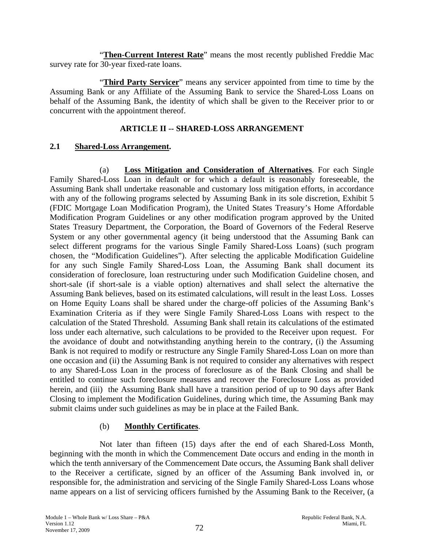"**Then-Current Interest Rate**" means the most recently published Freddie Mac survey rate for 30-year fixed-rate loans.

"**Third Party Servicer**" means any servicer appointed from time to time by the Assuming Bank or any Affiliate of the Assuming Bank to service the Shared-Loss Loans on behalf of the Assuming Bank, the identity of which shall be given to the Receiver prior to or concurrent with the appointment thereof.

## **ARTICLE II -- SHARED-LOSS ARRANGEMENT**

## **2.1 Shared-Loss Arrangement.**

(a) **Loss Mitigation and Consideration of Alternatives**. For each Single Family Shared-Loss Loan in default or for which a default is reasonably foreseeable, the Assuming Bank shall undertake reasonable and customary loss mitigation efforts, in accordance with any of the following programs selected by Assuming Bank in its sole discretion, Exhibit 5 (FDIC Mortgage Loan Modification Program), the United States Treasury's Home Affordable Modification Program Guidelines or any other modification program approved by the United States Treasury Department, the Corporation, the Board of Governors of the Federal Reserve System or any other governmental agency (it being understood that the Assuming Bank can select different programs for the various Single Family Shared-Loss Loans) (such program chosen, the "Modification Guidelines"). After selecting the applicable Modification Guideline for any such Single Family Shared-Loss Loan, the Assuming Bank shall document its consideration of foreclosure, loan restructuring under such Modification Guideline chosen, and short-sale (if short-sale is a viable option) alternatives and shall select the alternative the Assuming Bank believes, based on its estimated calculations, will result in the least Loss. Losses on Home Equity Loans shall be shared under the charge-off policies of the Assuming Bank's Examination Criteria as if they were Single Family Shared-Loss Loans with respect to the calculation of the Stated Threshold. Assuming Bank shall retain its calculations of the estimated loss under each alternative, such calculations to be provided to the Receiver upon request. For the avoidance of doubt and notwithstanding anything herein to the contrary, (i) the Assuming Bank is not required to modify or restructure any Single Family Shared-Loss Loan on more than one occasion and (ii) the Assuming Bank is not required to consider any alternatives with respect to any Shared-Loss Loan in the process of foreclosure as of the Bank Closing and shall be entitled to continue such foreclosure measures and recover the Foreclosure Loss as provided herein, and (iii) the Assuming Bank shall have a transition period of up to 90 days after Bank Closing to implement the Modification Guidelines, during which time, the Assuming Bank may submit claims under such guidelines as may be in place at the Failed Bank.

## (b) **Monthly Certificates**.

Not later than fifteen (15) days after the end of each Shared-Loss Month, beginning with the month in which the Commencement Date occurs and ending in the month in which the tenth anniversary of the Commencement Date occurs, the Assuming Bank shall deliver to the Receiver a certificate, signed by an officer of the Assuming Bank involved in, or responsible for, the administration and servicing of the Single Family Shared-Loss Loans whose name appears on a list of servicing officers furnished by the Assuming Bank to the Receiver, (a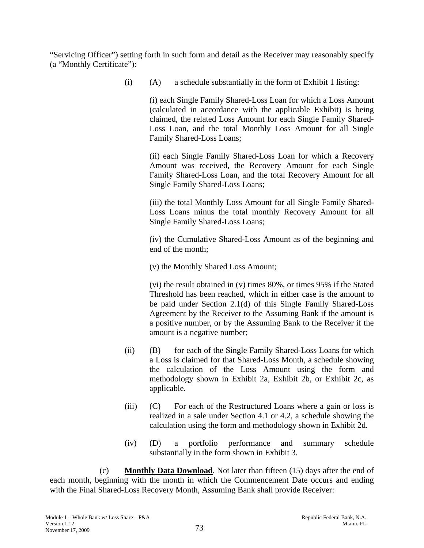"Servicing Officer") setting forth in such form and detail as the Receiver may reasonably specify (a "Monthly Certificate"):

 $(i)$  (A) a schedule substantially in the form of Exhibit 1 listing:

(i) each Single Family Shared-Loss Loan for which a Loss Amount (calculated in accordance with the applicable Exhibit) is being claimed, the related Loss Amount for each Single Family Shared-Loss Loan, and the total Monthly Loss Amount for all Single Family Shared-Loss Loans;

(ii) each Single Family Shared-Loss Loan for which a Recovery Amount was received, the Recovery Amount for each Single Family Shared-Loss Loan, and the total Recovery Amount for all Single Family Shared-Loss Loans;

(iii) the total Monthly Loss Amount for all Single Family Shared-Loss Loans minus the total monthly Recovery Amount for all Single Family Shared-Loss Loans;

(iv) the Cumulative Shared-Loss Amount as of the beginning and end of the month;

(v) the Monthly Shared Loss Amount;

(vi) the result obtained in (v) times 80%, or times 95% if the Stated Threshold has been reached, which in either case is the amount to be paid under Section 2.1(d) of this Single Family Shared-Loss Agreement by the Receiver to the Assuming Bank if the amount is a positive number, or by the Assuming Bank to the Receiver if the amount is a negative number;

- (ii) (B) for each of the Single Family Shared-Loss Loans for which a Loss is claimed for that Shared-Loss Month, a schedule showing the calculation of the Loss Amount using the form and methodology shown in Exhibit 2a, Exhibit 2b, or Exhibit 2c, as applicable.
- (iii) (C) For each of the Restructured Loans where a gain or loss is realized in a sale under Section 4.1 or 4.2, a schedule showing the calculation using the form and methodology shown in Exhibit 2d.
- (iv) (D) a portfolio performance and summary schedule substantially in the form shown in Exhibit 3.

(c) **Monthly Data Download**. Not later than fifteen (15) days after the end of each month, beginning with the month in which the Commencement Date occurs and ending with the Final Shared-Loss Recovery Month, Assuming Bank shall provide Receiver: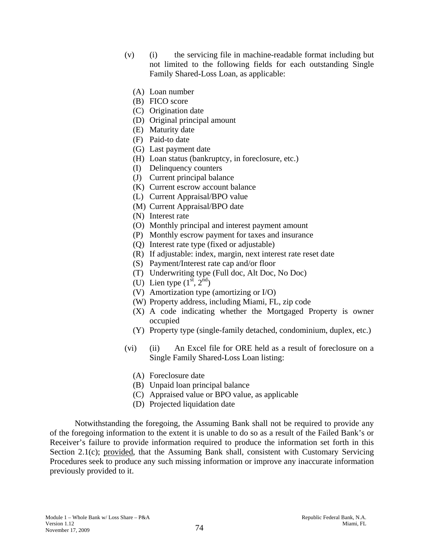- $(v)$  (i) the servicing file in machine-readable format including but not limited to the following fields for each outstanding Single Family Shared-Loss Loan, as applicable:
	- (A) Loan number
	- (B) FICO score
	- (C) Origination date
	- (D) Original principal amount
	- (E) Maturity date
	- (F) Paid-to date
	- (G) Last payment date
	- (H) Loan status (bankruptcy, in foreclosure, etc.)
	- (I) Delinquency counters
	- (J) Current principal balance
	- (K) Current escrow account balance
	- (L) Current Appraisal/BPO value
	- (M) Current Appraisal/BPO date
	- (N) Interest rate
	- (O) Monthly principal and interest payment amount
	- (P) Monthly escrow payment for taxes and insurance
	- (Q) Interest rate type (fixed or adjustable)
	- (R) If adjustable: index, margin, next interest rate reset date
	- (S) Payment/Interest rate cap and/or floor
	- (T) Underwriting type (Full doc, Alt Doc, No Doc)
	- (U) Lien type  $(1<sup>st</sup>, 2<sup>nd</sup>)$
	- (V) Amortization type (amortizing or I/O)
	- (W) Property address, including Miami, FL, zip code
	- (X) A code indicating whether the Mortgaged Property is owner occupied
	- (Y) Property type (single-family detached, condominium, duplex, etc.)
- (vi) (ii) An Excel file for ORE held as a result of foreclosure on a Single Family Shared-Loss Loan listing:
	- (A) Foreclosure date
	- (B) Unpaid loan principal balance
	- (C) Appraised value or BPO value, as applicable
	- (D) Projected liquidation date

Notwithstanding the foregoing, the Assuming Bank shall not be required to provide any of the foregoing information to the extent it is unable to do so as a result of the Failed Bank's or Receiver's failure to provide information required to produce the information set forth in this Section 2.1(c); provided, that the Assuming Bank shall, consistent with Customary Servicing Procedures seek to produce any such missing information or improve any inaccurate information previously provided to it.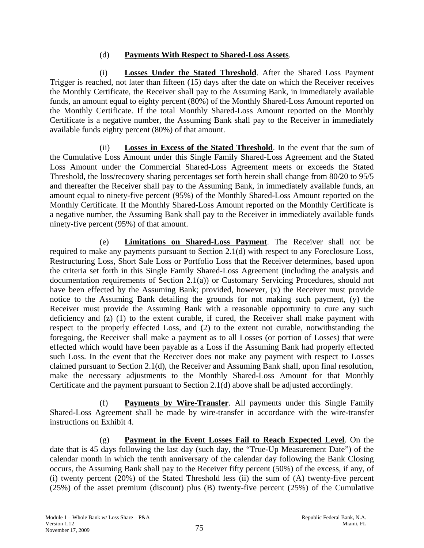## (d) **Payments With Respect to Shared-Loss Assets**.

(i) **Losses Under the Stated Threshold**. After the Shared Loss Payment Trigger is reached, not later than fifteen (15) days after the date on which the Receiver receives the Monthly Certificate, the Receiver shall pay to the Assuming Bank, in immediately available funds, an amount equal to eighty percent (80%) of the Monthly Shared-Loss Amount reported on the Monthly Certificate. If the total Monthly Shared-Loss Amount reported on the Monthly Certificate is a negative number, the Assuming Bank shall pay to the Receiver in immediately available funds eighty percent (80%) of that amount.

(ii) **Losses in Excess of the Stated Threshold**. In the event that the sum of the Cumulative Loss Amount under this Single Family Shared-Loss Agreement and the Stated Loss Amount under the Commercial Shared-Loss Agreement meets or exceeds the Stated Threshold, the loss/recovery sharing percentages set forth herein shall change from 80/20 to 95/5 and thereafter the Receiver shall pay to the Assuming Bank, in immediately available funds, an amount equal to ninety-five percent (95%) of the Monthly Shared-Loss Amount reported on the Monthly Certificate. If the Monthly Shared-Loss Amount reported on the Monthly Certificate is a negative number, the Assuming Bank shall pay to the Receiver in immediately available funds ninety-five percent (95%) of that amount.

(e) **Limitations on Shared-Loss Payment**. The Receiver shall not be required to make any payments pursuant to Section 2.1(d) with respect to any Foreclosure Loss, Restructuring Loss, Short Sale Loss or Portfolio Loss that the Receiver determines, based upon the criteria set forth in this Single Family Shared-Loss Agreement (including the analysis and documentation requirements of Section 2.1(a)) or Customary Servicing Procedures, should not have been effected by the Assuming Bank; provided, however, (x) the Receiver must provide notice to the Assuming Bank detailing the grounds for not making such payment, (y) the Receiver must provide the Assuming Bank with a reasonable opportunity to cure any such deficiency and (z) (1) to the extent curable, if cured, the Receiver shall make payment with respect to the properly effected Loss, and (2) to the extent not curable, notwithstanding the foregoing, the Receiver shall make a payment as to all Losses (or portion of Losses) that were effected which would have been payable as a Loss if the Assuming Bank had properly effected such Loss. In the event that the Receiver does not make any payment with respect to Losses claimed pursuant to Section 2.1(d), the Receiver and Assuming Bank shall, upon final resolution, make the necessary adjustments to the Monthly Shared-Loss Amount for that Monthly Certificate and the payment pursuant to Section 2.1(d) above shall be adjusted accordingly.

(f) **Payments by Wire-Transfer**. All payments under this Single Family Shared-Loss Agreement shall be made by wire-transfer in accordance with the wire-transfer instructions on Exhibit 4.

 (g) **Payment in the Event Losses Fail to Reach Expected Level**. On the date that is 45 days following the last day (such day, the "True-Up Measurement Date") of the calendar month in which the tenth anniversary of the calendar day following the Bank Closing occurs, the Assuming Bank shall pay to the Receiver fifty percent (50%) of the excess, if any, of (i) twenty percent (20%) of the Stated Threshold less (ii) the sum of (A) twenty-five percent (25%) of the asset premium (discount) plus (B) twenty-five percent (25%) of the Cumulative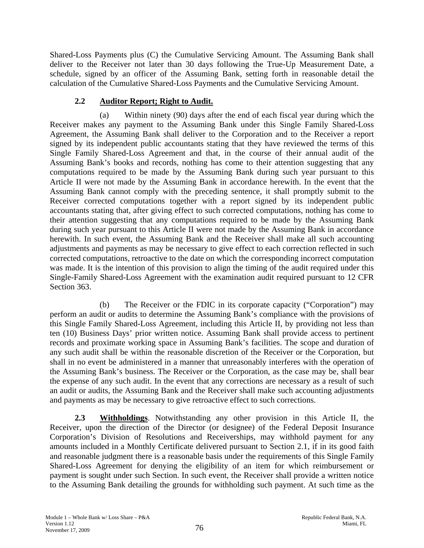Shared-Loss Payments plus (C) the Cumulative Servicing Amount. The Assuming Bank shall deliver to the Receiver not later than 30 days following the True-Up Measurement Date, a schedule, signed by an officer of the Assuming Bank, setting forth in reasonable detail the calculation of the Cumulative Shared-Loss Payments and the Cumulative Servicing Amount.

## **2.2 Auditor Report; Right to Audit.**

(a) Within ninety (90) days after the end of each fiscal year during which the Receiver makes any payment to the Assuming Bank under this Single Family Shared-Loss Agreement, the Assuming Bank shall deliver to the Corporation and to the Receiver a report signed by its independent public accountants stating that they have reviewed the terms of this Single Family Shared-Loss Agreement and that, in the course of their annual audit of the Assuming Bank's books and records, nothing has come to their attention suggesting that any computations required to be made by the Assuming Bank during such year pursuant to this Article II were not made by the Assuming Bank in accordance herewith. In the event that the Assuming Bank cannot comply with the preceding sentence, it shall promptly submit to the Receiver corrected computations together with a report signed by its independent public accountants stating that, after giving effect to such corrected computations, nothing has come to their attention suggesting that any computations required to be made by the Assuming Bank during such year pursuant to this Article II were not made by the Assuming Bank in accordance herewith. In such event, the Assuming Bank and the Receiver shall make all such accounting adjustments and payments as may be necessary to give effect to each correction reflected in such corrected computations, retroactive to the date on which the corresponding incorrect computation was made. It is the intention of this provision to align the timing of the audit required under this Single-Family Shared-Loss Agreement with the examination audit required pursuant to 12 CFR Section 363.

(b) The Receiver or the FDIC in its corporate capacity ("Corporation") may perform an audit or audits to determine the Assuming Bank's compliance with the provisions of this Single Family Shared-Loss Agreement, including this Article II, by providing not less than ten (10) Business Days' prior written notice. Assuming Bank shall provide access to pertinent records and proximate working space in Assuming Bank's facilities. The scope and duration of any such audit shall be within the reasonable discretion of the Receiver or the Corporation, but shall in no event be administered in a manner that unreasonably interferes with the operation of the Assuming Bank's business. The Receiver or the Corporation, as the case may be, shall bear the expense of any such audit. In the event that any corrections are necessary as a result of such an audit or audits, the Assuming Bank and the Receiver shall make such accounting adjustments and payments as may be necessary to give retroactive effect to such corrections.

**2.3 Withholdings**. Notwithstanding any other provision in this Article II, the Receiver, upon the direction of the Director (or designee) of the Federal Deposit Insurance Corporation's Division of Resolutions and Receiverships, may withhold payment for any amounts included in a Monthly Certificate delivered pursuant to Section 2.1, if in its good faith and reasonable judgment there is a reasonable basis under the requirements of this Single Family Shared-Loss Agreement for denying the eligibility of an item for which reimbursement or payment is sought under such Section. In such event, the Receiver shall provide a written notice to the Assuming Bank detailing the grounds for withholding such payment. At such time as the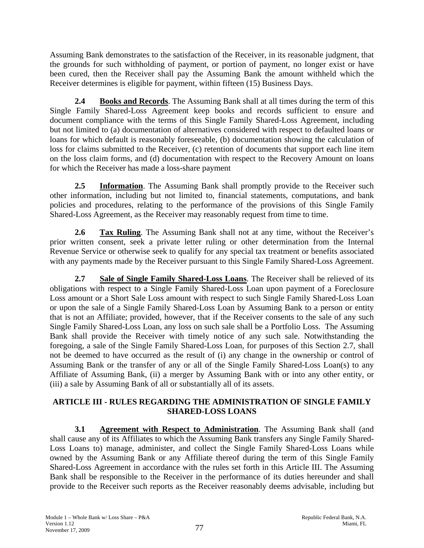Assuming Bank demonstrates to the satisfaction of the Receiver, in its reasonable judgment, that the grounds for such withholding of payment, or portion of payment, no longer exist or have been cured, then the Receiver shall pay the Assuming Bank the amount withheld which the Receiver determines is eligible for payment, within fifteen (15) Business Days.

**2.4 Books and Records**. The Assuming Bank shall at all times during the term of this Single Family Shared-Loss Agreement keep books and records sufficient to ensure and document compliance with the terms of this Single Family Shared-Loss Agreement, including but not limited to (a) documentation of alternatives considered with respect to defaulted loans or loans for which default is reasonably foreseeable, (b) documentation showing the calculation of loss for claims submitted to the Receiver, (c) retention of documents that support each line item on the loss claim forms, and (d) documentation with respect to the Recovery Amount on loans for which the Receiver has made a loss-share payment

**2.5 Information**. The Assuming Bank shall promptly provide to the Receiver such other information, including but not limited to, financial statements, computations, and bank policies and procedures, relating to the performance of the provisions of this Single Family Shared-Loss Agreement, as the Receiver may reasonably request from time to time.

**2.6 Tax Ruling**. The Assuming Bank shall not at any time, without the Receiver's prior written consent, seek a private letter ruling or other determination from the Internal Revenue Service or otherwise seek to qualify for any special tax treatment or benefits associated with any payments made by the Receiver pursuant to this Single Family Shared-Loss Agreement.

**2.7 Sale of Single Family Shared-Loss Loans**. The Receiver shall be relieved of its obligations with respect to a Single Family Shared-Loss Loan upon payment of a Foreclosure Loss amount or a Short Sale Loss amount with respect to such Single Family Shared-Loss Loan or upon the sale of a Single Family Shared-Loss Loan by Assuming Bank to a person or entity that is not an Affiliate; provided, however, that if the Receiver consents to the sale of any such Single Family Shared-Loss Loan, any loss on such sale shall be a Portfolio Loss. The Assuming Bank shall provide the Receiver with timely notice of any such sale. Notwithstanding the foregoing, a sale of the Single Family Shared-Loss Loan, for purposes of this Section 2.7, shall not be deemed to have occurred as the result of (i) any change in the ownership or control of Assuming Bank or the transfer of any or all of the Single Family Shared-Loss Loan(s) to any Affiliate of Assuming Bank, (ii) a merger by Assuming Bank with or into any other entity, or (iii) a sale by Assuming Bank of all or substantially all of its assets.

## **ARTICLE III - RULES REGARDING THE ADMINISTRATION OF SINGLE FAMILY SHARED-LOSS LOANS**

**3.1 Agreement with Respect to Administration**. The Assuming Bank shall (and shall cause any of its Affiliates to which the Assuming Bank transfers any Single Family Shared-Loss Loans to) manage, administer, and collect the Single Family Shared-Loss Loans while owned by the Assuming Bank or any Affiliate thereof during the term of this Single Family Shared-Loss Agreement in accordance with the rules set forth in this Article III. The Assuming Bank shall be responsible to the Receiver in the performance of its duties hereunder and shall provide to the Receiver such reports as the Receiver reasonably deems advisable, including but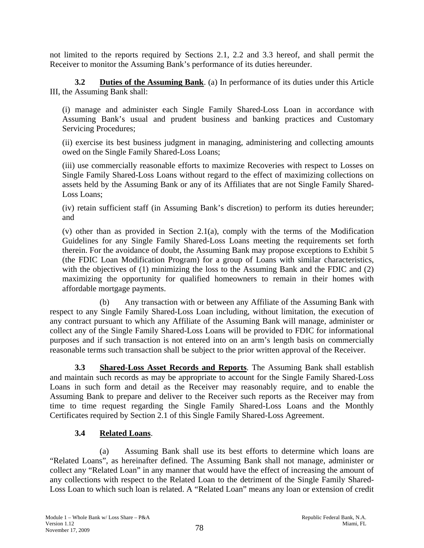not limited to the reports required by Sections 2.1, 2.2 and 3.3 hereof, and shall permit the Receiver to monitor the Assuming Bank's performance of its duties hereunder.

**3.2 Duties of the Assuming Bank**. (a) In performance of its duties under this Article III, the Assuming Bank shall:

(i) manage and administer each Single Family Shared-Loss Loan in accordance with Assuming Bank's usual and prudent business and banking practices and Customary Servicing Procedures;

(ii) exercise its best business judgment in managing, administering and collecting amounts owed on the Single Family Shared-Loss Loans;

(iii) use commercially reasonable efforts to maximize Recoveries with respect to Losses on Single Family Shared-Loss Loans without regard to the effect of maximizing collections on assets held by the Assuming Bank or any of its Affiliates that are not Single Family Shared-Loss Loans;

(iv) retain sufficient staff (in Assuming Bank's discretion) to perform its duties hereunder; and

(v) other than as provided in Section 2.1(a), comply with the terms of the Modification Guidelines for any Single Family Shared-Loss Loans meeting the requirements set forth therein. For the avoidance of doubt, the Assuming Bank may propose exceptions to Exhibit 5 (the FDIC Loan Modification Program) for a group of Loans with similar characteristics, with the objectives of (1) minimizing the loss to the Assuming Bank and the FDIC and (2) maximizing the opportunity for qualified homeowners to remain in their homes with affordable mortgage payments.

(b) Any transaction with or between any Affiliate of the Assuming Bank with respect to any Single Family Shared-Loss Loan including, without limitation, the execution of any contract pursuant to which any Affiliate of the Assuming Bank will manage, administer or collect any of the Single Family Shared-Loss Loans will be provided to FDIC for informational purposes and if such transaction is not entered into on an arm's length basis on commercially reasonable terms such transaction shall be subject to the prior written approval of the Receiver.

**3.3 Shared-Loss Asset Records and Reports**. The Assuming Bank shall establish and maintain such records as may be appropriate to account for the Single Family Shared-Loss Loans in such form and detail as the Receiver may reasonably require, and to enable the Assuming Bank to prepare and deliver to the Receiver such reports as the Receiver may from time to time request regarding the Single Family Shared-Loss Loans and the Monthly Certificates required by Section 2.1 of this Single Family Shared-Loss Agreement.

## **3.4 Related Loans**.

(a) Assuming Bank shall use its best efforts to determine which loans are "Related Loans", as hereinafter defined. The Assuming Bank shall not manage, administer or collect any "Related Loan" in any manner that would have the effect of increasing the amount of any collections with respect to the Related Loan to the detriment of the Single Family Shared-Loss Loan to which such loan is related. A "Related Loan" means any loan or extension of credit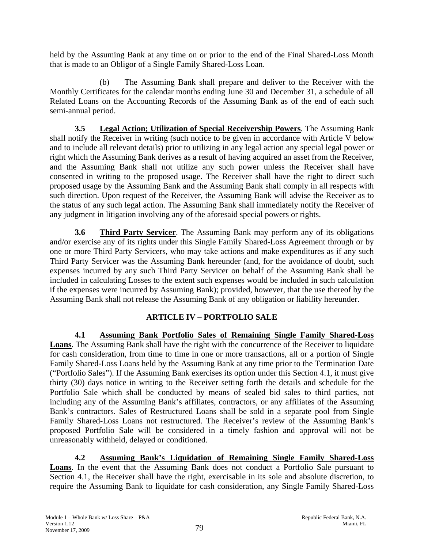held by the Assuming Bank at any time on or prior to the end of the Final Shared-Loss Month that is made to an Obligor of a Single Family Shared-Loss Loan.

(b) The Assuming Bank shall prepare and deliver to the Receiver with the Monthly Certificates for the calendar months ending June 30 and December 31, a schedule of all Related Loans on the Accounting Records of the Assuming Bank as of the end of each such semi-annual period.

**3.5 Legal Action; Utilization of Special Receivership Powers**. The Assuming Bank shall notify the Receiver in writing (such notice to be given in accordance with Article V below and to include all relevant details) prior to utilizing in any legal action any special legal power or right which the Assuming Bank derives as a result of having acquired an asset from the Receiver, and the Assuming Bank shall not utilize any such power unless the Receiver shall have consented in writing to the proposed usage. The Receiver shall have the right to direct such proposed usage by the Assuming Bank and the Assuming Bank shall comply in all respects with such direction. Upon request of the Receiver, the Assuming Bank will advise the Receiver as to the status of any such legal action. The Assuming Bank shall immediately notify the Receiver of any judgment in litigation involving any of the aforesaid special powers or rights.

**3.6 Third Party Servicer**. The Assuming Bank may perform any of its obligations and/or exercise any of its rights under this Single Family Shared-Loss Agreement through or by one or more Third Party Servicers, who may take actions and make expenditures as if any such Third Party Servicer was the Assuming Bank hereunder (and, for the avoidance of doubt, such expenses incurred by any such Third Party Servicer on behalf of the Assuming Bank shall be included in calculating Losses to the extent such expenses would be included in such calculation if the expenses were incurred by Assuming Bank); provided, however, that the use thereof by the Assuming Bank shall not release the Assuming Bank of any obligation or liability hereunder.

## **ARTICLE IV – PORTFOLIO SALE**

**4.1 Assuming Bank Portfolio Sales of Remaining Single Family Shared-Loss Loans**. The Assuming Bank shall have the right with the concurrence of the Receiver to liquidate for cash consideration, from time to time in one or more transactions, all or a portion of Single Family Shared-Loss Loans held by the Assuming Bank at any time prior to the Termination Date ("Portfolio Sales"). If the Assuming Bank exercises its option under this Section 4.1, it must give thirty (30) days notice in writing to the Receiver setting forth the details and schedule for the Portfolio Sale which shall be conducted by means of sealed bid sales to third parties, not including any of the Assuming Bank's affiliates, contractors, or any affiliates of the Assuming Bank's contractors. Sales of Restructured Loans shall be sold in a separate pool from Single Family Shared-Loss Loans not restructured. The Receiver's review of the Assuming Bank's proposed Portfolio Sale will be considered in a timely fashion and approval will not be unreasonably withheld, delayed or conditioned.

**4.2 Assuming Bank's Liquidation of Remaining Single Family Shared-Loss Loans**. In the event that the Assuming Bank does not conduct a Portfolio Sale pursuant to Section 4.1, the Receiver shall have the right, exercisable in its sole and absolute discretion, to require the Assuming Bank to liquidate for cash consideration, any Single Family Shared-Loss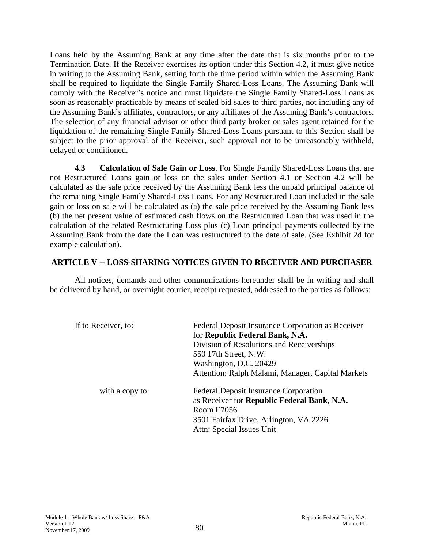Loans held by the Assuming Bank at any time after the date that is six months prior to the Termination Date. If the Receiver exercises its option under this Section 4.2, it must give notice in writing to the Assuming Bank, setting forth the time period within which the Assuming Bank shall be required to liquidate the Single Family Shared-Loss Loans. The Assuming Bank will comply with the Receiver's notice and must liquidate the Single Family Shared-Loss Loans as soon as reasonably practicable by means of sealed bid sales to third parties, not including any of the Assuming Bank's affiliates, contractors, or any affiliates of the Assuming Bank's contractors. The selection of any financial advisor or other third party broker or sales agent retained for the liquidation of the remaining Single Family Shared-Loss Loans pursuant to this Section shall be subject to the prior approval of the Receiver, such approval not to be unreasonably withheld, delayed or conditioned.

**4.3 Calculation of Sale Gain or Loss**. For Single Family Shared-Loss Loans that are not Restructured Loans gain or loss on the sales under Section 4.1 or Section 4.2 will be calculated as the sale price received by the Assuming Bank less the unpaid principal balance of the remaining Single Family Shared-Loss Loans. For any Restructured Loan included in the sale gain or loss on sale will be calculated as (a) the sale price received by the Assuming Bank less (b) the net present value of estimated cash flows on the Restructured Loan that was used in the calculation of the related Restructuring Loss plus (c) Loan principal payments collected by the Assuming Bank from the date the Loan was restructured to the date of sale. (See Exhibit 2d for example calculation).

## **ARTICLE V -- LOSS-SHARING NOTICES GIVEN TO RECEIVER AND PURCHASER**

All notices, demands and other communications hereunder shall be in writing and shall be delivered by hand, or overnight courier, receipt requested, addressed to the parties as follows:

| If to Receiver, to: | <b>Federal Deposit Insurance Corporation as Receiver</b><br>for Republic Federal Bank, N.A.<br>Division of Resolutions and Receiverships<br>550 17th Street, N.W.                        |
|---------------------|------------------------------------------------------------------------------------------------------------------------------------------------------------------------------------------|
|                     | Washington, D.C. 20429<br>Attention: Ralph Malami, Manager, Capital Markets                                                                                                              |
| with a copy to:     | <b>Federal Deposit Insurance Corporation</b><br>as Receiver for <b>Republic Federal Bank</b> , N.A.<br>Room E7056<br>3501 Fairfax Drive, Arlington, VA 2226<br>Attn: Special Issues Unit |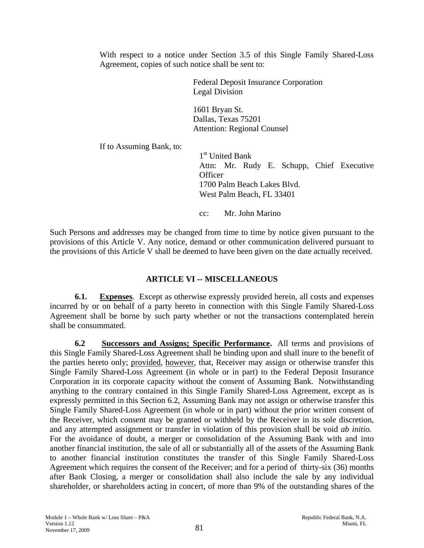With respect to a notice under Section 3.5 of this Single Family Shared-Loss Agreement, copies of such notice shall be sent to:

> Federal Deposit Insurance Corporation Legal Division

1601 Bryan St. Dallas, Texas 75201 Attention: Regional Counsel

If to Assuming Bank, to:

1<sup>st</sup> United Bank Attn: Mr. Rudy E. Schupp, Chief Executive **Officer** 1700 Palm Beach Lakes Blvd. West Palm Beach, FL 33401

cc: Mr. John Marino

Such Persons and addresses may be changed from time to time by notice given pursuant to the provisions of this Article V. Any notice, demand or other communication delivered pursuant to the provisions of this Article V shall be deemed to have been given on the date actually received.

## **ARTICLE VI -- MISCELLANEOUS**

**6.1. Expenses**. Except as otherwise expressly provided herein, all costs and expenses incurred by or on behalf of a party hereto in connection with this Single Family Shared-Loss Agreement shall be borne by such party whether or not the transactions contemplated herein shall be consummated.

**6.2 Successors and Assigns; Specific Performance.** All terms and provisions of this Single Family Shared-Loss Agreement shall be binding upon and shall inure to the benefit of the parties hereto only; provided, however, that, Receiver may assign or otherwise transfer this Single Family Shared-Loss Agreement (in whole or in part) to the Federal Deposit Insurance Corporation in its corporate capacity without the consent of Assuming Bank. Notwithstanding anything to the contrary contained in this Single Family Shared-Loss Agreement, except as is expressly permitted in this Section 6.2, Assuming Bank may not assign or otherwise transfer this Single Family Shared-Loss Agreement (in whole or in part) without the prior written consent of the Receiver, which consent may be granted or withheld by the Receiver in its sole discretion, and any attempted assignment or transfer in violation of this provision shall be void *ab initio.*  For the avoidance of doubt, a merger or consolidation of the Assuming Bank with and into another financial institution, the sale of all or substantially all of the assets of the Assuming Bank to another financial institution constitutes the transfer of this Single Family Shared-Loss Agreement which requires the consent of the Receiver; and for a period of thirty-six (36) months after Bank Closing, a merger or consolidation shall also include the sale by any individual shareholder, or shareholders acting in concert, of more than 9% of the outstanding shares of the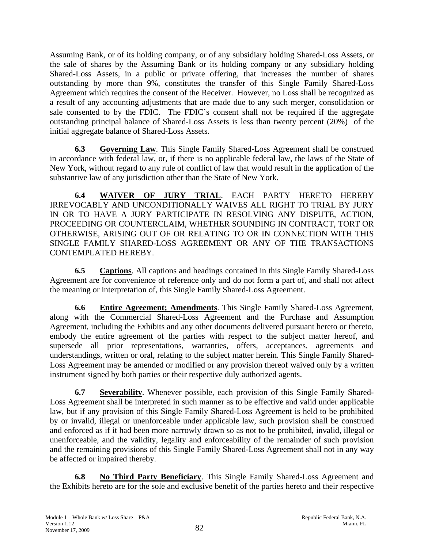Assuming Bank, or of its holding company, or of any subsidiary holding Shared-Loss Assets, or the sale of shares by the Assuming Bank or its holding company or any subsidiary holding Shared-Loss Assets, in a public or private offering, that increases the number of shares outstanding by more than 9%, constitutes the transfer of this Single Family Shared-Loss Agreement which requires the consent of the Receiver. However, no Loss shall be recognized as a result of any accounting adjustments that are made due to any such merger, consolidation or sale consented to by the FDIC. The FDIC's consent shall not be required if the aggregate outstanding principal balance of Shared-Loss Assets is less than twenty percent (20%) of the initial aggregate balance of Shared-Loss Assets.

**6.3 Governing Law**. This Single Family Shared-Loss Agreement shall be construed in accordance with federal law, or, if there is no applicable federal law, the laws of the State of New York, without regard to any rule of conflict of law that would result in the application of the substantive law of any jurisdiction other than the State of New York.

**6.4 WAIVER OF JURY TRIAL**. EACH PARTY HERETO HEREBY IRREVOCABLY AND UNCONDITIONALLY WAIVES ALL RIGHT TO TRIAL BY JURY IN OR TO HAVE A JURY PARTICIPATE IN RESOLVING ANY DISPUTE, ACTION, PROCEEDING OR COUNTERCLAIM, WHETHER SOUNDING IN CONTRACT, TORT OR OTHERWISE, ARISING OUT OF OR RELATING TO OR IN CONNECTION WITH THIS SINGLE FAMILY SHARED-LOSS AGREEMENT OR ANY OF THE TRANSACTIONS CONTEMPLATED HEREBY.

**6.5 Captions**. All captions and headings contained in this Single Family Shared-Loss Agreement are for convenience of reference only and do not form a part of, and shall not affect the meaning or interpretation of, this Single Family Shared-Loss Agreement.

**6.6 Entire Agreement; Amendments**. This Single Family Shared-Loss Agreement, along with the Commercial Shared-Loss Agreement and the Purchase and Assumption Agreement, including the Exhibits and any other documents delivered pursuant hereto or thereto, embody the entire agreement of the parties with respect to the subject matter hereof, and supersede all prior representations, warranties, offers, acceptances, agreements and understandings, written or oral, relating to the subject matter herein. This Single Family Shared-Loss Agreement may be amended or modified or any provision thereof waived only by a written instrument signed by both parties or their respective duly authorized agents.

**6.7 Severability**. Whenever possible, each provision of this Single Family Shared-Loss Agreement shall be interpreted in such manner as to be effective and valid under applicable law, but if any provision of this Single Family Shared-Loss Agreement is held to be prohibited by or invalid, illegal or unenforceable under applicable law, such provision shall be construed and enforced as if it had been more narrowly drawn so as not to be prohibited, invalid, illegal or unenforceable, and the validity, legality and enforceability of the remainder of such provision and the remaining provisions of this Single Family Shared-Loss Agreement shall not in any way be affected or impaired thereby.

**6.8 No Third Party Beneficiary**. This Single Family Shared-Loss Agreement and the Exhibits hereto are for the sole and exclusive benefit of the parties hereto and their respective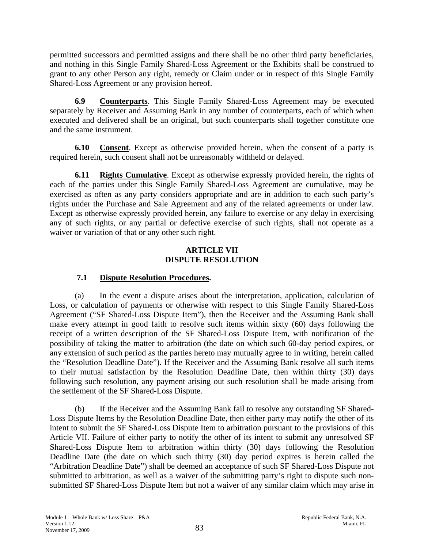permitted successors and permitted assigns and there shall be no other third party beneficiaries, and nothing in this Single Family Shared-Loss Agreement or the Exhibits shall be construed to grant to any other Person any right, remedy or Claim under or in respect of this Single Family Shared-Loss Agreement or any provision hereof.

**6.9 Counterparts**. This Single Family Shared-Loss Agreement may be executed separately by Receiver and Assuming Bank in any number of counterparts, each of which when executed and delivered shall be an original, but such counterparts shall together constitute one and the same instrument.

**6.10 Consent**. Except as otherwise provided herein, when the consent of a party is required herein, such consent shall not be unreasonably withheld or delayed.

**6.11 Rights Cumulative**. Except as otherwise expressly provided herein, the rights of each of the parties under this Single Family Shared-Loss Agreement are cumulative, may be exercised as often as any party considers appropriate and are in addition to each such party's rights under the Purchase and Sale Agreement and any of the related agreements or under law. Except as otherwise expressly provided herein, any failure to exercise or any delay in exercising any of such rights, or any partial or defective exercise of such rights, shall not operate as a waiver or variation of that or any other such right.

### **ARTICLE VII DISPUTE RESOLUTION**

## **7.1 Dispute Resolution Procedures.**

(a) In the event a dispute arises about the interpretation, application, calculation of Loss, or calculation of payments or otherwise with respect to this Single Family Shared-Loss Agreement ("SF Shared-Loss Dispute Item"), then the Receiver and the Assuming Bank shall make every attempt in good faith to resolve such items within sixty (60) days following the receipt of a written description of the SF Shared-Loss Dispute Item, with notification of the possibility of taking the matter to arbitration (the date on which such 60-day period expires, or any extension of such period as the parties hereto may mutually agree to in writing, herein called the "Resolution Deadline Date"). If the Receiver and the Assuming Bank resolve all such items to their mutual satisfaction by the Resolution Deadline Date, then within thirty (30) days following such resolution, any payment arising out such resolution shall be made arising from the settlement of the SF Shared-Loss Dispute.

(b) If the Receiver and the Assuming Bank fail to resolve any outstanding SF Shared-Loss Dispute Items by the Resolution Deadline Date, then either party may notify the other of its intent to submit the SF Shared-Loss Dispute Item to arbitration pursuant to the provisions of this Article VII. Failure of either party to notify the other of its intent to submit any unresolved SF Shared-Loss Dispute Item to arbitration within thirty (30) days following the Resolution Deadline Date (the date on which such thirty (30) day period expires is herein called the "Arbitration Deadline Date") shall be deemed an acceptance of such SF Shared-Loss Dispute not submitted to arbitration, as well as a waiver of the submitting party's right to dispute such nonsubmitted SF Shared-Loss Dispute Item but not a waiver of any similar claim which may arise in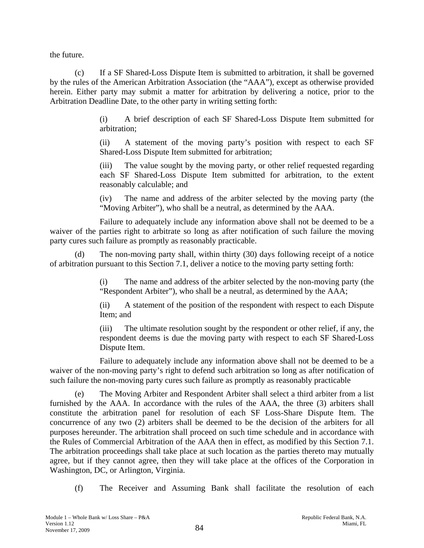the future.

(c) If a SF Shared-Loss Dispute Item is submitted to arbitration, it shall be governed by the rules of the American Arbitration Association (the "AAA"), except as otherwise provided herein. Either party may submit a matter for arbitration by delivering a notice, prior to the Arbitration Deadline Date, to the other party in writing setting forth:

> (i) A brief description of each SF Shared-Loss Dispute Item submitted for arbitration;

> (ii) A statement of the moving party's position with respect to each SF Shared-Loss Dispute Item submitted for arbitration;

> (iii) The value sought by the moving party, or other relief requested regarding each SF Shared-Loss Dispute Item submitted for arbitration, to the extent reasonably calculable; and

> (iv) The name and address of the arbiter selected by the moving party (the "Moving Arbiter"), who shall be a neutral, as determined by the AAA.

Failure to adequately include any information above shall not be deemed to be a waiver of the parties right to arbitrate so long as after notification of such failure the moving party cures such failure as promptly as reasonably practicable.

(d) The non-moving party shall, within thirty (30) days following receipt of a notice of arbitration pursuant to this Section 7.1, deliver a notice to the moving party setting forth:

> (i) The name and address of the arbiter selected by the non-moving party (the "Respondent Arbiter"), who shall be a neutral, as determined by the AAA;

> (ii) A statement of the position of the respondent with respect to each Dispute Item; and

> (iii) The ultimate resolution sought by the respondent or other relief, if any, the respondent deems is due the moving party with respect to each SF Shared-Loss Dispute Item.

Failure to adequately include any information above shall not be deemed to be a waiver of the non-moving party's right to defend such arbitration so long as after notification of such failure the non-moving party cures such failure as promptly as reasonably practicable

(e) The Moving Arbiter and Respondent Arbiter shall select a third arbiter from a list furnished by the AAA. In accordance with the rules of the AAA, the three (3) arbiters shall constitute the arbitration panel for resolution of each SF Loss-Share Dispute Item. The concurrence of any two (2) arbiters shall be deemed to be the decision of the arbiters for all purposes hereunder. The arbitration shall proceed on such time schedule and in accordance with the Rules of Commercial Arbitration of the AAA then in effect, as modified by this Section 7.1. The arbitration proceedings shall take place at such location as the parties thereto may mutually agree, but if they cannot agree, then they will take place at the offices of the Corporation in Washington, DC, or Arlington, Virginia.

(f) The Receiver and Assuming Bank shall facilitate the resolution of each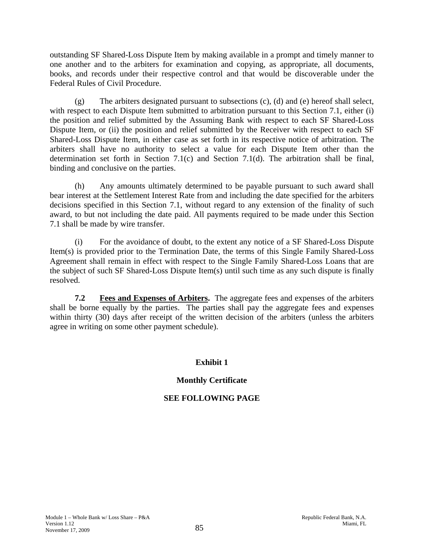outstanding SF Shared-Loss Dispute Item by making available in a prompt and timely manner to one another and to the arbiters for examination and copying, as appropriate, all documents, books, and records under their respective control and that would be discoverable under the Federal Rules of Civil Procedure.

(g) The arbiters designated pursuant to subsections (c), (d) and (e) hereof shall select, with respect to each Dispute Item submitted to arbitration pursuant to this Section 7.1, either (i) the position and relief submitted by the Assuming Bank with respect to each SF Shared-Loss Dispute Item, or (ii) the position and relief submitted by the Receiver with respect to each SF Shared-Loss Dispute Item, in either case as set forth in its respective notice of arbitration. The arbiters shall have no authority to select a value for each Dispute Item other than the determination set forth in Section 7.1(c) and Section 7.1(d). The arbitration shall be final, binding and conclusive on the parties.

(h) Any amounts ultimately determined to be payable pursuant to such award shall bear interest at the Settlement Interest Rate from and including the date specified for the arbiters decisions specified in this Section 7.1, without regard to any extension of the finality of such award, to but not including the date paid. All payments required to be made under this Section 7.1 shall be made by wire transfer.

(i) For the avoidance of doubt, to the extent any notice of a SF Shared-Loss Dispute Item(s) is provided prior to the Termination Date, the terms of this Single Family Shared-Loss Agreement shall remain in effect with respect to the Single Family Shared-Loss Loans that are the subject of such SF Shared-Loss Dispute Item(s) until such time as any such dispute is finally resolved.

**7.2 Fees and Expenses of Arbiters.** The aggregate fees and expenses of the arbiters shall be borne equally by the parties. The parties shall pay the aggregate fees and expenses within thirty (30) days after receipt of the written decision of the arbiters (unless the arbiters agree in writing on some other payment schedule).

## **Exhibit 1**

# **Monthly Certificate**

# **SEE FOLLOWING PAGE**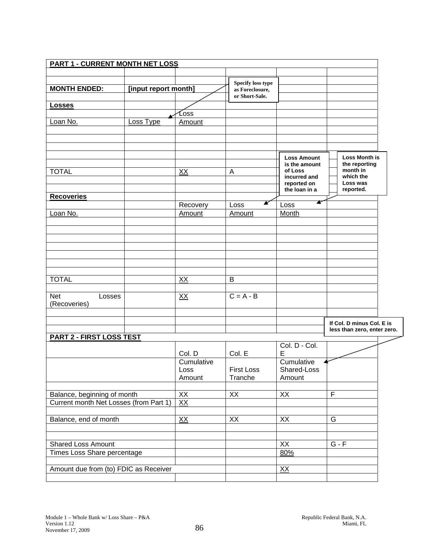| PART 1 - CURRENT MONTH NET LOSS        |                      |                 |                                   |                              |                             |
|----------------------------------------|----------------------|-----------------|-----------------------------------|------------------------------|-----------------------------|
|                                        |                      |                 |                                   |                              |                             |
|                                        |                      |                 | Specify loss type                 |                              |                             |
| <b>MONTH ENDED:</b>                    | [input report month] |                 | as Foreclosure,<br>or Short-Sale. |                              |                             |
|                                        |                      |                 |                                   |                              |                             |
| <b>Losses</b>                          |                      | Loss            |                                   |                              |                             |
| Loan No.                               | Loss Type            | Amount          |                                   |                              |                             |
|                                        |                      |                 |                                   |                              |                             |
|                                        |                      |                 |                                   |                              |                             |
|                                        |                      |                 |                                   |                              |                             |
|                                        |                      |                 |                                   | <b>Loss Amount</b>           | <b>Loss Month is</b>        |
|                                        |                      |                 |                                   | is the amount                | the reporting               |
| <b>TOTAL</b>                           |                      | XX              | A                                 | of Loss                      | month in                    |
|                                        |                      |                 |                                   | incurred and                 | which the<br>Loss was       |
|                                        |                      |                 |                                   | reported on<br>the loan in a | reported.                   |
| <b>Recoveries</b>                      |                      |                 |                                   |                              |                             |
|                                        |                      | Recovery        | ¥<br>Loss                         | Ŧ<br>Loss                    |                             |
| Loan No.                               |                      | Amount          | Amount                            | Month                        |                             |
|                                        |                      |                 |                                   |                              |                             |
|                                        |                      |                 |                                   |                              |                             |
|                                        |                      |                 |                                   |                              |                             |
|                                        |                      |                 |                                   |                              |                             |
|                                        |                      |                 |                                   |                              |                             |
|                                        |                      |                 |                                   |                              |                             |
|                                        |                      |                 |                                   |                              |                             |
| <b>TOTAL</b>                           |                      | XX              | B                                 |                              |                             |
|                                        |                      |                 |                                   |                              |                             |
| <b>Net</b><br>Losses                   |                      | XX              | $C = A - B$                       |                              |                             |
| (Recoveries)                           |                      |                 |                                   |                              |                             |
|                                        |                      |                 |                                   |                              |                             |
|                                        |                      |                 |                                   |                              | If Col. D minus Col. E is   |
| <b>PART 2 - FIRST LOSS TEST</b>        |                      |                 |                                   |                              | less than zero, enter zero. |
|                                        |                      |                 |                                   | Col. D - Col.                |                             |
|                                        |                      | Col. D          | Col. E                            | E                            |                             |
|                                        |                      | Cumulative      |                                   | Cumulative                   |                             |
|                                        |                      | Loss            | <b>First Loss</b>                 | Shared-Loss                  |                             |
|                                        |                      | Amount          | Tranche                           | Amount                       |                             |
|                                        |                      |                 |                                   |                              |                             |
| Balance, beginning of month            |                      | $\overline{XX}$ | XX                                | XX                           | $\overline{F}$              |
| Current month Net Losses (from Part 1) |                      | $\overline{XX}$ |                                   |                              |                             |
|                                        |                      |                 |                                   |                              |                             |
| Balance, end of month                  |                      | $\overline{XX}$ | XX                                | XX                           | G                           |
|                                        |                      |                 |                                   |                              |                             |
|                                        |                      |                 |                                   |                              |                             |
| <b>Shared Loss Amount</b>              |                      |                 |                                   | XX                           | $G - F$                     |
| Times Loss Share percentage            |                      |                 |                                   | 80%                          |                             |
|                                        |                      |                 |                                   |                              |                             |
| Amount due from (to) FDIC as Receiver  |                      |                 |                                   | <u>XX</u>                    |                             |
|                                        |                      |                 |                                   |                              |                             |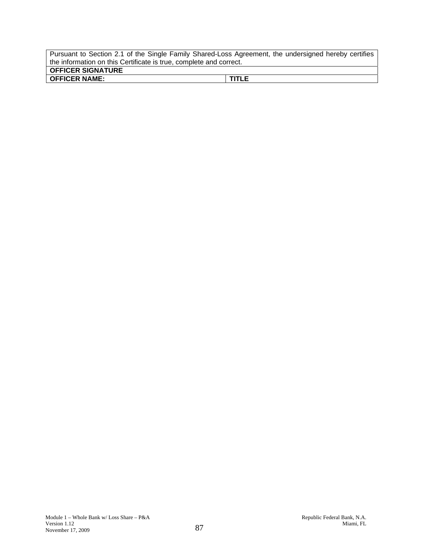| Pursuant to Section 2.1 of the Single Family Shared-Loss Agreement, the undersigned hereby certifies |              |
|------------------------------------------------------------------------------------------------------|--------------|
| the information on this Certificate is true, complete and correct.                                   |              |
| <b>OFFICER SIGNATURE</b>                                                                             |              |
| <b>OFFICER NAME:</b>                                                                                 | <b>TITLE</b> |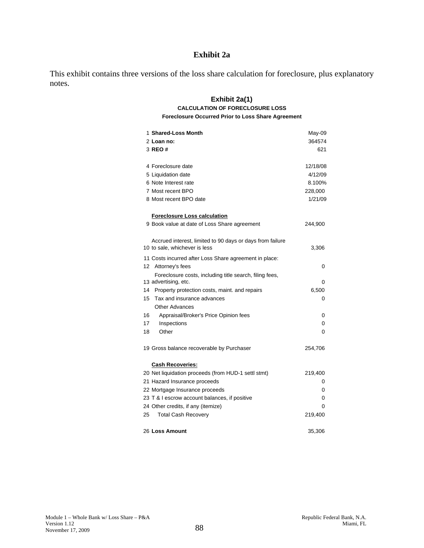### **Exhibit 2a**

This exhibit contains three versions of the loss share calculation for foreclosure, plus explanatory notes.

#### **Exhibit 2a(1) CALCULATION OF FORECLOSURE LOSS Foreclosure Occurred Prior to Loss Share Agreement**

|    | 1 Shared-Loss Month<br>2 Loan no:<br>3 REO #              | May-09<br>364574<br>621 |
|----|-----------------------------------------------------------|-------------------------|
|    | 4 Foreclosure date                                        | 12/18/08                |
|    | 5 Liquidation date                                        | 4/12/09                 |
|    | 6 Note Interest rate                                      | 8.100%                  |
|    | 7 Most recent BPO                                         | 228,000                 |
|    | 8 Most recent BPO date                                    | 1/21/09                 |
|    | <b>Foreclosure Loss calculation</b>                       |                         |
|    | 9 Book value at date of Loss Share agreement              | 244,900                 |
|    | Accrued interest, limited to 90 days or days from failure |                         |
|    | 10 to sale, whichever is less                             | 3,306                   |
|    | 11 Costs incurred after Loss Share agreement in place:    |                         |
| 12 | Attorney's fees                                           | 0                       |
|    | Foreclosure costs, including title search, filing fees,   |                         |
|    | 13 advertising, etc.                                      | 0                       |
| 14 | Property protection costs, maint. and repairs             | 6,500                   |
| 15 | Tax and insurance advances                                | 0                       |
|    | <b>Other Advances</b>                                     |                         |
| 16 | Appraisal/Broker's Price Opinion fees                     | 0                       |
| 17 | Inspections                                               | 0                       |
| 18 | Other                                                     | 0                       |
|    | 19 Gross balance recoverable by Purchaser                 | 254,706                 |
|    | <b>Cash Recoveries:</b>                                   |                         |
|    | 20 Net liquidation proceeds (from HUD-1 settl stmt)       | 219,400                 |
|    | 21 Hazard Insurance proceeds                              | 0                       |
|    | 22 Mortgage Insurance proceeds                            | 0                       |
|    | 23 T & I escrow account balances, if positive             | 0                       |
|    | 24 Other credits, if any (itemize)                        | 0                       |
| 25 | <b>Total Cash Recovery</b>                                | 219,400                 |
|    | 26 Loss Amount                                            | 35,306                  |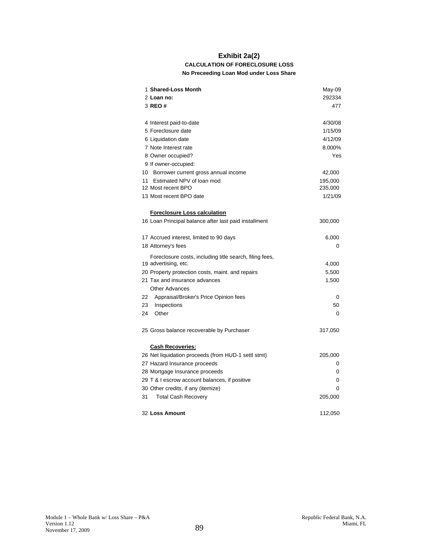#### **Exhibit 2a(2)**

#### **CALCULATION OF FORECLOSURE LOSS**

#### **No Preceeding Loan Mod under Loss Share**

| 1 Shared-Loss Month                                     | May-09  |
|---------------------------------------------------------|---------|
| 2 Loan no:                                              | 292334  |
| 3 REO #                                                 | 477     |
| 4 Interest paid-to-date                                 | 4/30/08 |
| 5 Foreclosure date                                      | 1/15/09 |
| 6 Liquidation date                                      | 4/12/09 |
| 7 Note Interest rate                                    | 8.000%  |
| 8 Owner occupied?                                       | Yes     |
| 9 If owner-occupied:                                    |         |
| 10<br>Borrower current gross annual income              | 42,000  |
| Estimated NPV of loan mod<br>11                         | 195,000 |
| 12 Most recent BPO                                      | 235,000 |
| 13 Most recent BPO date                                 | 1/21/09 |
| <b>Foreclosure Loss calculation</b>                     |         |
| 16 Loan Principal balance after last paid installment   | 300,000 |
| 17 Accrued interest, limited to 90 days                 | 6,000   |
| 18 Attorney's fees                                      | 0       |
| Foreclosure costs, including title search, filing fees, |         |
| 19 advertising, etc.                                    | 4,000   |
| 20 Property protection costs, maint. and repairs        | 5,500   |
| 21 Tax and insurance advances                           | 1,500   |
| <b>Other Advances</b>                                   |         |
| 22<br>Appraisal/Broker's Price Opinion fees             | 0       |
| 23<br>Inspections                                       | 50      |
| 24<br>Other                                             | 0       |
| 25 Gross balance recoverable by Purchaser               | 317,050 |
| <b>Cash Recoveries:</b>                                 |         |
| 26 Net liquidation proceeds (from HUD-1 settl stmt)     | 205,000 |
| 27 Hazard Insurance proceeds                            | 0       |
| 28 Mortgage Insurance proceeds                          | 0       |
| 29 T & I escrow account balances, if positive           | 0       |
| 30 Other credits, if any (itemize)                      | 0       |
| 31<br><b>Total Cash Recovery</b>                        | 205,000 |
| 32 Loss Amount                                          | 112,050 |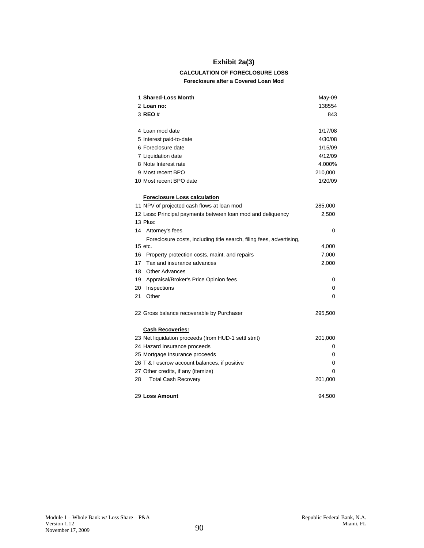## **Exhibit 2a(3)**

#### **CALCULATION OF FORECLOSURE LOSS Foreclosure after a Covered Loan Mod**

| 1 Shared-Loss Month                                                  | May-09   |
|----------------------------------------------------------------------|----------|
| 2 Loan no:                                                           | 138554   |
| 3 REO #                                                              | 843      |
|                                                                      |          |
| 4 Loan mod date                                                      | 1/17/08  |
| 5 Interest paid-to-date                                              | 4/30/08  |
| 6 Foreclosure date                                                   | 1/15/09  |
| 7 Liquidation date                                                   | 4/12/09  |
| 8 Note Interest rate                                                 | 4.000%   |
| 9 Most recent BPO                                                    | 210,000  |
| 10 Most recent BPO date                                              | 1/20/09  |
|                                                                      |          |
| <b>Foreclosure Loss calculation</b>                                  |          |
| 11 NPV of projected cash flows at loan mod                           | 285,000  |
| 12 Less: Principal payments between loan mod and deliquency          | 2,500    |
| 13 Plus:                                                             |          |
| 14<br>Attorney's fees                                                | 0        |
| Foreclosure costs, including title search, filing fees, advertising, |          |
| 15 etc.                                                              | 4,000    |
| 16<br>Property protection costs, maint. and repairs                  | 7,000    |
| 17<br>Tax and insurance advances                                     | 2,000    |
| <b>Other Advances</b><br>18                                          |          |
| 19 Appraisal/Broker's Price Opinion fees                             | 0        |
| 20<br>Inspections                                                    | 0        |
| 21<br>Other                                                          | $\Omega$ |
|                                                                      |          |
| 22 Gross balance recoverable by Purchaser                            | 295,500  |
|                                                                      |          |
| <b>Cash Recoveries:</b>                                              |          |
| 23 Net liquidation proceeds (from HUD-1 settl stmt)                  | 201,000  |
| 24 Hazard Insurance proceeds                                         | 0        |
| 25 Mortgage Insurance proceeds                                       | 0        |
| 26 T & I escrow account balances, if positive                        | 0        |
| 27 Other credits, if any (itemize)                                   | 0        |
| 28<br><b>Total Cash Recovery</b>                                     | 201,000  |
|                                                                      |          |
| 29 Loss Amount                                                       | 94,500   |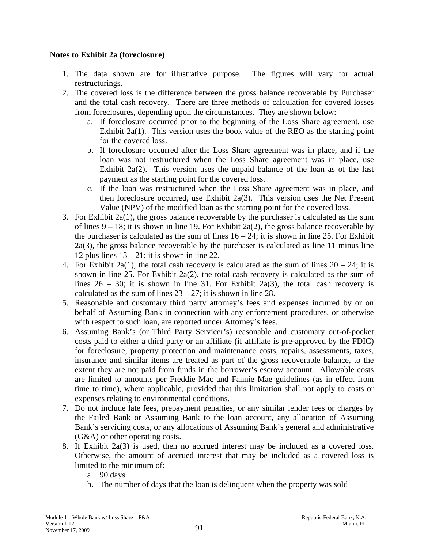## **Notes to Exhibit 2a (foreclosure)**

- 1. The data shown are for illustrative purpose. The figures will vary for actual restructurings.
- 2. The covered loss is the difference between the gross balance recoverable by Purchaser and the total cash recovery. There are three methods of calculation for covered losses from foreclosures, depending upon the circumstances. They are shown below:
	- a. If foreclosure occurred prior to the beginning of the Loss Share agreement, use Exhibit  $2a(1)$ . This version uses the book value of the REO as the starting point for the covered loss.
	- b. If foreclosure occurred after the Loss Share agreement was in place, and if the loan was not restructured when the Loss Share agreement was in place, use Exhibit 2a(2). This version uses the unpaid balance of the loan as of the last payment as the starting point for the covered loss.
	- c. If the loan was restructured when the Loss Share agreement was in place, and then foreclosure occurred, use Exhibit 2a(3). This version uses the Net Present Value (NPV) of the modified loan as the starting point for the covered loss.
- 3. For Exhibit  $2a(1)$ , the gross balance recoverable by the purchaser is calculated as the sum of lines  $9 - 18$ ; it is shown in line 19. For Exhibit 2a(2), the gross balance recoverable by the purchaser is calculated as the sum of lines  $16 - 24$ ; it is shown in line 25. For Exhibit 2a(3), the gross balance recoverable by the purchaser is calculated as line 11 minus line 12 plus lines  $13 - 21$ ; it is shown in line 22.
- 4. For Exhibit 2a(1), the total cash recovery is calculated as the sum of lines  $20 24$ ; it is shown in line 25. For Exhibit 2a(2), the total cash recovery is calculated as the sum of lines  $26 - 30$ ; it is shown in line 31. For Exhibit 2a(3), the total cash recovery is calculated as the sum of lines  $23 - 27$ ; it is shown in line 28.
- 5. Reasonable and customary third party attorney's fees and expenses incurred by or on behalf of Assuming Bank in connection with any enforcement procedures, or otherwise with respect to such loan, are reported under Attorney's fees.
- 6. Assuming Bank's (or Third Party Servicer's) reasonable and customary out-of-pocket costs paid to either a third party or an affiliate (if affiliate is pre-approved by the FDIC) for foreclosure, property protection and maintenance costs, repairs, assessments, taxes, insurance and similar items are treated as part of the gross recoverable balance, to the extent they are not paid from funds in the borrower's escrow account. Allowable costs are limited to amounts per Freddie Mac and Fannie Mae guidelines (as in effect from time to time), where applicable, provided that this limitation shall not apply to costs or expenses relating to environmental conditions.
- 7. Do not include late fees, prepayment penalties, or any similar lender fees or charges by the Failed Bank or Assuming Bank to the loan account, any allocation of Assuming Bank's servicing costs, or any allocations of Assuming Bank's general and administrative (G&A) or other operating costs.
- 8. If Exhibit  $2a(3)$  is used, then no accrued interest may be included as a covered loss. Otherwise, the amount of accrued interest that may be included as a covered loss is limited to the minimum of:
	- a. 90 days
	- b. The number of days that the loan is delinguent when the property was sold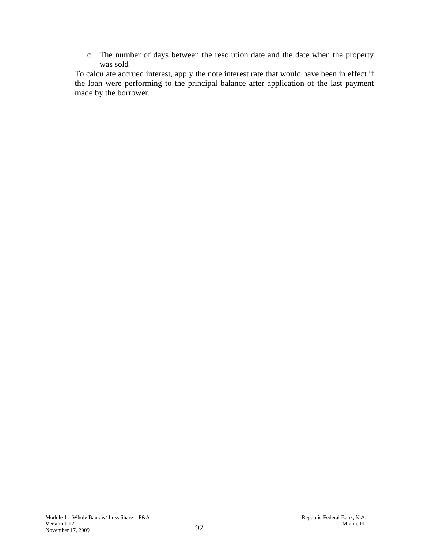c. The number of days between the resolution date and the date when the property was sold

To calculate accrued interest, apply the note interest rate that would have been in effect if the loan were performing to the principal balance after application of the last payment made by the borrower.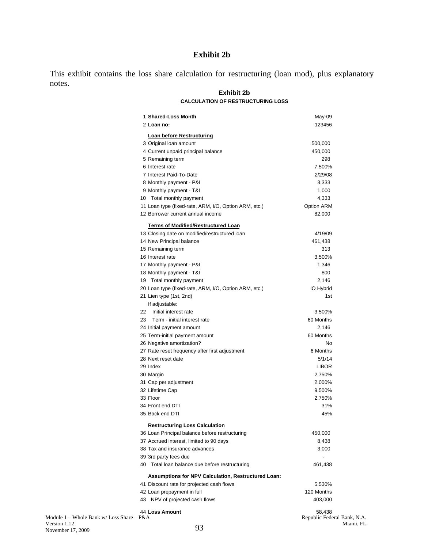## **Exhibit 2b**

This exhibit contains the loss share calculation for restructuring (loan mod), plus explanatory notes.

#### **Exhibit 2b CALCULATION OF RESTRUCTURING LOSS**

|                                                           | 1 Shared-Loss Month                                   | May-09                                             |
|-----------------------------------------------------------|-------------------------------------------------------|----------------------------------------------------|
|                                                           | 2 Loan no:                                            | 123456                                             |
|                                                           | <b>Loan before Restructuring</b>                      |                                                    |
|                                                           | 3 Original loan amount                                | 500,000                                            |
|                                                           | 4 Current unpaid principal balance                    | 450,000                                            |
|                                                           | 5 Remaining term                                      | 298                                                |
|                                                           | 6 Interest rate                                       | 7.500%                                             |
|                                                           | 7 Interest Paid-To-Date                               | 2/29/08                                            |
|                                                           | 8 Monthly payment - P&I                               | 3,333                                              |
|                                                           | 9 Monthly payment - T&I                               | 1,000                                              |
|                                                           | 10 Total monthly payment                              | 4,333                                              |
|                                                           | 11 Loan type (fixed-rate, ARM, I/O, Option ARM, etc.) | <b>Option ARM</b>                                  |
|                                                           | 12 Borrower current annual income                     | 82,000                                             |
|                                                           | <b>Terms of Modified/Restructured Loan</b>            |                                                    |
|                                                           | 13 Closing date on modified/restructured loan         | 4/19/09                                            |
|                                                           | 14 New Principal balance                              | 461,438                                            |
|                                                           | 15 Remaining term                                     | 313                                                |
|                                                           | 16 Interest rate                                      | 3.500%                                             |
|                                                           | 17 Monthly payment - P&I                              | 1,346                                              |
|                                                           | 18 Monthly payment - T&I                              | 800                                                |
|                                                           | 19 Total monthly payment                              | 2,146                                              |
|                                                           | 20 Loan type (fixed-rate, ARM, I/O, Option ARM, etc.) | IO Hybrid                                          |
|                                                           | 21 Lien type (1st, 2nd)                               | 1st                                                |
|                                                           | If adjustable:                                        |                                                    |
|                                                           | 22 Initial interest rate                              | 3.500%                                             |
| 23                                                        | Term - initial interest rate                          | 60 Months                                          |
|                                                           | 24 Initial payment amount                             | 2,146                                              |
|                                                           | 25 Term-initial payment amount                        | 60 Months                                          |
|                                                           | 26 Negative amortization?                             | No                                                 |
|                                                           | 27 Rate reset frequency after first adjustment        | 6 Months                                           |
|                                                           | 28 Next reset date                                    | 5/1/14                                             |
|                                                           | 29 Index                                              | <b>LIBOR</b>                                       |
|                                                           | 30 Margin                                             | 2.750%                                             |
|                                                           | 31 Cap per adjustment                                 | 2.000%                                             |
|                                                           | 32 Lifetime Cap                                       | 9.500%                                             |
|                                                           | 33 Floor                                              | 2.750%                                             |
|                                                           | 34 Front end DTI                                      | 31%                                                |
|                                                           | 35 Back end DTI                                       | 45%                                                |
|                                                           | <b>Restructuring Loss Calculation</b>                 |                                                    |
|                                                           | 36 Loan Principal balance before restructuring        | 450,000                                            |
|                                                           | 37 Accrued interest, limited to 90 days               | 8,438                                              |
|                                                           | 38 Tax and insurance advances                         | 3,000                                              |
|                                                           | 39 3rd party fees due                                 |                                                    |
|                                                           | 40 Total loan balance due before restructuring        | 461,438                                            |
|                                                           | Assumptions for NPV Calculation, Restructured Loan:   |                                                    |
|                                                           | 41 Discount rate for projected cash flows             | 5.530%                                             |
|                                                           | 42 Loan prepayment in full                            | 120 Months                                         |
|                                                           | 43 NPV of projected cash flows                        | 403,000                                            |
| Module 1 – Whole Bank w/ Loss Share – P&A<br>Version 1.12 | 44 Loss Amount                                        | 58.438<br>Republic Federal Bank, N.A.<br>Miami, FL |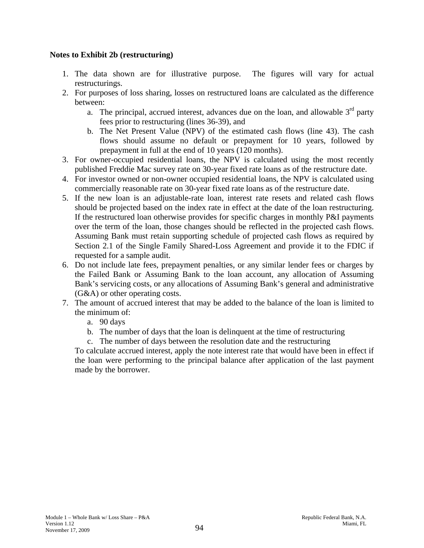### **Notes to Exhibit 2b (restructuring)**

- 1. The data shown are for illustrative purpose. The figures will vary for actual restructurings.
- 2. For purposes of loss sharing, losses on restructured loans are calculated as the difference between:
	- a. The principal, accrued interest, advances due on the loan, and allowable  $3<sup>rd</sup>$  party fees prior to restructuring (lines 36-39), and
	- b. The Net Present Value (NPV) of the estimated cash flows (line 43). The cash flows should assume no default or prepayment for 10 years, followed by prepayment in full at the end of 10 years (120 months).
- 3. For owner-occupied residential loans, the NPV is calculated using the most recently published Freddie Mac survey rate on 30-year fixed rate loans as of the restructure date.
- 4. For investor owned or non-owner occupied residential loans, the NPV is calculated using commercially reasonable rate on 30-year fixed rate loans as of the restructure date.
- 5. If the new loan is an adjustable-rate loan, interest rate resets and related cash flows should be projected based on the index rate in effect at the date of the loan restructuring. If the restructured loan otherwise provides for specific charges in monthly P&I payments over the term of the loan, those changes should be reflected in the projected cash flows. Assuming Bank must retain supporting schedule of projected cash flows as required by Section 2.1 of the Single Family Shared-Loss Agreement and provide it to the FDIC if requested for a sample audit.
- 6. Do not include late fees, prepayment penalties, or any similar lender fees or charges by the Failed Bank or Assuming Bank to the loan account, any allocation of Assuming Bank's servicing costs, or any allocations of Assuming Bank's general and administrative (G&A) or other operating costs.
- 7. The amount of accrued interest that may be added to the balance of the loan is limited to the minimum of:
	- a. 90 days
	- b. The number of days that the loan is delinquent at the time of restructuring
	- c. The number of days between the resolution date and the restructuring

To calculate accrued interest, apply the note interest rate that would have been in effect if the loan were performing to the principal balance after application of the last payment made by the borrower.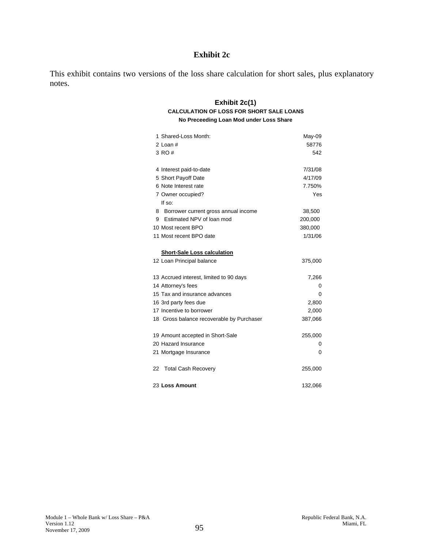### **Exhibit 2c**

This exhibit contains two versions of the loss share calculation for short sales, plus explanatory notes.

#### **Exhibit 2c(1) CALCULATION OF LOSS FOR SHORT SALE LOANS No Preceeding Loan Mod under Loss Share**

| 1 Shared-Loss Month:                      | May-09  |
|-------------------------------------------|---------|
| 2 Loan #                                  | 58776   |
| 3 RO #                                    | 542     |
|                                           |         |
| 4 Interest paid-to-date                   | 7/31/08 |
| 5 Short Payoff Date                       | 4/17/09 |
| 6 Note Interest rate                      | 7.750%  |
| 7 Owner occupied?                         | Yes     |
| If so:                                    |         |
| Borrower current gross annual income<br>8 | 38,500  |
| Estimated NPV of loan mod<br>9            | 200,000 |
| 10 Most recent BPO                        | 380,000 |
| 11 Most recent BPO date                   | 1/31/06 |
|                                           |         |
| <b>Short-Sale Loss calculation</b>        |         |
| 12 Loan Principal balance                 | 375,000 |
|                                           |         |
| 13 Accrued interest, limited to 90 days   | 7,266   |
| 14 Attorney's fees                        | 0       |
| 15 Tax and insurance advances             | 0       |
| 16 3rd party fees due                     | 2,800   |
| 17 Incentive to borrower                  | 2,000   |
| 18 Gross balance recoverable by Purchaser | 387,066 |
|                                           |         |
| 19 Amount accepted in Short-Sale          | 255,000 |
| 20 Hazard Insurance                       | 0       |
| 21 Mortgage Insurance                     | 0       |
|                                           |         |
| 22 Total Cash Recovery                    | 255,000 |
|                                           |         |
| 23 Loss Amount                            | 132,066 |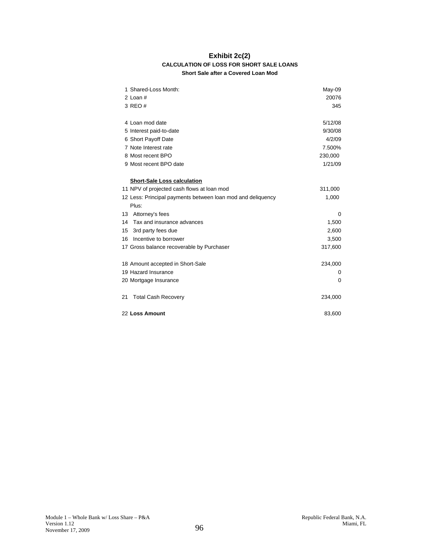#### **Exhibit 2c(2) CALCULATION OF LOSS FOR SHORT SALE LOANS Short Sale after a Covered Loan Mod**

| 1 Shared-Loss Month:                                        | May-09   |
|-------------------------------------------------------------|----------|
| 2 Loan $#$                                                  | 20076    |
| 3 REO #                                                     | 345      |
|                                                             |          |
| 4 Loan mod date                                             | 5/12/08  |
| 5 Interest paid-to-date                                     | 9/30/08  |
| 6 Short Payoff Date                                         | 4/2/09   |
| 7 Note Interest rate                                        | 7.500%   |
| 8 Most recent BPO                                           | 230,000  |
| 9 Most recent BPO date                                      | 1/21/09  |
|                                                             |          |
| <b>Short-Sale Loss calculation</b>                          |          |
| 11 NPV of projected cash flows at loan mod                  | 311,000  |
| 12 Less: Principal payments between loan mod and deliquency | 1,000    |
| Plus:                                                       |          |
| Attorney's fees<br>13                                       | $\Omega$ |
| Tax and insurance advances<br>14                            | 1,500    |
| 3rd party fees due<br>15                                    | 2,600    |
| Incentive to borrower<br>16                                 | 3,500    |
| 17 Gross balance recoverable by Purchaser                   | 317,600  |
|                                                             |          |
| 18 Amount accepted in Short-Sale                            | 234,000  |
| 19 Hazard Insurance                                         | 0        |
| 20 Mortgage Insurance                                       | 0        |
|                                                             |          |
| <b>Total Cash Recovery</b><br>21                            | 234,000  |
|                                                             |          |
| 22 Loss Amount                                              | 83,600   |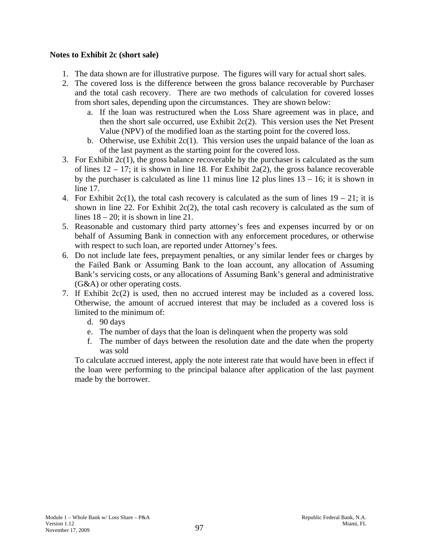## **Notes to Exhibit 2c (short sale)**

- 1. The data shown are for illustrative purpose. The figures will vary for actual short sales.
- 2. The covered loss is the difference between the gross balance recoverable by Purchaser and the total cash recovery. There are two methods of calculation for covered losses from short sales, depending upon the circumstances. They are shown below:
	- a. If the loan was restructured when the Loss Share agreement was in place, and then the short sale occurred, use Exhibit  $2c(2)$ . This version uses the Net Present Value (NPV) of the modified loan as the starting point for the covered loss.
	- b. Otherwise, use Exhibit  $2c(1)$ . This version uses the unpaid balance of the loan as of the last payment as the starting point for the covered loss.
- 3. For Exhibit  $2c(1)$ , the gross balance recoverable by the purchaser is calculated as the sum of lines  $12 - 17$ ; it is shown in line 18. For Exhibit 2a(2), the gross balance recoverable by the purchaser is calculated as line 11 minus line  $12$  plus lines  $13 - 16$ ; it is shown in line 17.
- 4. For Exhibit 2c(1), the total cash recovery is calculated as the sum of lines  $19 21$ ; it is shown in line 22. For Exhibit  $2c(2)$ , the total cash recovery is calculated as the sum of lines  $18 - 20$ ; it is shown in line 21.
- 5. Reasonable and customary third party attorney's fees and expenses incurred by or on behalf of Assuming Bank in connection with any enforcement procedures, or otherwise with respect to such loan, are reported under Attorney's fees.
- 6. Do not include late fees, prepayment penalties, or any similar lender fees or charges by the Failed Bank or Assuming Bank to the loan account, any allocation of Assuming Bank's servicing costs, or any allocations of Assuming Bank's general and administrative (G&A) or other operating costs.
- 7. If Exhibit  $2c(2)$  is used, then no accrued interest may be included as a covered loss. Otherwise, the amount of accrued interest that may be included as a covered loss is limited to the minimum of:
	- d.  $90 \text{ days}$
	- e. The number of days that the loan is delinquent when the property was sold
	- f. The number of days between the resolution date and the date when the property was sold

To calculate accrued interest, apply the note interest rate that would have been in effect if the loan were performing to the principal balance after application of the last payment made by the borrower.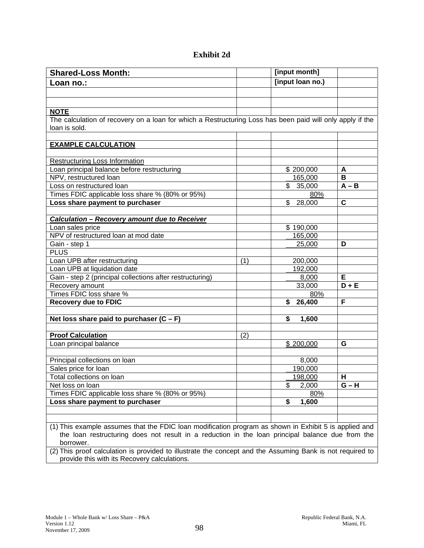## **Exhibit 2d**

| [input month]<br><b>Shared-Loss Month:</b>                                                                |     |                  |              |  |
|-----------------------------------------------------------------------------------------------------------|-----|------------------|--------------|--|
| Loan no.:                                                                                                 |     | [input loan no.) |              |  |
|                                                                                                           |     |                  |              |  |
|                                                                                                           |     |                  |              |  |
| <b>NOTE</b>                                                                                               |     |                  |              |  |
| The calculation of recovery on a loan for which a Restructuring Loss has been paid will only apply if the |     |                  |              |  |
| loan is sold.                                                                                             |     |                  |              |  |
|                                                                                                           |     |                  |              |  |
| <b>EXAMPLE CALCULATION</b>                                                                                |     |                  |              |  |
|                                                                                                           |     |                  |              |  |
| <b>Restructuring Loss Information</b>                                                                     |     |                  |              |  |
| Loan principal balance before restructuring                                                               |     | \$200,000        | A            |  |
| NPV, restructured loan                                                                                    |     | 165,000          | B            |  |
| Loss on restructured loan                                                                                 |     | \$35,000         | $A - B$      |  |
| Times FDIC applicable loss share % (80% or 95%)                                                           |     | 80%              |              |  |
| Loss share payment to purchaser                                                                           |     | \$28,000         | $\mathbf C$  |  |
|                                                                                                           |     |                  |              |  |
| Calculation - Recovery amount due to Receiver                                                             |     |                  |              |  |
| Loan sales price                                                                                          |     | \$190,000        |              |  |
| NPV of restructured loan at mod date                                                                      |     | 165,000          |              |  |
| Gain - step 1                                                                                             |     | 25,000           | D            |  |
| <b>PLUS</b>                                                                                               |     |                  |              |  |
| Loan UPB after restructuring                                                                              | (1) | 200,000          |              |  |
| Loan UPB at liquidation date                                                                              |     | 192,000          |              |  |
| Gain - step 2 (principal collections after restructuring)                                                 |     | 8,000            | Е<br>$D + E$ |  |
| Recovery amount                                                                                           |     | 33,000           |              |  |
| Times FDIC loss share %                                                                                   |     | 80%              | F            |  |
| <b>Recovery due to FDIC</b>                                                                               |     | \$26,400         |              |  |
| Net loss share paid to purchaser $(C - F)$                                                                |     | \$<br>1,600      |              |  |
|                                                                                                           |     |                  |              |  |
| <b>Proof Calculation</b>                                                                                  | (2) |                  |              |  |
| Loan principal balance                                                                                    |     | \$200,000        | G            |  |
|                                                                                                           |     |                  |              |  |
| Principal collections on loan                                                                             |     | 8,000            |              |  |
| Sales price for loan                                                                                      |     | 190,000          |              |  |
| Total collections on loan                                                                                 |     | 198,000          | H            |  |
| Net loss on loan                                                                                          |     | \$<br>2,000      | $G - H$      |  |
| Times FDIC applicable loss share % (80% or 95%)                                                           |     | 80%              |              |  |
| Loss share payment to purchaser                                                                           |     | \$<br>1,600      |              |  |
|                                                                                                           |     |                  |              |  |
|                                                                                                           |     |                  |              |  |
| (1) This example assumes that the FDIC loan modification program as shown in Exhibit 5 is applied and     |     |                  |              |  |
| the loan restructuring does not result in a reduction in the loan principal balance due from the          |     |                  |              |  |
| borrower.                                                                                                 |     |                  |              |  |
| (2) This proof calculation is provided to illustrate the concept and the Assuming Bank is not required to |     |                  |              |  |
| provide this with its Recovery calculations.                                                              |     |                  |              |  |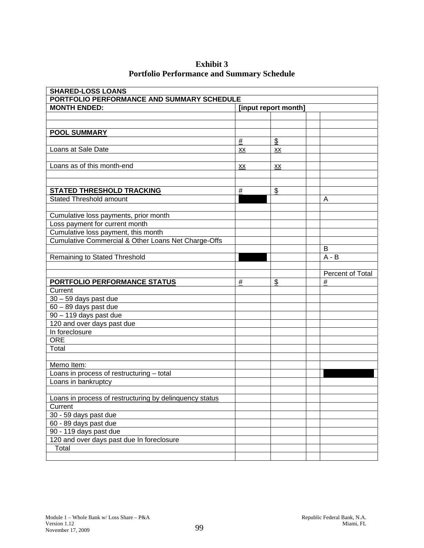| <b>SHARED-LOSS LOANS</b><br>PORTFOLIO PERFORMANCE AND SUMMARY SCHEDULE |      |               |                  |  |
|------------------------------------------------------------------------|------|---------------|------------------|--|
| <b>MONTH ENDED:</b><br>[input report month]                            |      |               |                  |  |
|                                                                        |      |               |                  |  |
|                                                                        |      |               |                  |  |
| <b>POOL SUMMARY</b>                                                    |      |               |                  |  |
|                                                                        | #    | \$            |                  |  |
| Loans at Sale Date                                                     | XX   | XX            |                  |  |
|                                                                        |      |               |                  |  |
| Loans as of this month-end                                             | XX   | XX            |                  |  |
|                                                                        |      |               |                  |  |
| <b>STATED THRESHOLD TRACKING</b>                                       | $\#$ | $\frac{1}{2}$ |                  |  |
| <b>Stated Threshold amount</b>                                         |      |               | A                |  |
|                                                                        |      |               |                  |  |
| Cumulative loss payments, prior month                                  |      |               |                  |  |
| Loss payment for current month                                         |      |               |                  |  |
| Cumulative loss payment, this month                                    |      |               |                  |  |
| Cumulative Commercial & Other Loans Net Charge-Offs                    |      |               |                  |  |
|                                                                        |      |               | B                |  |
| <b>Remaining to Stated Threshold</b>                                   |      |               | $A - B$          |  |
|                                                                        |      |               |                  |  |
|                                                                        |      |               | Percent of Total |  |
| <b>PORTFOLIO PERFORMANCE STATUS</b>                                    | $\#$ | $\frac{1}{2}$ | $\#$             |  |
| Current                                                                |      |               |                  |  |
| $30 - 59$ days past due                                                |      |               |                  |  |
| $60 - 89$ days past due                                                |      |               |                  |  |
| $90 - 119$ days past due                                               |      |               |                  |  |
| 120 and over days past due                                             |      |               |                  |  |
| In foreclosure                                                         |      |               |                  |  |
| <b>ORE</b>                                                             |      |               |                  |  |
| Total                                                                  |      |               |                  |  |
|                                                                        |      |               |                  |  |
| Memo Item:                                                             |      |               |                  |  |
| Loans in process of restructuring - total                              |      |               |                  |  |
| Loans in bankruptcy                                                    |      |               |                  |  |
|                                                                        |      |               |                  |  |
| Loans in process of restructuring by delinguency status                |      |               |                  |  |
| Current                                                                |      |               |                  |  |
| 30 - 59 days past due                                                  |      |               |                  |  |
| 60 - 89 days past due                                                  |      |               |                  |  |
| 90 - 119 days past due<br>120 and over days past due In foreclosure    |      |               |                  |  |
| Total                                                                  |      |               |                  |  |
|                                                                        |      |               |                  |  |

**Exhibit 3 Portfolio Performance and Summary Schedule**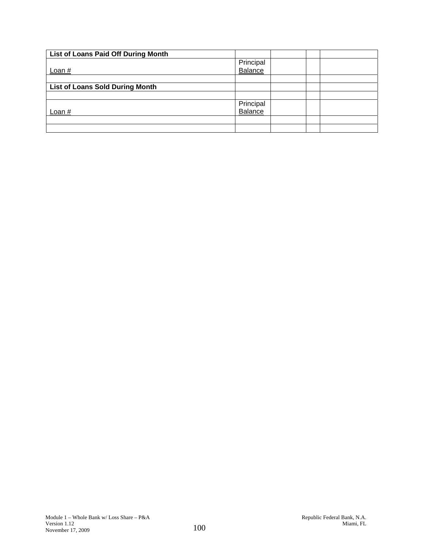| List of Loans Paid Off During Month    |                |  |  |
|----------------------------------------|----------------|--|--|
|                                        | Principal      |  |  |
| Loan $#$                               | Balance        |  |  |
|                                        |                |  |  |
| <b>List of Loans Sold During Month</b> |                |  |  |
|                                        |                |  |  |
|                                        | Principal      |  |  |
| Loan $#$                               | <b>Balance</b> |  |  |
|                                        |                |  |  |
|                                        |                |  |  |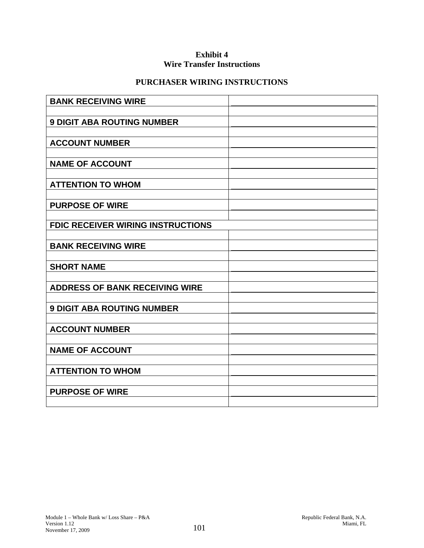## **Exhibit 4 Wire Transfer Instructions**

# **PURCHASER WIRING INSTRUCTIONS**

| <b>BANK RECEIVING WIRE</b>               |  |
|------------------------------------------|--|
|                                          |  |
| <b>9 DIGIT ABA ROUTING NUMBER</b>        |  |
|                                          |  |
| <b>ACCOUNT NUMBER</b>                    |  |
|                                          |  |
| <b>NAME OF ACCOUNT</b>                   |  |
|                                          |  |
| <b>ATTENTION TO WHOM</b>                 |  |
|                                          |  |
| <b>PURPOSE OF WIRE</b>                   |  |
| <b>FDIC RECEIVER WIRING INSTRUCTIONS</b> |  |
|                                          |  |
| <b>BANK RECEIVING WIRE</b>               |  |
|                                          |  |
| <b>SHORT NAME</b>                        |  |
|                                          |  |
| <b>ADDRESS OF BANK RECEIVING WIRE</b>    |  |
|                                          |  |
| <b>9 DIGIT ABA ROUTING NUMBER</b>        |  |
|                                          |  |
| <b>ACCOUNT NUMBER</b>                    |  |
|                                          |  |
| <b>NAME OF ACCOUNT</b>                   |  |
|                                          |  |
| <b>ATTENTION TO WHOM</b>                 |  |
| <b>PURPOSE OF WIRE</b>                   |  |
|                                          |  |
|                                          |  |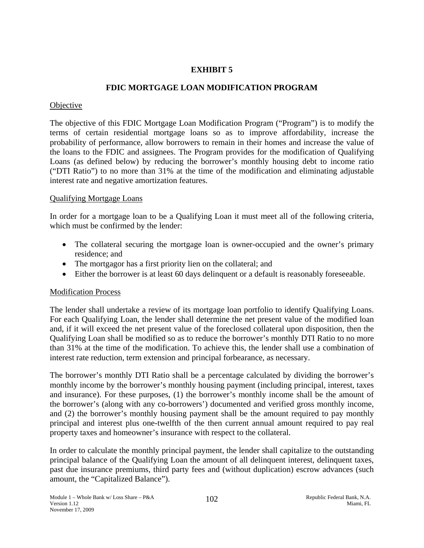## **EXHIBIT 5**

## **FDIC MORTGAGE LOAN MODIFICATION PROGRAM**

### **Objective**

The objective of this FDIC Mortgage Loan Modification Program ("Program") is to modify the terms of certain residential mortgage loans so as to improve affordability, increase the probability of performance, allow borrowers to remain in their homes and increase the value of the loans to the FDIC and assignees. The Program provides for the modification of Qualifying Loans (as defined below) by reducing the borrower's monthly housing debt to income ratio ("DTI Ratio") to no more than 31% at the time of the modification and eliminating adjustable interest rate and negative amortization features.

### Qualifying Mortgage Loans

In order for a mortgage loan to be a Qualifying Loan it must meet all of the following criteria, which must be confirmed by the lender:

- The collateral securing the mortgage loan is owner-occupied and the owner's primary residence; and
- The mortgagor has a first priority lien on the collateral; and
- Either the borrower is at least 60 days delinquent or a default is reasonably foreseeable.

## Modification Process

The lender shall undertake a review of its mortgage loan portfolio to identify Qualifying Loans. For each Qualifying Loan, the lender shall determine the net present value of the modified loan and, if it will exceed the net present value of the foreclosed collateral upon disposition, then the Qualifying Loan shall be modified so as to reduce the borrower's monthly DTI Ratio to no more than 31% at the time of the modification. To achieve this, the lender shall use a combination of interest rate reduction, term extension and principal forbearance, as necessary.

The borrower's monthly DTI Ratio shall be a percentage calculated by dividing the borrower's monthly income by the borrower's monthly housing payment (including principal, interest, taxes and insurance). For these purposes, (1) the borrower's monthly income shall be the amount of the borrower's (along with any co-borrowers') documented and verified gross monthly income, and (2) the borrower's monthly housing payment shall be the amount required to pay monthly principal and interest plus one-twelfth of the then current annual amount required to pay real property taxes and homeowner's insurance with respect to the collateral.

In order to calculate the monthly principal payment, the lender shall capitalize to the outstanding principal balance of the Qualifying Loan the amount of all delinquent interest, delinquent taxes, past due insurance premiums, third party fees and (without duplication) escrow advances (such amount, the "Capitalized Balance").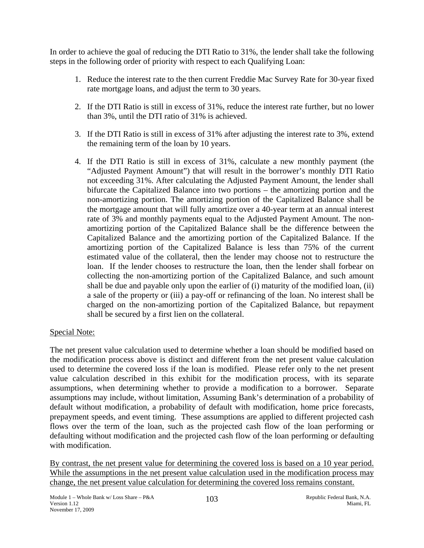In order to achieve the goal of reducing the DTI Ratio to 31%, the lender shall take the following steps in the following order of priority with respect to each Qualifying Loan:

- 1. Reduce the interest rate to the then current Freddie Mac Survey Rate for 30-year fixed rate mortgage loans, and adjust the term to 30 years.
- 2. If the DTI Ratio is still in excess of 31%, reduce the interest rate further, but no lower than 3%, until the DTI ratio of 31% is achieved.
- 3. If the DTI Ratio is still in excess of 31% after adjusting the interest rate to 3%, extend the remaining term of the loan by 10 years.
- 4. If the DTI Ratio is still in excess of 31%, calculate a new monthly payment (the "Adjusted Payment Amount") that will result in the borrower's monthly DTI Ratio not exceeding 31%. After calculating the Adjusted Payment Amount, the lender shall bifurcate the Capitalized Balance into two portions – the amortizing portion and the non-amortizing portion. The amortizing portion of the Capitalized Balance shall be the mortgage amount that will fully amortize over a 40-year term at an annual interest rate of 3% and monthly payments equal to the Adjusted Payment Amount. The nonamortizing portion of the Capitalized Balance shall be the difference between the Capitalized Balance and the amortizing portion of the Capitalized Balance. If the amortizing portion of the Capitalized Balance is less than 75% of the current estimated value of the collateral, then the lender may choose not to restructure the loan. If the lender chooses to restructure the loan, then the lender shall forbear on collecting the non-amortizing portion of the Capitalized Balance, and such amount shall be due and payable only upon the earlier of (i) maturity of the modified loan, (ii) a sale of the property or (iii) a pay-off or refinancing of the loan. No interest shall be charged on the non-amortizing portion of the Capitalized Balance, but repayment shall be secured by a first lien on the collateral.

## Special Note:

The net present value calculation used to determine whether a loan should be modified based on the modification process above is distinct and different from the net present value calculation used to determine the covered loss if the loan is modified. Please refer only to the net present value calculation described in this exhibit for the modification process, with its separate assumptions, when determining whether to provide a modification to a borrower. Separate assumptions may include, without limitation, Assuming Bank's determination of a probability of default without modification, a probability of default with modification, home price forecasts, prepayment speeds, and event timing. These assumptions are applied to different projected cash flows over the term of the loan, such as the projected cash flow of the loan performing or defaulting without modification and the projected cash flow of the loan performing or defaulting with modification.

change, the net present value calculation for determining the covered loss remains constant.<br>Module 1 – Whole Bank w/ Loss Share – P&A Republic Federal Bank, N.A. Republic Federal Bank, N.A.<br>Miami, FL By contrast, the net present value for determining the covered loss is based on a 10 year period. While the assumptions in the net present value calculation used in the modification process may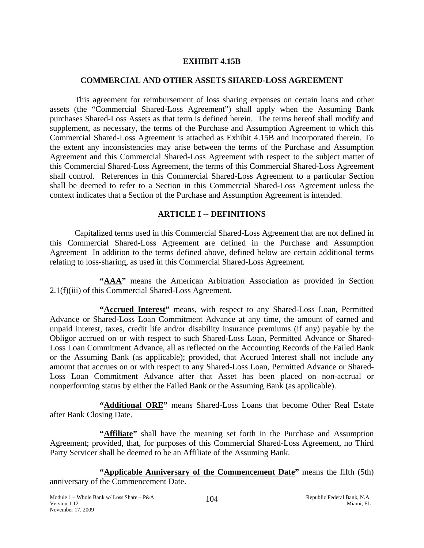#### **EXHIBIT 4.15B**

#### **COMMERCIAL AND OTHER ASSETS SHARED-LOSS AGREEMENT**

This agreement for reimbursement of loss sharing expenses on certain loans and other assets (the "Commercial Shared-Loss Agreement") shall apply when the Assuming Bank purchases Shared-Loss Assets as that term is defined herein. The terms hereof shall modify and supplement, as necessary, the terms of the Purchase and Assumption Agreement to which this Commercial Shared-Loss Agreement is attached as Exhibit 4.15B and incorporated therein. To the extent any inconsistencies may arise between the terms of the Purchase and Assumption Agreement and this Commercial Shared-Loss Agreement with respect to the subject matter of this Commercial Shared-Loss Agreement, the terms of this Commercial Shared-Loss Agreement shall control. References in this Commercial Shared-Loss Agreement to a particular Section shall be deemed to refer to a Section in this Commercial Shared-Loss Agreement unless the context indicates that a Section of the Purchase and Assumption Agreement is intended.

#### **ARTICLE I -- DEFINITIONS**

Capitalized terms used in this Commercial Shared-Loss Agreement that are not defined in this Commercial Shared-Loss Agreement are defined in the Purchase and Assumption Agreement In addition to the terms defined above, defined below are certain additional terms relating to loss-sharing, as used in this Commercial Shared-Loss Agreement.

"AAA" means the American Arbitration Association as provided in Section 2.1(f)(iii) of this Commercial Shared-Loss Agreement.

**"Accrued Interest"** means, with respect to any Shared-Loss Loan, Permitted Advance or Shared-Loss Loan Commitment Advance at any time, the amount of earned and unpaid interest, taxes, credit life and/or disability insurance premiums (if any) payable by the Obligor accrued on or with respect to such Shared-Loss Loan, Permitted Advance or Shared-Loss Loan Commitment Advance, all as reflected on the Accounting Records of the Failed Bank or the Assuming Bank (as applicable); provided, that Accrued Interest shall not include any amount that accrues on or with respect to any Shared-Loss Loan, Permitted Advance or Shared-Loss Loan Commitment Advance after that Asset has been placed on non-accrual or nonperforming status by either the Failed Bank or the Assuming Bank (as applicable).

"**Additional ORE**" means Shared-Loss Loans that become Other Real Estate after Bank Closing Date.

"**Affiliate**" shall have the meaning set forth in the Purchase and Assumption Agreement; provided, that, for purposes of this Commercial Shared-Loss Agreement, no Third Party Servicer shall be deemed to be an Affiliate of the Assuming Bank.

**Examplicable Anniversary of the Commencement Date**" means the fifth (5th) anniversary of the Commencement Date.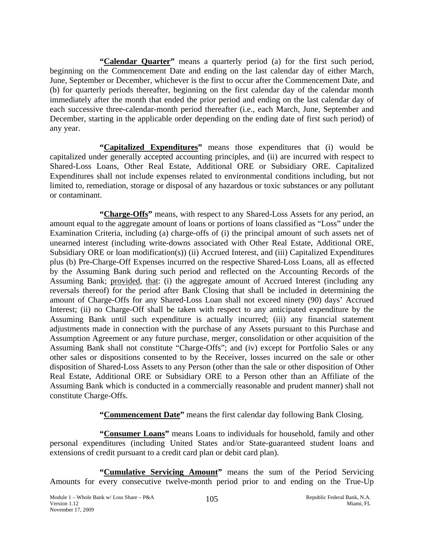"Calendar Quarter" means a quarterly period (a) for the first such period, beginning on the Commencement Date and ending on the last calendar day of either March, June, September or December, whichever is the first to occur after the Commencement Date, and (b) for quarterly periods thereafter, beginning on the first calendar day of the calendar month immediately after the month that ended the prior period and ending on the last calendar day of each successive three-calendar-month period thereafter (i.e., each March, June, September and December, starting in the applicable order depending on the ending date of first such period) of any year.

**"Capitalized Expenditures"** means those expenditures that (i) would be capitalized under generally accepted accounting principles, and (ii) are incurred with respect to Shared-Loss Loans, Other Real Estate, Additional ORE or Subsidiary ORE. Capitalized Expenditures shall not include expenses related to environmental conditions including, but not limited to, remediation, storage or disposal of any hazardous or toxic substances or any pollutant or contaminant.

**"Charge-Offs"** means, with respect to any Shared-Loss Assets for any period, an amount equal to the aggregate amount of loans or portions of loans classified as "Loss" under the Examination Criteria, including (a) charge-offs of (i) the principal amount of such assets net of unearned interest (including write-downs associated with Other Real Estate, Additional ORE, Subsidiary ORE or loan modification(s)) (ii) Accrued Interest, and (iii) Capitalized Expenditures plus (b) Pre-Charge-Off Expenses incurred on the respective Shared-Loss Loans, all as effected by the Assuming Bank during such period and reflected on the Accounting Records of the Assuming Bank; provided, that: (i) the aggregate amount of Accrued Interest (including any reversals thereof) for the period after Bank Closing that shall be included in determining the amount of Charge-Offs for any Shared-Loss Loan shall not exceed ninety (90) days' Accrued Interest; (ii) no Charge-Off shall be taken with respect to any anticipated expenditure by the Assuming Bank until such expenditure is actually incurred; (iii) any financial statement adjustments made in connection with the purchase of any Assets pursuant to this Purchase and Assumption Agreement or any future purchase, merger, consolidation or other acquisition of the Assuming Bank shall not constitute "Charge-Offs"; and (iv) except for Portfolio Sales or any other sales or dispositions consented to by the Receiver, losses incurred on the sale or other disposition of Shared-Loss Assets to any Person (other than the sale or other disposition of Other Real Estate, Additional ORE or Subsidiary ORE to a Person other than an Affiliate of the Assuming Bank which is conducted in a commercially reasonable and prudent manner) shall not constitute Charge-Offs.

**"Commencement Date"** means the first calendar day following Bank Closing.

**"Consumer Loans"** means Loans to individuals for household, family and other personal expenditures (including United States and/or State-guaranteed student loans and extensions of credit pursuant to a credit card plan or debit card plan).

**"Cumulative Servicing Amount"** means the sum of the Period Servicing Amounts for every consecutive twelve-month period prior to and ending on the True-Up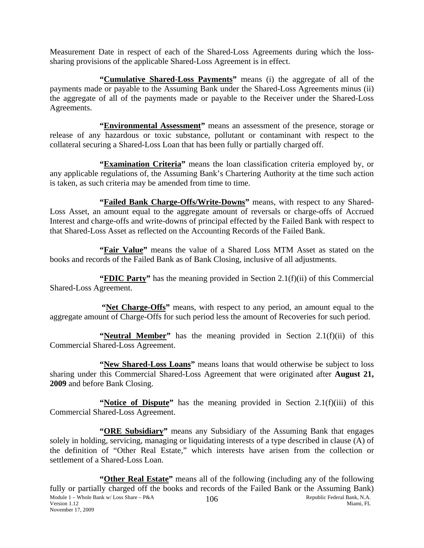Measurement Date in respect of each of the Shared-Loss Agreements during which the losssharing provisions of the applicable Shared-Loss Agreement is in effect.

**"Cumulative Shared-Loss Payments"** means (i) the aggregate of all of the payments made or payable to the Assuming Bank under the Shared-Loss Agreements minus (ii) the aggregate of all of the payments made or payable to the Receiver under the Shared-Loss Agreements.

**"Environmental Assessment"** means an assessment of the presence, storage or release of any hazardous or toxic substance, pollutant or contaminant with respect to the collateral securing a Shared-Loss Loan that has been fully or partially charged off.

**"Examination Criteria"** means the loan classification criteria employed by, or any applicable regulations of, the Assuming Bank's Chartering Authority at the time such action is taken, as such criteria may be amended from time to time.

**"Failed Bank Charge-Offs/Write-Downs"** means, with respect to any Shared-Loss Asset, an amount equal to the aggregate amount of reversals or charge-offs of Accrued Interest and charge-offs and write-downs of principal effected by the Failed Bank with respect to that Shared-Loss Asset as reflected on the Accounting Records of the Failed Bank.

**"Fair Value"** means the value of a Shared Loss MTM Asset as stated on the books and records of the Failed Bank as of Bank Closing, inclusive of all adjustments.

**"FDIC Party"** has the meaning provided in Section 2.1(f)(ii) of this Commercial Shared-Loss Agreement.

**"Net Charge-Offs"** means, with respect to any period, an amount equal to the aggregate amount of Charge-Offs for such period less the amount of Recoveries for such period.

 Commercial Shared-Loss Agreement. "Neutral Member" has the meaning provided in Section 2.1(f)(ii) of this

"New Shared-Loss Loans" means loans that would otherwise be subject to loss sharing under this Commercial Shared-Loss Agreement that were originated after **August 21, 2009** and before Bank Closing.

**"Notice of Dispute"** has the meaning provided in Section 2.1(f)(iii) of this Commercial Shared-Loss Agreement.

**"ORE Subsidiary"** means any Subsidiary of the Assuming Bank that engages solely in holding, servicing, managing or liquidating interests of a type described in clause (A) of the definition of "Other Real Estate," which interests have arisen from the collection or settlement of a Shared-Loss Loan.

**"Other Real Estate"** means all of the following (including any of the following fully or partially charged off the books and records of the Failed Bank or the Assuming Bank) Module 1 – Whole Bank w/ Loss Share – P&A  $106$  Republic Federal Bank, N.A. Miami, FL November 17, 2009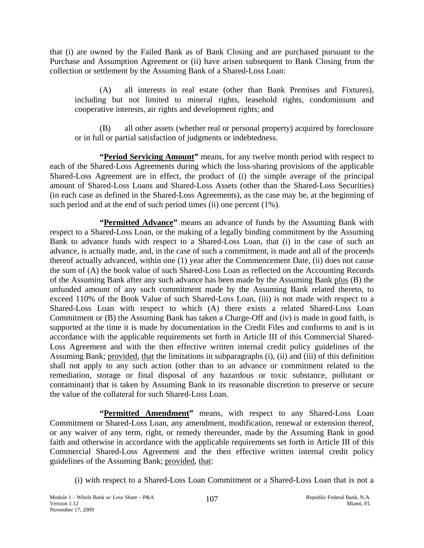that (i) are owned by the Failed Bank as of Bank Closing and are purchased pursuant to the Purchase and Assumption Agreement or (ii) have arisen subsequent to Bank Closing from the collection or settlement by the Assuming Bank of a Shared-Loss Loan:

(A) all interests in real estate (other than Bank Premises and Fixtures), including but not limited to mineral rights, leasehold rights, condominium and cooperative interests, air rights and development rights; and

(B) all other assets (whether real or personal property) acquired by foreclosure or in full or partial satisfaction of judgments or indebtedness.

**"Period Servicing Amount"** means, for any twelve month period with respect to each of the Shared-Loss Agreements during which the loss-sharing provisions of the applicable Shared-Loss Agreement are in effect, the product of (i) the simple average of the principal amount of Shared-Loss Loans and Shared-Loss Assets (other than the Shared-Loss Securities) (in each case as defined in the Shared-Loss Agreements), as the case may be, at the beginning of such period and at the end of such period times (ii) one percent (1%).

**"Permitted Advance"** means an advance of funds by the Assuming Bank with respect to a Shared-Loss Loan, or the making of a legally binding commitment by the Assuming Bank to advance funds with respect to a Shared-Loss Loan, that (i) in the case of such an advance, is actually made, and, in the case of such a commitment, is made and all of the proceeds thereof actually advanced, within one (1) year after the Commencement Date, (ii) does not cause the sum of (A) the book value of such Shared-Loss Loan as reflected on the Accounting Records of the Assuming Bank after any such advance has been made by the Assuming Bank plus (B) the unfunded amount of any such commitment made by the Assuming Bank related thereto, to exceed 110% of the Book Value of such Shared-Loss Loan, (iii) is not made with respect to a Shared-Loss Loan with respect to which (A) there exists a related Shared-Loss Loan Commitment or (B) the Assuming Bank has taken a Charge-Off and (iv) is made in good faith, is supported at the time it is made by documentation in the Credit Files and conforms to and is in accordance with the applicable requirements set forth in Article III of this Commercial Shared-Loss Agreement and with the then effective written internal credit policy guidelines of the Assuming Bank; provided, that the limitations in subparagraphs (i), (ii) and (iii) of this definition shall not apply to any such action (other than to an advance or commitment related to the remediation, storage or final disposal of any hazardous or toxic substance, pollutant or contaminant) that is taken by Assuming Bank in its reasonable discretion to preserve or secure the value of the collateral for such Shared-Loss Loan.

"Permitted Amendment" means, with respect to any Shared-Loss Loan Commitment or Shared-Loss Loan, any amendment, modification, renewal or extension thereof, or any waiver of any term, right, or remedy thereunder, made by the Assuming Bank in good faith and otherwise in accordance with the applicable requirements set forth in Article III of this Commercial Shared-Loss Agreement and the then effective written internal credit policy guidelines of the Assuming Bank; provided, that:

(i) with respect to a Shared-Loss Loan Commitment or a Shared-Loss Loan that is not a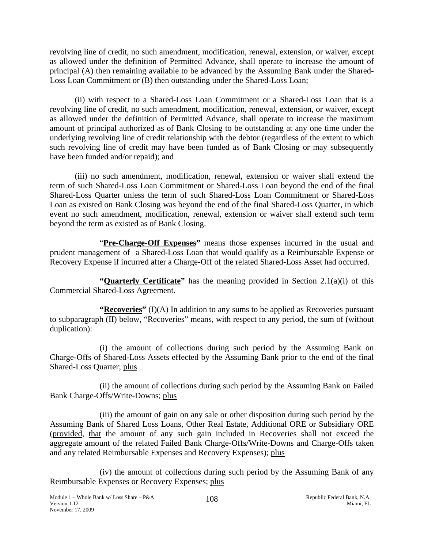revolving line of credit, no such amendment, modification, renewal, extension, or waiver, except as allowed under the definition of Permitted Advance, shall operate to increase the amount of principal (A) then remaining available to be advanced by the Assuming Bank under the Shared-Loss Loan Commitment or (B) then outstanding under the Shared-Loss Loan;

(ii) with respect to a Shared-Loss Loan Commitment or a Shared-Loss Loan that is a revolving line of credit, no such amendment, modification, renewal, extension, or waiver, except as allowed under the definition of Permitted Advance, shall operate to increase the maximum amount of principal authorized as of Bank Closing to be outstanding at any one time under the underlying revolving line of credit relationship with the debtor (regardless of the extent to which such revolving line of credit may have been funded as of Bank Closing or may subsequently have been funded and/or repaid); and

(iii) no such amendment, modification, renewal, extension or waiver shall extend the term of such Shared-Loss Loan Commitment or Shared-Loss Loan beyond the end of the final Shared-Loss Quarter unless the term of such Shared-Loss Loan Commitment or Shared-Loss Loan as existed on Bank Closing was beyond the end of the final Shared-Loss Quarter, in which event no such amendment, modification, renewal, extension or waiver shall extend such term beyond the term as existed as of Bank Closing.

"**Pre-Charge-Off Expenses**" means those expenses incurred in the usual and prudent management of a Shared-Loss Loan that would qualify as a Reimbursable Expense or Recovery Expense if incurred after a Charge-Off of the related Shared-Loss Asset had occurred.

**"Quarterly Certificate"** has the meaning provided in Section 2.1(a)(i) of this Commercial Shared-Loss Agreement.

**"Recoveries"** (I)(A) In addition to any sums to be applied as Recoveries pursuant to subparagraph (II) below, "Recoveries" means, with respect to any period, the sum of (without duplication):

**Shared-Loss Quarter; plus** (i) the amount of collections during such period by the Assuming Bank on Charge-Offs of Shared-Loss Assets effected by the Assuming Bank prior to the end of the final

(ii) the amount of collections during such period by the Assuming Bank on Failed Bank Charge-Offs/Write-Downs; plus

(iii) the amount of gain on any sale or other disposition during such period by the Assuming Bank of Shared Loss Loans, Other Real Estate, Additional ORE or Subsidiary ORE (provided, that the amount of any such gain included in Recoveries shall not exceed the aggregate amount of the related Failed Bank Charge-Offs/Write-Downs and Charge-Offs taken and any related Reimbursable Expenses and Recovery Expenses); plus

(iv) the amount of collections during such period by the Assuming Bank of any Reimbursable Expenses or Recovery Expenses; plus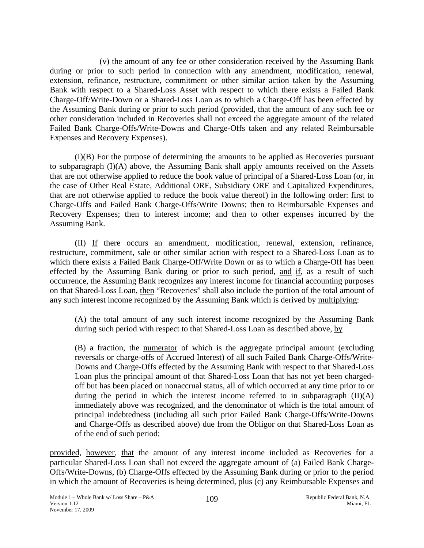(v) the amount of any fee or other consideration received by the Assuming Bank during or prior to such period in connection with any amendment, modification, renewal, extension, refinance, restructure, commitment or other similar action taken by the Assuming Bank with respect to a Shared-Loss Asset with respect to which there exists a Failed Bank Charge-Off/Write-Down or a Shared-Loss Loan as to which a Charge-Off has been effected by the Assuming Bank during or prior to such period (provided, that the amount of any such fee or other consideration included in Recoveries shall not exceed the aggregate amount of the related Failed Bank Charge-Offs/Write-Downs and Charge-Offs taken and any related Reimbursable Expenses and Recovery Expenses).

(I)(B) For the purpose of determining the amounts to be applied as Recoveries pursuant to subparagraph (I)(A) above, the Assuming Bank shall apply amounts received on the Assets that are not otherwise applied to reduce the book value of principal of a Shared-Loss Loan (or, in the case of Other Real Estate, Additional ORE, Subsidiary ORE and Capitalized Expenditures, that are not otherwise applied to reduce the book value thereof) in the following order: first to Charge-Offs and Failed Bank Charge-Offs/Write Downs; then to Reimbursable Expenses and Recovery Expenses; then to interest income; and then to other expenses incurred by the Assuming Bank.

(II) If there occurs an amendment, modification, renewal, extension, refinance, restructure, commitment, sale or other similar action with respect to a Shared-Loss Loan as to which there exists a Failed Bank Charge-Off/Write Down or as to which a Charge-Off has been effected by the Assuming Bank during or prior to such period, and if, as a result of such occurrence, the Assuming Bank recognizes any interest income for financial accounting purposes on that Shared-Loss Loan, then "Recoveries" shall also include the portion of the total amount of any such interest income recognized by the Assuming Bank which is derived by multiplying:

(A) the total amount of any such interest income recognized by the Assuming Bank during such period with respect to that Shared-Loss Loan as described above, by

(B) a fraction, the numerator of which is the aggregate principal amount (excluding reversals or charge-offs of Accrued Interest) of all such Failed Bank Charge-Offs/Write-Downs and Charge-Offs effected by the Assuming Bank with respect to that Shared-Loss Loan plus the principal amount of that Shared-Loss Loan that has not yet been chargedoff but has been placed on nonaccrual status, all of which occurred at any time prior to or during the period in which the interest income referred to in subparagraph (II)(A) immediately above was recognized, and the denominator of which is the total amount of principal indebtedness (including all such prior Failed Bank Charge-Offs/Write-Downs and Charge-Offs as described above) due from the Obligor on that Shared-Loss Loan as of the end of such period;

provided, however, that the amount of any interest income included as Recoveries for a particular Shared-Loss Loan shall not exceed the aggregate amount of (a) Failed Bank Charge-Offs/Write-Downs, (b) Charge-Offs effected by the Assuming Bank during or prior to the period in which the amount of Recoveries is being determined, plus (c) any Reimbursable Expenses and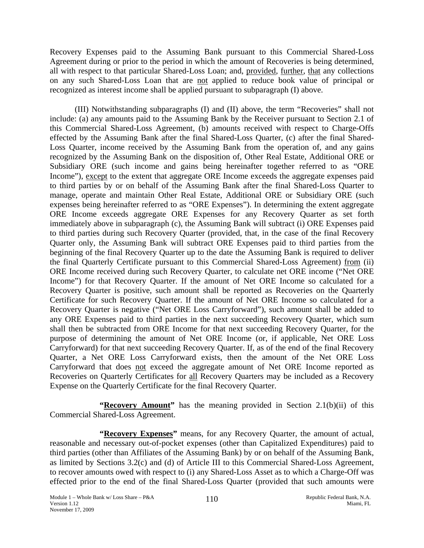Recovery Expenses paid to the Assuming Bank pursuant to this Commercial Shared-Loss Agreement during or prior to the period in which the amount of Recoveries is being determined, all with respect to that particular Shared-Loss Loan; and, provided, further, that any collections on any such Shared-Loss Loan that are not applied to reduce book value of principal or recognized as interest income shall be applied pursuant to subparagraph (I) above.

(III) Notwithstanding subparagraphs (I) and (II) above, the term "Recoveries" shall not include: (a) any amounts paid to the Assuming Bank by the Receiver pursuant to Section 2.1 of this Commercial Shared-Loss Agreement, (b) amounts received with respect to Charge-Offs effected by the Assuming Bank after the final Shared-Loss Quarter, (c) after the final Shared-Loss Quarter, income received by the Assuming Bank from the operation of, and any gains recognized by the Assuming Bank on the disposition of, Other Real Estate, Additional ORE or Subsidiary ORE (such income and gains being hereinafter together referred to as "ORE Income"), except to the extent that aggregate ORE Income exceeds the aggregate expenses paid to third parties by or on behalf of the Assuming Bank after the final Shared-Loss Quarter to manage, operate and maintain Other Real Estate, Additional ORE or Subsidiary ORE (such expenses being hereinafter referred to as "ORE Expenses"). In determining the extent aggregate ORE Income exceeds aggregate ORE Expenses for any Recovery Quarter as set forth immediately above in subparagraph (c), the Assuming Bank will subtract (i) ORE Expenses paid to third parties during such Recovery Quarter (provided, that, in the case of the final Recovery Quarter only, the Assuming Bank will subtract ORE Expenses paid to third parties from the beginning of the final Recovery Quarter up to the date the Assuming Bank is required to deliver the final Quarterly Certificate pursuant to this Commercial Shared-Loss Agreement) from (ii) ORE Income received during such Recovery Quarter, to calculate net ORE income ("Net ORE Income") for that Recovery Quarter. If the amount of Net ORE Income so calculated for a Recovery Quarter is positive, such amount shall be reported as Recoveries on the Quarterly Certificate for such Recovery Quarter. If the amount of Net ORE Income so calculated for a Recovery Quarter is negative ("Net ORE Loss Carryforward"), such amount shall be added to any ORE Expenses paid to third parties in the next succeeding Recovery Quarter, which sum shall then be subtracted from ORE Income for that next succeeding Recovery Quarter, for the purpose of determining the amount of Net ORE Income (or, if applicable, Net ORE Loss Carryforward) for that next succeeding Recovery Quarter. If, as of the end of the final Recovery Quarter, a Net ORE Loss Carryforward exists, then the amount of the Net ORE Loss Carryforward that does not exceed the aggregate amount of Net ORE Income reported as Recoveries on Quarterly Certificates for all Recovery Quarters may be included as a Recovery Expense on the Quarterly Certificate for the final Recovery Quarter.

**"Recovery Amount"** has the meaning provided in Section 2.1(b)(ii) of this Commercial Shared-Loss Agreement.

**"Recovery Expenses"** means, for any Recovery Quarter, the amount of actual, reasonable and necessary out-of-pocket expenses (other than Capitalized Expenditures) paid to third parties (other than Affiliates of the Assuming Bank) by or on behalf of the Assuming Bank, as limited by Sections 3.2(c) and (d) of Article III to this Commercial Shared-Loss Agreement, to recover amounts owed with respect to (i) any Shared-Loss Asset as to which a Charge-Off was effected prior to the end of the final Shared-Loss Quarter (provided that such amounts were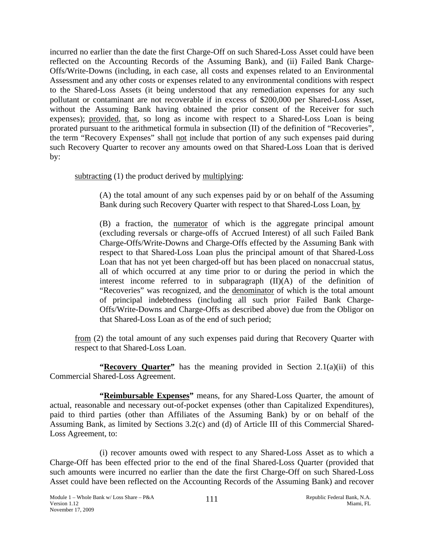incurred no earlier than the date the first Charge-Off on such Shared-Loss Asset could have been reflected on the Accounting Records of the Assuming Bank), and (ii) Failed Bank Charge-Offs/Write-Downs (including, in each case, all costs and expenses related to an Environmental Assessment and any other costs or expenses related to any environmental conditions with respect to the Shared-Loss Assets (it being understood that any remediation expenses for any such pollutant or contaminant are not recoverable if in excess of \$200,000 per Shared-Loss Asset, without the Assuming Bank having obtained the prior consent of the Receiver for such expenses); provided, that, so long as income with respect to a Shared-Loss Loan is being prorated pursuant to the arithmetical formula in subsection (II) of the definition of "Recoveries", the term "Recovery Expenses" shall not include that portion of any such expenses paid during such Recovery Quarter to recover any amounts owed on that Shared-Loss Loan that is derived by:

subtracting (1) the product derived by multiplying:

(A) the total amount of any such expenses paid by or on behalf of the Assuming Bank during such Recovery Quarter with respect to that Shared-Loss Loan, by

(B) a fraction, the numerator of which is the aggregate principal amount (excluding reversals or charge-offs of Accrued Interest) of all such Failed Bank Charge-Offs/Write-Downs and Charge-Offs effected by the Assuming Bank with respect to that Shared-Loss Loan plus the principal amount of that Shared-Loss Loan that has not yet been charged-off but has been placed on nonaccrual status, all of which occurred at any time prior to or during the period in which the interest income referred to in subparagraph (II)(A) of the definition of "Recoveries" was recognized, and the denominator of which is the total amount of principal indebtedness (including all such prior Failed Bank Charge-Offs/Write-Downs and Charge-Offs as described above) due from the Obligor on that Shared-Loss Loan as of the end of such period;

from (2) the total amount of any such expenses paid during that Recovery Quarter with respect to that Shared-Loss Loan.

**"Recovery Quarter"** has the meaning provided in Section 2.1(a)(ii) of this Commercial Shared-Loss Agreement.

**"Reimbursable Expenses"** means, for any Shared-Loss Quarter, the amount of actual, reasonable and necessary out-of-pocket expenses (other than Capitalized Expenditures), paid to third parties (other than Affiliates of the Assuming Bank) by or on behalf of the Assuming Bank, as limited by Sections 3.2(c) and (d) of Article III of this Commercial Shared-Loss Agreement, to:

(i) recover amounts owed with respect to any Shared-Loss Asset as to which a Charge-Off has been effected prior to the end of the final Shared-Loss Quarter (provided that such amounts were incurred no earlier than the date the first Charge-Off on such Shared-Loss Asset could have been reflected on the Accounting Records of the Assuming Bank) and recover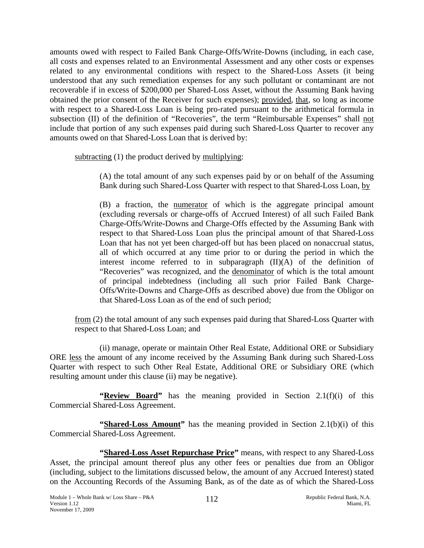amounts owed with respect to Failed Bank Charge-Offs/Write-Downs (including, in each case, all costs and expenses related to an Environmental Assessment and any other costs or expenses related to any environmental conditions with respect to the Shared-Loss Assets (it being understood that any such remediation expenses for any such pollutant or contaminant are not recoverable if in excess of \$200,000 per Shared-Loss Asset, without the Assuming Bank having obtained the prior consent of the Receiver for such expenses); provided, that, so long as income with respect to a Shared-Loss Loan is being pro-rated pursuant to the arithmetical formula in subsection (II) of the definition of "Recoveries", the term "Reimbursable Expenses" shall not include that portion of any such expenses paid during such Shared-Loss Quarter to recover any amounts owed on that Shared-Loss Loan that is derived by:

subtracting (1) the product derived by multiplying:

(A) the total amount of any such expenses paid by or on behalf of the Assuming Bank during such Shared-Loss Quarter with respect to that Shared-Loss Loan, by

(B) a fraction, the numerator of which is the aggregate principal amount (excluding reversals or charge-offs of Accrued Interest) of all such Failed Bank Charge-Offs/Write-Downs and Charge-Offs effected by the Assuming Bank with respect to that Shared-Loss Loan plus the principal amount of that Shared-Loss Loan that has not yet been charged-off but has been placed on nonaccrual status, all of which occurred at any time prior to or during the period in which the interest income referred to in subparagraph (II)(A) of the definition of "Recoveries" was recognized, and the denominator of which is the total amount of principal indebtedness (including all such prior Failed Bank Charge-Offs/Write-Downs and Charge-Offs as described above) due from the Obligor on that Shared-Loss Loan as of the end of such period;

from (2) the total amount of any such expenses paid during that Shared-Loss Quarter with respect to that Shared-Loss Loan; and

(ii) manage, operate or maintain Other Real Estate, Additional ORE or Subsidiary ORE less the amount of any income received by the Assuming Bank during such Shared-Loss Quarter with respect to such Other Real Estate, Additional ORE or Subsidiary ORE (which resulting amount under this clause (ii) may be negative).

**"Review Board"** has the meaning provided in Section 2.1(f)(i) of this Commercial Shared-Loss Agreement.

**"Shared-Loss Amount"** has the meaning provided in Section 2.1(b)(i) of this Commercial Shared-Loss Agreement.

**"Shared-Loss Asset Repurchase Price"** means, with respect to any Shared-Loss Asset, the principal amount thereof plus any other fees or penalties due from an Obligor (including, subject to the limitations discussed below, the amount of any Accrued Interest) stated on the Accounting Records of the Assuming Bank, as of the date as of which the Shared-Loss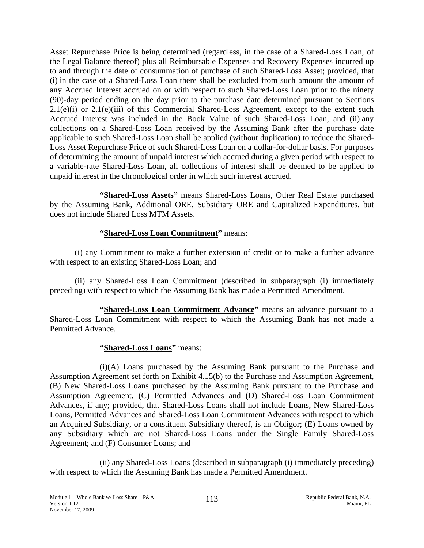Asset Repurchase Price is being determined (regardless, in the case of a Shared-Loss Loan, of the Legal Balance thereof) plus all Reimbursable Expenses and Recovery Expenses incurred up to and through the date of consummation of purchase of such Shared-Loss Asset; provided, that (i) in the case of a Shared-Loss Loan there shall be excluded from such amount the amount of any Accrued Interest accrued on or with respect to such Shared-Loss Loan prior to the ninety (90)-day period ending on the day prior to the purchase date determined pursuant to Sections  $2.1(e)(i)$  or  $2.1(e)(iii)$  of this Commercial Shared-Loss Agreement, except to the extent such Accrued Interest was included in the Book Value of such Shared-Loss Loan, and (ii) any collections on a Shared-Loss Loan received by the Assuming Bank after the purchase date applicable to such Shared-Loss Loan shall be applied (without duplication) to reduce the Shared-Loss Asset Repurchase Price of such Shared-Loss Loan on a dollar-for-dollar basis. For purposes of determining the amount of unpaid interest which accrued during a given period with respect to a variable-rate Shared-Loss Loan, all collections of interest shall be deemed to be applied to unpaid interest in the chronological order in which such interest accrued.

**"Shared-Loss Assets"** means Shared-Loss Loans, Other Real Estate purchased by the Assuming Bank, Additional ORE, Subsidiary ORE and Capitalized Expenditures, but does not include Shared Loss MTM Assets.

#### "Shared-Loss Loan Commitment" means:

(i) any Commitment to make a further extension of credit or to make a further advance with respect to an existing Shared-Loss Loan; and

(ii) any Shared-Loss Loan Commitment (described in subparagraph (i) immediately preceding) with respect to which the Assuming Bank has made a Permitted Amendment.

"Shared-Loss Loan Commitment Advance" means an advance pursuant to a Shared-Loss Loan Commitment with respect to which the Assuming Bank has not made a Permitted Advance.

#### **"Shared-Loss Loans"** means:

(i)(A) Loans purchased by the Assuming Bank pursuant to the Purchase and Assumption Agreement set forth on Exhibit 4.15(b) to the Purchase and Assumption Agreement, (B) New Shared-Loss Loans purchased by the Assuming Bank pursuant to the Purchase and Assumption Agreement, (C) Permitted Advances and (D) Shared-Loss Loan Commitment Advances, if any; provided, that Shared-Loss Loans shall not include Loans, New Shared-Loss Loans, Permitted Advances and Shared-Loss Loan Commitment Advances with respect to which an Acquired Subsidiary, or a constituent Subsidiary thereof, is an Obligor; (E) Loans owned by any Subsidiary which are not Shared-Loss Loans under the Single Family Shared-Loss Agreement; and (F) Consumer Loans; and

(ii) any Shared-Loss Loans (described in subparagraph (i) immediately preceding) with respect to which the Assuming Bank has made a Permitted Amendment.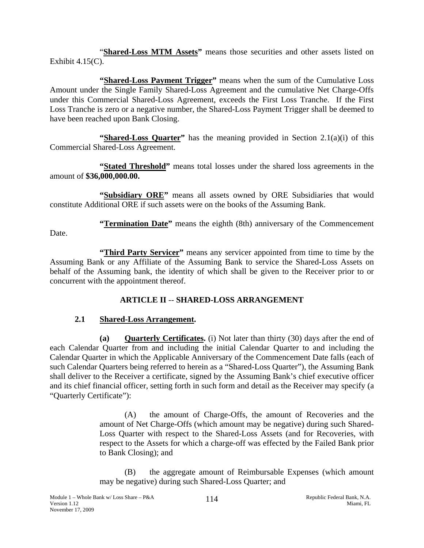"**Shared-Loss MTM Assets"** means those securities and other assets listed on Exhibit  $4.15(C)$ .

"Shared-Loss Payment Trigger" means when the sum of the Cumulative Loss Amount under the Single Family Shared-Loss Agreement and the cumulative Net Charge-Offs under this Commercial Shared-Loss Agreement, exceeds the First Loss Tranche. If the First Loss Tranche is zero or a negative number, the Shared-Loss Payment Trigger shall be deemed to have been reached upon Bank Closing.

**"Shared-Loss Quarter"** has the meaning provided in Section 2.1(a)(i) of this Commercial Shared-Loss Agreement.

**"Stated Threshold"** means total losses under the shared loss agreements in the amount of **\$36,000,000.00.** 

**"Subsidiary ORE"** means all assets owned by ORE Subsidiaries that would constitute Additional ORE if such assets were on the books of the Assuming Bank.

**"Termination Date"** means the eighth (8th) anniversary of the Commencement

Date.

**"Third Party Servicer"** means any servicer appointed from time to time by the Assuming Bank or any Affiliate of the Assuming Bank to service the Shared-Loss Assets on behalf of the Assuming bank, the identity of which shall be given to the Receiver prior to or concurrent with the appointment thereof.

## **ARTICLE II** -- **SHARED-LOSS ARRANGEMENT**

## **2.1 Shared-Loss Arrangement.**

**(a) Quarterly Certificates.** (i) Not later than thirty (30) days after the end of each Calendar Quarter from and including the initial Calendar Quarter to and including the Calendar Quarter in which the Applicable Anniversary of the Commencement Date falls (each of such Calendar Quarters being referred to herein as a "Shared-Loss Quarter"), the Assuming Bank shall deliver to the Receiver a certificate, signed by the Assuming Bank's chief executive officer and its chief financial officer, setting forth in such form and detail as the Receiver may specify (a "Quarterly Certificate"):

> (A) the amount of Charge-Offs, the amount of Recoveries and the amount of Net Charge-Offs (which amount may be negative) during such Shared-Loss Quarter with respect to the Shared-Loss Assets (and for Recoveries, with respect to the Assets for which a charge-off was effected by the Failed Bank prior to Bank Closing); and

> (B) the aggregate amount of Reimbursable Expenses (which amount may be negative) during such Shared-Loss Quarter; and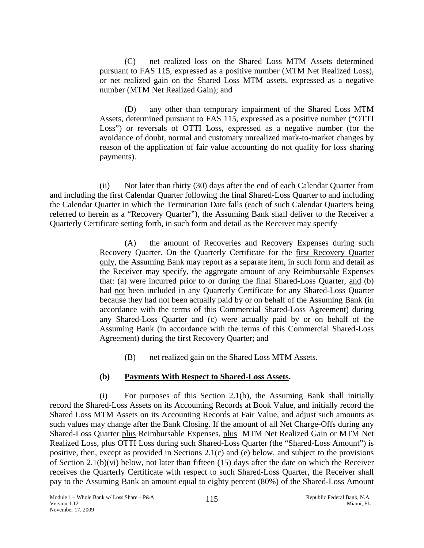(C) net realized loss on the Shared Loss MTM Assets determined pursuant to FAS 115, expressed as a positive number (MTM Net Realized Loss), or net realized gain on the Shared Loss MTM assets, expressed as a negative number (MTM Net Realized Gain); and

(D) any other than temporary impairment of the Shared Loss MTM Assets, determined pursuant to FAS 115, expressed as a positive number ("OTTI Loss") or reversals of OTTI Loss, expressed as a negative number (for the avoidance of doubt, normal and customary unrealized mark-to-market changes by reason of the application of fair value accounting do not qualify for loss sharing payments).

(ii) Not later than thirty (30) days after the end of each Calendar Quarter from and including the first Calendar Quarter following the final Shared-Loss Quarter to and including the Calendar Quarter in which the Termination Date falls (each of such Calendar Quarters being referred to herein as a "Recovery Quarter"), the Assuming Bank shall deliver to the Receiver a Quarterly Certificate setting forth, in such form and detail as the Receiver may specify

> (A) the amount of Recoveries and Recovery Expenses during such Recovery Quarter. On the Quarterly Certificate for the first Recovery Quarter only, the Assuming Bank may report as a separate item, in such form and detail as the Receiver may specify, the aggregate amount of any Reimbursable Expenses that: (a) were incurred prior to or during the final Shared-Loss Quarter, and (b) had not been included in any Quarterly Certificate for any Shared-Loss Quarter because they had not been actually paid by or on behalf of the Assuming Bank (in accordance with the terms of this Commercial Shared-Loss Agreement) during any Shared-Loss Quarter and (c) were actually paid by or on behalf of the Assuming Bank (in accordance with the terms of this Commercial Shared-Loss Agreement) during the first Recovery Quarter; and

(B) net realized gain on the Shared Loss MTM Assets.

## **(b) Payments With Respect to Shared-Loss Assets.**

(i) For purposes of this Section 2.1(b), the Assuming Bank shall initially record the Shared-Loss Assets on its Accounting Records at Book Value, and initially record the Shared Loss MTM Assets on its Accounting Records at Fair Value, and adjust such amounts as such values may change after the Bank Closing. If the amount of all Net Charge-Offs during any Shared-Loss Quarter plus Reimbursable Expenses, plus MTM Net Realized Gain or MTM Net Realized Loss, plus OTTI Loss during such Shared-Loss Quarter (the "Shared-Loss Amount") is positive, then, except as provided in Sections 2.1(c) and (e) below, and subject to the provisions of Section 2.1(b)(vi) below, not later than fifteen (15) days after the date on which the Receiver receives the Quarterly Certificate with respect to such Shared-Loss Quarter, the Receiver shall pay to the Assuming Bank an amount equal to eighty percent (80%) of the Shared-Loss Amount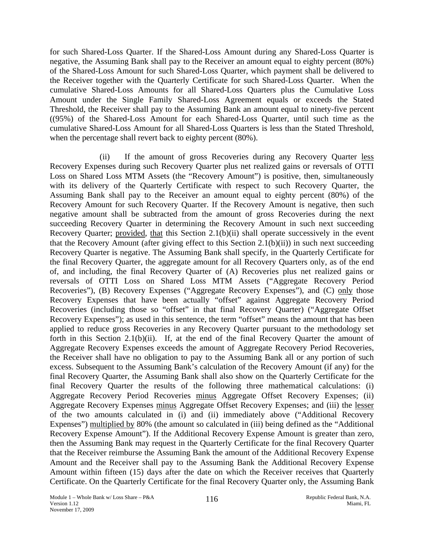for such Shared-Loss Quarter. If the Shared-Loss Amount during any Shared-Loss Quarter is negative, the Assuming Bank shall pay to the Receiver an amount equal to eighty percent (80%) of the Shared-Loss Amount for such Shared-Loss Quarter, which payment shall be delivered to the Receiver together with the Quarterly Certificate for such Shared-Loss Quarter. When the cumulative Shared-Loss Amounts for all Shared-Loss Quarters plus the Cumulative Loss Amount under the Single Family Shared-Loss Agreement equals or exceeds the Stated Threshold, the Receiver shall pay to the Assuming Bank an amount equal to ninety-five percent ((95%) of the Shared-Loss Amount for each Shared-Loss Quarter, until such time as the cumulative Shared-Loss Amount for all Shared-Loss Quarters is less than the Stated Threshold, when the percentage shall revert back to eighty percent (80%).

(ii) If the amount of gross Recoveries during any Recovery Quarter less Recovery Expenses during such Recovery Quarter plus net realized gains or reversals of OTTI Loss on Shared Loss MTM Assets (the "Recovery Amount") is positive, then, simultaneously with its delivery of the Quarterly Certificate with respect to such Recovery Quarter, the Assuming Bank shall pay to the Receiver an amount equal to eighty percent (80%) of the Recovery Amount for such Recovery Quarter. If the Recovery Amount is negative, then such negative amount shall be subtracted from the amount of gross Recoveries during the next succeeding Recovery Quarter in determining the Recovery Amount in such next succeeding Recovery Quarter; provided, that this Section 2.1(b)(ii) shall operate successively in the event that the Recovery Amount (after giving effect to this Section 2.1(b)(ii)) in such next succeeding Recovery Quarter is negative. The Assuming Bank shall specify, in the Quarterly Certificate for the final Recovery Quarter, the aggregate amount for all Recovery Quarters only, as of the end of, and including, the final Recovery Quarter of (A) Recoveries plus net realized gains or reversals of OTTI Loss on Shared Loss MTM Assets ("Aggregate Recovery Period Recoveries"), (B) Recovery Expenses ("Aggregate Recovery Expenses"), and (C) only those Recovery Expenses that have been actually "offset" against Aggregate Recovery Period Recoveries (including those so "offset" in that final Recovery Quarter) ("Aggregate Offset Recovery Expenses"); as used in this sentence, the term "offset" means the amount that has been applied to reduce gross Recoveries in any Recovery Quarter pursuant to the methodology set forth in this Section 2.1(b)(ii). If, at the end of the final Recovery Quarter the amount of Aggregate Recovery Expenses exceeds the amount of Aggregate Recovery Period Recoveries, the Receiver shall have no obligation to pay to the Assuming Bank all or any portion of such excess. Subsequent to the Assuming Bank's calculation of the Recovery Amount (if any) for the final Recovery Quarter, the Assuming Bank shall also show on the Quarterly Certificate for the final Recovery Quarter the results of the following three mathematical calculations: (i) Aggregate Recovery Period Recoveries minus Aggregate Offset Recovery Expenses; (ii) Aggregate Recovery Expenses minus Aggregate Offset Recovery Expenses; and (iii) the lesser of the two amounts calculated in (i) and (ii) immediately above ("Additional Recovery Expenses") multiplied by 80% (the amount so calculated in (iii) being defined as the "Additional Recovery Expense Amount"). If the Additional Recovery Expense Amount is greater than zero, then the Assuming Bank may request in the Quarterly Certificate for the final Recovery Quarter that the Receiver reimburse the Assuming Bank the amount of the Additional Recovery Expense Amount and the Receiver shall pay to the Assuming Bank the Additional Recovery Expense Amount within fifteen (15) days after the date on which the Receiver receives that Quarterly Certificate. On the Quarterly Certificate for the final Recovery Quarter only, the Assuming Bank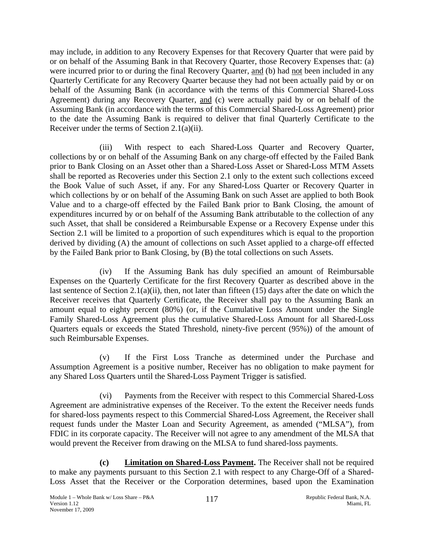may include, in addition to any Recovery Expenses for that Recovery Quarter that were paid by or on behalf of the Assuming Bank in that Recovery Quarter, those Recovery Expenses that: (a) were incurred prior to or during the final Recovery Quarter, and (b) had not been included in any Quarterly Certificate for any Recovery Quarter because they had not been actually paid by or on behalf of the Assuming Bank (in accordance with the terms of this Commercial Shared-Loss Agreement) during any Recovery Quarter, and (c) were actually paid by or on behalf of the Assuming Bank (in accordance with the terms of this Commercial Shared-Loss Agreement) prior to the date the Assuming Bank is required to deliver that final Quarterly Certificate to the Receiver under the terms of Section 2.1(a)(ii).

(iii) With respect to each Shared-Loss Quarter and Recovery Quarter, collections by or on behalf of the Assuming Bank on any charge-off effected by the Failed Bank prior to Bank Closing on an Asset other than a Shared-Loss Asset or Shared-Loss MTM Assets shall be reported as Recoveries under this Section 2.1 only to the extent such collections exceed the Book Value of such Asset, if any. For any Shared-Loss Quarter or Recovery Quarter in which collections by or on behalf of the Assuming Bank on such Asset are applied to both Book Value and to a charge-off effected by the Failed Bank prior to Bank Closing, the amount of expenditures incurred by or on behalf of the Assuming Bank attributable to the collection of any such Asset, that shall be considered a Reimbursable Expense or a Recovery Expense under this Section 2.1 will be limited to a proportion of such expenditures which is equal to the proportion derived by dividing (A) the amount of collections on such Asset applied to a charge-off effected by the Failed Bank prior to Bank Closing, by (B) the total collections on such Assets.

(iv) If the Assuming Bank has duly specified an amount of Reimbursable Expenses on the Quarterly Certificate for the first Recovery Quarter as described above in the last sentence of Section 2.1(a)(ii), then, not later than fifteen  $(15)$  days after the date on which the Receiver receives that Quarterly Certificate, the Receiver shall pay to the Assuming Bank an amount equal to eighty percent (80%) (or, if the Cumulative Loss Amount under the Single Family Shared-Loss Agreement plus the cumulative Shared-Loss Amount for all Shared-Loss Quarters equals or exceeds the Stated Threshold, ninety-five percent (95%)) of the amount of such Reimbursable Expenses.

(v) If the First Loss Tranche as determined under the Purchase and Assumption Agreement is a positive number, Receiver has no obligation to make payment for any Shared Loss Quarters until the Shared-Loss Payment Trigger is satisfied.

(vi) Payments from the Receiver with respect to this Commercial Shared-Loss Agreement are administrative expenses of the Receiver. To the extent the Receiver needs funds for shared-loss payments respect to this Commercial Shared-Loss Agreement, the Receiver shall request funds under the Master Loan and Security Agreement, as amended ("MLSA"), from FDIC in its corporate capacity. The Receiver will not agree to any amendment of the MLSA that would prevent the Receiver from drawing on the MLSA to fund shared-loss payments.

**(c) Limitation on Shared-Loss Payment.** The Receiver shall not be required to make any payments pursuant to this Section 2.1 with respect to any Charge-Off of a Shared-Loss Asset that the Receiver or the Corporation determines, based upon the Examination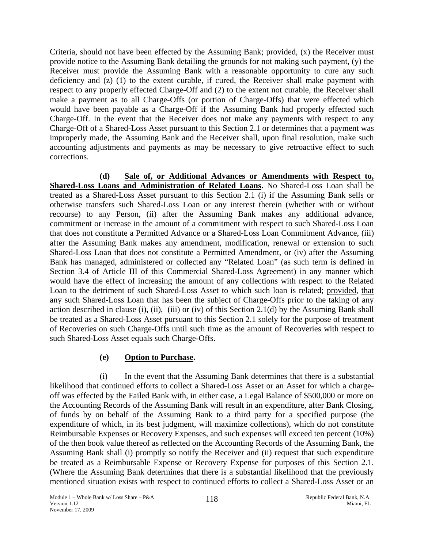Criteria, should not have been effected by the Assuming Bank; provided, (x) the Receiver must provide notice to the Assuming Bank detailing the grounds for not making such payment, (y) the Receiver must provide the Assuming Bank with a reasonable opportunity to cure any such deficiency and  $(z)$  (1) to the extent curable, if cured, the Receiver shall make payment with respect to any properly effected Charge-Off and (2) to the extent not curable, the Receiver shall make a payment as to all Charge-Offs (or portion of Charge-Offs) that were effected which would have been payable as a Charge-Off if the Assuming Bank had properly effected such Charge-Off. In the event that the Receiver does not make any payments with respect to any Charge-Off of a Shared-Loss Asset pursuant to this Section 2.1 or determines that a payment was improperly made, the Assuming Bank and the Receiver shall, upon final resolution, make such accounting adjustments and payments as may be necessary to give retroactive effect to such corrections.

Loan to the detriment of such Shared-Loss Asset to which such loan is related; provided, that **(d) Sale of, or Additional Advances or Amendments with Respect to, Shared-Loss Loans and Administration of Related Loans.** No Shared-Loss Loan shall be treated as a Shared-Loss Asset pursuant to this Section 2.1 (i) if the Assuming Bank sells or otherwise transfers such Shared-Loss Loan or any interest therein (whether with or without recourse) to any Person, (ii) after the Assuming Bank makes any additional advance, commitment or increase in the amount of a commitment with respect to such Shared-Loss Loan that does not constitute a Permitted Advance or a Shared-Loss Loan Commitment Advance, (iii) after the Assuming Bank makes any amendment, modification, renewal or extension to such Shared-Loss Loan that does not constitute a Permitted Amendment, or (iv) after the Assuming Bank has managed, administered or collected any "Related Loan" (as such term is defined in Section 3.4 of Article III of this Commercial Shared-Loss Agreement) in any manner which would have the effect of increasing the amount of any collections with respect to the Related any such Shared-Loss Loan that has been the subject of Charge-Offs prior to the taking of any action described in clause (i), (ii), (iii) or (iv) of this Section 2.1(d) by the Assuming Bank shall be treated as a Shared-Loss Asset pursuant to this Section 2.1 solely for the purpose of treatment of Recoveries on such Charge-Offs until such time as the amount of Recoveries with respect to such Shared-Loss Asset equals such Charge-Offs.

## **(e) Option to Purchase.**

(i) In the event that the Assuming Bank determines that there is a substantial likelihood that continued efforts to collect a Shared-Loss Asset or an Asset for which a chargeoff was effected by the Failed Bank with, in either case, a Legal Balance of \$500,000 or more on the Accounting Records of the Assuming Bank will result in an expenditure, after Bank Closing, of funds by on behalf of the Assuming Bank to a third party for a specified purpose (the expenditure of which, in its best judgment, will maximize collections), which do not constitute Reimbursable Expenses or Recovery Expenses, and such expenses will exceed ten percent (10%) of the then book value thereof as reflected on the Accounting Records of the Assuming Bank, the Assuming Bank shall (i) promptly so notify the Receiver and (ii) request that such expenditure be treated as a Reimbursable Expense or Recovery Expense for purposes of this Section 2.1. (Where the Assuming Bank determines that there is a substantial likelihood that the previously mentioned situation exists with respect to continued efforts to collect a Shared-Loss Asset or an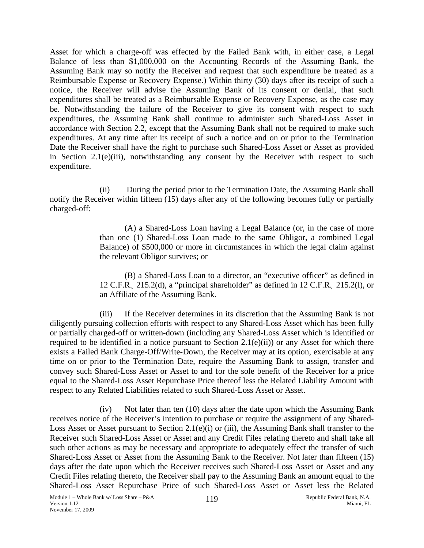Asset for which a charge-off was effected by the Failed Bank with, in either case, a Legal Balance of less than \$1,000,000 on the Accounting Records of the Assuming Bank, the Assuming Bank may so notify the Receiver and request that such expenditure be treated as a Reimbursable Expense or Recovery Expense.) Within thirty (30) days after its receipt of such a notice, the Receiver will advise the Assuming Bank of its consent or denial, that such expenditures shall be treated as a Reimbursable Expense or Recovery Expense, as the case may be. Notwithstanding the failure of the Receiver to give its consent with respect to such expenditures, the Assuming Bank shall continue to administer such Shared-Loss Asset in accordance with Section 2.2, except that the Assuming Bank shall not be required to make such expenditures. At any time after its receipt of such a notice and on or prior to the Termination Date the Receiver shall have the right to purchase such Shared-Loss Asset or Asset as provided in Section 2.1(e)(iii), notwithstanding any consent by the Receiver with respect to such expenditure.

(ii) During the period prior to the Termination Date, the Assuming Bank shall notify the Receiver within fifteen (15) days after any of the following becomes fully or partially charged-off:

> (A) a Shared-Loss Loan having a Legal Balance (or, in the case of more than one (1) Shared-Loss Loan made to the same Obligor, a combined Legal Balance) of \$500,000 or more in circumstances in which the legal claim against the relevant Obligor survives; or

> (B) a Shared-Loss Loan to a director, an "executive officer" as defined in 12 C.F.R. 215.2(d), a "principal shareholder" as defined in 12 C.F.R. 215.2(l), or an Affiliate of the Assuming Bank.

(iii) If the Receiver determines in its discretion that the Assuming Bank is not diligently pursuing collection efforts with respect to any Shared-Loss Asset which has been fully or partially charged-off or written-down (including any Shared-Loss Asset which is identified or required to be identified in a notice pursuant to Section  $2.1(e)(ii)$  or any Asset for which there exists a Failed Bank Charge-Off/Write-Down, the Receiver may at its option, exercisable at any time on or prior to the Termination Date, require the Assuming Bank to assign, transfer and convey such Shared-Loss Asset or Asset to and for the sole benefit of the Receiver for a price equal to the Shared-Loss Asset Repurchase Price thereof less the Related Liability Amount with respect to any Related Liabilities related to such Shared-Loss Asset or Asset.

(iv) Not later than ten (10) days after the date upon which the Assuming Bank receives notice of the Receiver's intention to purchase or require the assignment of any Shared-Loss Asset or Asset pursuant to Section 2.1(e)(i) or (iii), the Assuming Bank shall transfer to the Receiver such Shared-Loss Asset or Asset and any Credit Files relating thereto and shall take all such other actions as may be necessary and appropriate to adequately effect the transfer of such Shared-Loss Asset or Asset from the Assuming Bank to the Receiver. Not later than fifteen (15) days after the date upon which the Receiver receives such Shared-Loss Asset or Asset and any Credit Files relating thereto, the Receiver shall pay to the Assuming Bank an amount equal to the Shared-Loss Asset Repurchase Price of such Shared-Loss Asset or Asset less the Related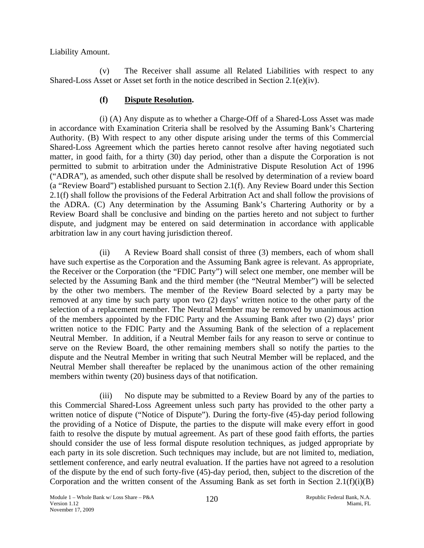Liability Amount.

(v) The Receiver shall assume all Related Liabilities with respect to any Shared-Loss Asset or Asset set forth in the notice described in Section 2.1(e)(iv).

## **(f) Dispute Resolution.**

(i) (A) Any dispute as to whether a Charge-Off of a Shared-Loss Asset was made in accordance with Examination Criteria shall be resolved by the Assuming Bank's Chartering Authority. (B) With respect to any other dispute arising under the terms of this Commercial Shared-Loss Agreement which the parties hereto cannot resolve after having negotiated such matter, in good faith, for a thirty (30) day period, other than a dispute the Corporation is not permitted to submit to arbitration under the Administrative Dispute Resolution Act of 1996 ("ADRA"), as amended, such other dispute shall be resolved by determination of a review board (a "Review Board") established pursuant to Section 2.1(f). Any Review Board under this Section 2.1(f) shall follow the provisions of the Federal Arbitration Act and shall follow the provisions of the ADRA. (C) Any determination by the Assuming Bank's Chartering Authority or by a Review Board shall be conclusive and binding on the parties hereto and not subject to further dispute, and judgment may be entered on said determination in accordance with applicable arbitration law in any court having jurisdiction thereof.

(ii) A Review Board shall consist of three (3) members, each of whom shall have such expertise as the Corporation and the Assuming Bank agree is relevant. As appropriate, the Receiver or the Corporation (the "FDIC Party") will select one member, one member will be selected by the Assuming Bank and the third member (the "Neutral Member") will be selected by the other two members. The member of the Review Board selected by a party may be removed at any time by such party upon two (2) days' written notice to the other party of the selection of a replacement member. The Neutral Member may be removed by unanimous action of the members appointed by the FDIC Party and the Assuming Bank after two (2) days' prior written notice to the FDIC Party and the Assuming Bank of the selection of a replacement Neutral Member. In addition, if a Neutral Member fails for any reason to serve or continue to serve on the Review Board, the other remaining members shall so notify the parties to the dispute and the Neutral Member in writing that such Neutral Member will be replaced, and the Neutral Member shall thereafter be replaced by the unanimous action of the other remaining members within twenty (20) business days of that notification.

(iii) No dispute may be submitted to a Review Board by any of the parties to this Commercial Shared-Loss Agreement unless such party has provided to the other party a written notice of dispute ("Notice of Dispute"). During the forty-five (45)-day period following the providing of a Notice of Dispute, the parties to the dispute will make every effort in good faith to resolve the dispute by mutual agreement. As part of these good faith efforts, the parties should consider the use of less formal dispute resolution techniques, as judged appropriate by each party in its sole discretion. Such techniques may include, but are not limited to, mediation, settlement conference, and early neutral evaluation. If the parties have not agreed to a resolution of the dispute by the end of such forty-five (45)-day period, then, subject to the discretion of the Corporation and the written consent of the Assuming Bank as set forth in Section  $2.1(f)(i)(B)$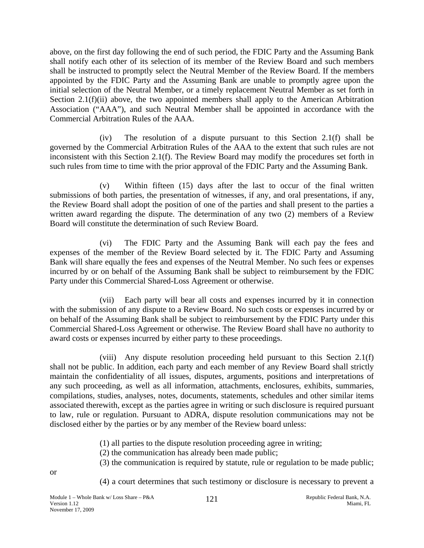above, on the first day following the end of such period, the FDIC Party and the Assuming Bank shall notify each other of its selection of its member of the Review Board and such members shall be instructed to promptly select the Neutral Member of the Review Board. If the members appointed by the FDIC Party and the Assuming Bank are unable to promptly agree upon the initial selection of the Neutral Member, or a timely replacement Neutral Member as set forth in Section 2.1(f)(ii) above, the two appointed members shall apply to the American Arbitration Association ("AAA"), and such Neutral Member shall be appointed in accordance with the Commercial Arbitration Rules of the AAA.

(iv) The resolution of a dispute pursuant to this Section 2.1(f) shall be governed by the Commercial Arbitration Rules of the AAA to the extent that such rules are not inconsistent with this Section 2.1(f). The Review Board may modify the procedures set forth in such rules from time to time with the prior approval of the FDIC Party and the Assuming Bank.

(v) Within fifteen (15) days after the last to occur of the final written submissions of both parties, the presentation of witnesses, if any, and oral presentations, if any, the Review Board shall adopt the position of one of the parties and shall present to the parties a written award regarding the dispute. The determination of any two (2) members of a Review Board will constitute the determination of such Review Board.

(vi) The FDIC Party and the Assuming Bank will each pay the fees and expenses of the member of the Review Board selected by it. The FDIC Party and Assuming Bank will share equally the fees and expenses of the Neutral Member. No such fees or expenses incurred by or on behalf of the Assuming Bank shall be subject to reimbursement by the FDIC Party under this Commercial Shared-Loss Agreement or otherwise.

(vii) Each party will bear all costs and expenses incurred by it in connection with the submission of any dispute to a Review Board. No such costs or expenses incurred by or on behalf of the Assuming Bank shall be subject to reimbursement by the FDIC Party under this Commercial Shared-Loss Agreement or otherwise. The Review Board shall have no authority to award costs or expenses incurred by either party to these proceedings.

(viii) Any dispute resolution proceeding held pursuant to this Section 2.1(f) shall not be public. In addition, each party and each member of any Review Board shall strictly maintain the confidentiality of all issues, disputes, arguments, positions and interpretations of any such proceeding, as well as all information, attachments, enclosures, exhibits, summaries, compilations, studies, analyses, notes, documents, statements, schedules and other similar items associated therewith, except as the parties agree in writing or such disclosure is required pursuant to law, rule or regulation. Pursuant to ADRA, dispute resolution communications may not be disclosed either by the parties or by any member of the Review board unless:

(1) all parties to the dispute resolution proceeding agree in writing;

- (2) the communication has already been made public;
- (3) the communication is required by statute, rule or regulation to be made public;

or

(4) a court determines that such testimony or disclosure is necessary to prevent a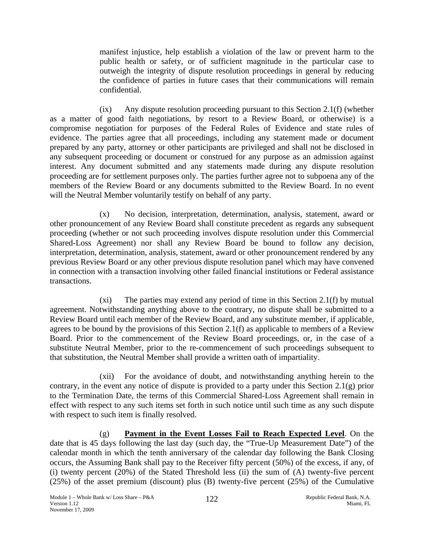manifest injustice, help establish a violation of the law or prevent harm to the public health or safety, or of sufficient magnitude in the particular case to outweigh the integrity of dispute resolution proceedings in general by reducing the confidence of parties in future cases that their communications will remain confidential.

(ix) Any dispute resolution proceeding pursuant to this Section 2.1(f) (whether as a matter of good faith negotiations, by resort to a Review Board, or otherwise) is a compromise negotiation for purposes of the Federal Rules of Evidence and state rules of evidence. The parties agree that all proceedings, including any statement made or document prepared by any party, attorney or other participants are privileged and shall not be disclosed in any subsequent proceeding or document or construed for any purpose as an admission against interest. Any document submitted and any statements made during any dispute resolution proceeding are for settlement purposes only. The parties further agree not to subpoena any of the members of the Review Board or any documents submitted to the Review Board. In no event will the Neutral Member voluntarily testify on behalf of any party.

(x) No decision, interpretation, determination, analysis, statement, award or other pronouncement of any Review Board shall constitute precedent as regards any subsequent proceeding (whether or not such proceeding involves dispute resolution under this Commercial Shared-Loss Agreement) nor shall any Review Board be bound to follow any decision, interpretation, determination, analysis, statement, award or other pronouncement rendered by any previous Review Board or any other previous dispute resolution panel which may have convened in connection with a transaction involving other failed financial institutions or Federal assistance transactions.

(xi) The parties may extend any period of time in this Section 2.1(f) by mutual agreement. Notwithstanding anything above to the contrary, no dispute shall be submitted to a Review Board until each member of the Review Board, and any substitute member, if applicable, agrees to be bound by the provisions of this Section 2.1(f) as applicable to members of a Review Board. Prior to the commencement of the Review Board proceedings, or, in the case of a substitute Neutral Member, prior to the re-commencement of such proceedings subsequent to that substitution, the Neutral Member shall provide a written oath of impartiality.

(xii) For the avoidance of doubt, and notwithstanding anything herein to the contrary, in the event any notice of dispute is provided to a party under this Section 2.1(g) prior to the Termination Date, the terms of this Commercial Shared-Loss Agreement shall remain in effect with respect to any such items set forth in such notice until such time as any such dispute with respect to such item is finally resolved.

 (g) **Payment in the Event Losses Fail to Reach Expected Level**. On the date that is 45 days following the last day (such day, the "True-Up Measurement Date") of the calendar month in which the tenth anniversary of the calendar day following the Bank Closing occurs, the Assuming Bank shall pay to the Receiver fifty percent (50%) of the excess, if any, of (i) twenty percent (20%) of the Stated Threshold less (ii) the sum of (A) twenty-five percent (25%) of the asset premium (discount) plus (B) twenty-five percent (25%) of the Cumulative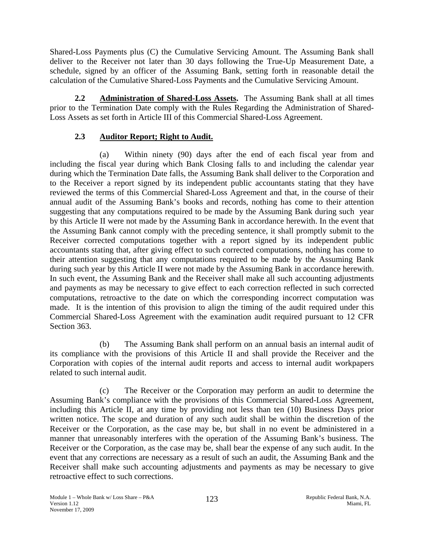Shared-Loss Payments plus (C) the Cumulative Servicing Amount. The Assuming Bank shall deliver to the Receiver not later than 30 days following the True-Up Measurement Date, a schedule, signed by an officer of the Assuming Bank, setting forth in reasonable detail the calculation of the Cumulative Shared-Loss Payments and the Cumulative Servicing Amount.

**2.2 Administration of Shared-Loss Assets.** The Assuming Bank shall at all times prior to the Termination Date comply with the Rules Regarding the Administration of Shared-Loss Assets as set forth in Article III of this Commercial Shared-Loss Agreement.

## **2.3 Auditor Report; Right to Audit.**

(a) Within ninety (90) days after the end of each fiscal year from and including the fiscal year during which Bank Closing falls to and including the calendar year during which the Termination Date falls, the Assuming Bank shall deliver to the Corporation and to the Receiver a report signed by its independent public accountants stating that they have reviewed the terms of this Commercial Shared-Loss Agreement and that, in the course of their annual audit of the Assuming Bank's books and records, nothing has come to their attention suggesting that any computations required to be made by the Assuming Bank during such year by this Article II were not made by the Assuming Bank in accordance herewith. In the event that the Assuming Bank cannot comply with the preceding sentence, it shall promptly submit to the Receiver corrected computations together with a report signed by its independent public accountants stating that, after giving effect to such corrected computations, nothing has come to their attention suggesting that any computations required to be made by the Assuming Bank during such year by this Article II were not made by the Assuming Bank in accordance herewith. In such event, the Assuming Bank and the Receiver shall make all such accounting adjustments and payments as may be necessary to give effect to each correction reflected in such corrected computations, retroactive to the date on which the corresponding incorrect computation was made. It is the intention of this provision to align the timing of the audit required under this Commercial Shared-Loss Agreement with the examination audit required pursuant to 12 CFR Section 363.

(b) The Assuming Bank shall perform on an annual basis an internal audit of its compliance with the provisions of this Article II and shall provide the Receiver and the Corporation with copies of the internal audit reports and access to internal audit workpapers related to such internal audit.

(c) The Receiver or the Corporation may perform an audit to determine the Assuming Bank's compliance with the provisions of this Commercial Shared-Loss Agreement, including this Article II, at any time by providing not less than ten (10) Business Days prior written notice. The scope and duration of any such audit shall be within the discretion of the Receiver or the Corporation, as the case may be, but shall in no event be administered in a manner that unreasonably interferes with the operation of the Assuming Bank's business. The Receiver or the Corporation, as the case may be, shall bear the expense of any such audit. In the event that any corrections are necessary as a result of such an audit, the Assuming Bank and the Receiver shall make such accounting adjustments and payments as may be necessary to give retroactive effect to such corrections.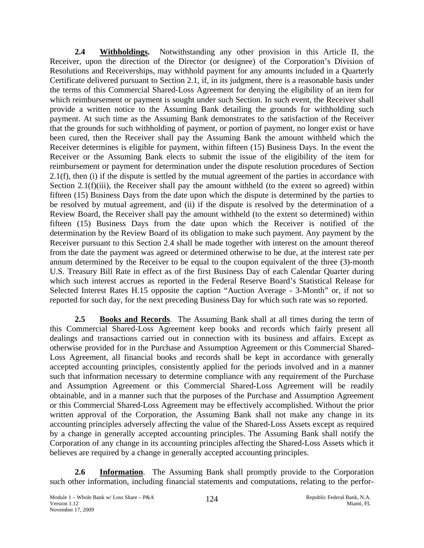**2.4 Withholdings.** Notwithstanding any other provision in this Article II, the Receiver, upon the direction of the Director (or designee) of the Corporation's Division of Resolutions and Receiverships, may withhold payment for any amounts included in a Quarterly Certificate delivered pursuant to Section 2.1, if, in its judgment, there is a reasonable basis under the terms of this Commercial Shared-Loss Agreement for denying the eligibility of an item for which reimbursement or payment is sought under such Section. In such event, the Receiver shall provide a written notice to the Assuming Bank detailing the grounds for withholding such payment. At such time as the Assuming Bank demonstrates to the satisfaction of the Receiver that the grounds for such withholding of payment, or portion of payment, no longer exist or have been cured, then the Receiver shall pay the Assuming Bank the amount withheld which the Receiver determines is eligible for payment, within fifteen (15) Business Days. In the event the Receiver or the Assuming Bank elects to submit the issue of the eligibility of the item for reimbursement or payment for determination under the dispute resolution procedures of Section 2.1(f), then (i) if the dispute is settled by the mutual agreement of the parties in accordance with Section 2.1(f)(iii), the Receiver shall pay the amount withheld (to the extent so agreed) within fifteen (15) Business Days from the date upon which the dispute is determined by the parties to be resolved by mutual agreement, and (ii) if the dispute is resolved by the determination of a Review Board, the Receiver shall pay the amount withheld (to the extent so determined) within fifteen (15) Business Days from the date upon which the Receiver is notified of the determination by the Review Board of its obligation to make such payment. Any payment by the Receiver pursuant to this Section 2.4 shall be made together with interest on the amount thereof from the date the payment was agreed or determined otherwise to be due, at the interest rate per annum determined by the Receiver to be equal to the coupon equivalent of the three (3)-month U.S. Treasury Bill Rate in effect as of the first Business Day of each Calendar Quarter during which such interest accrues as reported in the Federal Reserve Board's Statistical Release for Selected Interest Rates H.15 opposite the caption "Auction Average - 3-Month" or, if not so reported for such day, for the next preceding Business Day for which such rate was so reported.

**2.5 Books and Records**. The Assuming Bank shall at all times during the term of this Commercial Shared-Loss Agreement keep books and records which fairly present all dealings and transactions carried out in connection with its business and affairs. Except as otherwise provided for in the Purchase and Assumption Agreement or this Commercial Shared-Loss Agreement, all financial books and records shall be kept in accordance with generally accepted accounting principles, consistently applied for the periods involved and in a manner such that information necessary to determine compliance with any requirement of the Purchase and Assumption Agreement or this Commercial Shared-Loss Agreement will be readily obtainable, and in a manner such that the purposes of the Purchase and Assumption Agreement or this Commercial Shared-Loss Agreement may be effectively accomplished. Without the prior written approval of the Corporation, the Assuming Bank shall not make any change in its accounting principles adversely affecting the value of the Shared-Loss Assets except as required by a change in generally accepted accounting principles. The Assuming Bank shall notify the Corporation of any change in its accounting principles affecting the Shared-Loss Assets which it believes are required by a change in generally accepted accounting principles.

**2.6 Information**. The Assuming Bank shall promptly provide to the Corporation such other information, including financial statements and computations, relating to the perfor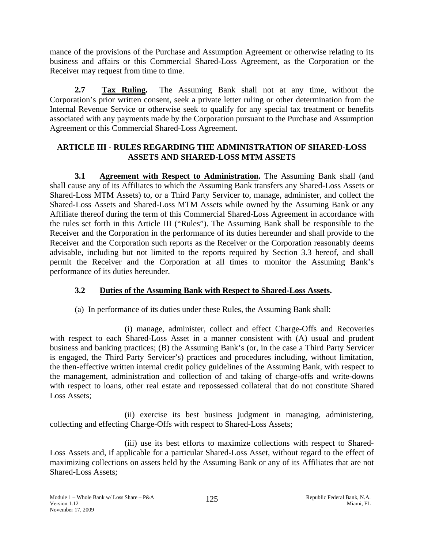mance of the provisions of the Purchase and Assumption Agreement or otherwise relating to its business and affairs or this Commercial Shared-Loss Agreement, as the Corporation or the Receiver may request from time to time.

**2.7 Tax Ruling.** The Assuming Bank shall not at any time, without the Corporation's prior written consent, seek a private letter ruling or other determination from the Internal Revenue Service or otherwise seek to qualify for any special tax treatment or benefits associated with any payments made by the Corporation pursuant to the Purchase and Assumption Agreement or this Commercial Shared-Loss Agreement.

## **ARTICLE III - RULES REGARDING THE ADMINISTRATION OF SHARED-LOSS ASSETS AND SHARED-LOSS MTM ASSETS**

**3.1 Agreement with Respect to Administration.** The Assuming Bank shall (and shall cause any of its Affiliates to which the Assuming Bank transfers any Shared-Loss Assets or Shared-Loss MTM Assets) to, or a Third Party Servicer to, manage, administer, and collect the Shared-Loss Assets and Shared-Loss MTM Assets while owned by the Assuming Bank or any Affiliate thereof during the term of this Commercial Shared-Loss Agreement in accordance with the rules set forth in this Article III ("Rules"). The Assuming Bank shall be responsible to the Receiver and the Corporation in the performance of its duties hereunder and shall provide to the Receiver and the Corporation such reports as the Receiver or the Corporation reasonably deems advisable, including but not limited to the reports required by Section 3.3 hereof, and shall permit the Receiver and the Corporation at all times to monitor the Assuming Bank's performance of its duties hereunder.

## **3.2 Duties of the Assuming Bank with Respect to Shared-Loss Assets.**

(a) In performance of its duties under these Rules, the Assuming Bank shall:

(i) manage, administer, collect and effect Charge-Offs and Recoveries with respect to each Shared-Loss Asset in a manner consistent with (A) usual and prudent business and banking practices; (B) the Assuming Bank's (or, in the case a Third Party Servicer is engaged, the Third Party Servicer's) practices and procedures including, without limitation, the then-effective written internal credit policy guidelines of the Assuming Bank, with respect to the management, administration and collection of and taking of charge-offs and write-downs with respect to loans, other real estate and repossessed collateral that do not constitute Shared Loss Assets;

(ii) exercise its best business judgment in managing, administering, collecting and effecting Charge-Offs with respect to Shared-Loss Assets;

(iii) use its best efforts to maximize collections with respect to Shared-Loss Assets and, if applicable for a particular Shared-Loss Asset, without regard to the effect of maximizing collections on assets held by the Assuming Bank or any of its Affiliates that are not Shared-Loss Assets;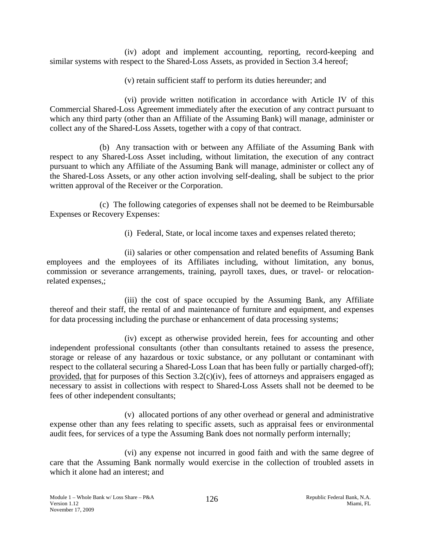(iv) adopt and implement accounting, reporting, record-keeping and similar systems with respect to the Shared-Loss Assets, as provided in Section 3.4 hereof;

(v) retain sufficient staff to perform its duties hereunder; and

(vi) provide written notification in accordance with Article IV of this Commercial Shared-Loss Agreement immediately after the execution of any contract pursuant to which any third party (other than an Affiliate of the Assuming Bank) will manage, administer or collect any of the Shared-Loss Assets, together with a copy of that contract.

(b) Any transaction with or between any Affiliate of the Assuming Bank with respect to any Shared-Loss Asset including, without limitation, the execution of any contract pursuant to which any Affiliate of the Assuming Bank will manage, administer or collect any of the Shared-Loss Assets, or any other action involving self-dealing, shall be subject to the prior written approval of the Receiver or the Corporation.

(c) The following categories of expenses shall not be deemed to be Reimbursable Expenses or Recovery Expenses:

(i) Federal, State, or local income taxes and expenses related thereto;

(ii) salaries or other compensation and related benefits of Assuming Bank employees and the employees of its Affiliates including, without limitation, any bonus, commission or severance arrangements, training, payroll taxes, dues, or travel- or relocationrelated expenses,;

(iii) the cost of space occupied by the Assuming Bank, any Affiliate thereof and their staff, the rental of and maintenance of furniture and equipment, and expenses for data processing including the purchase or enhancement of data processing systems;

(iv) except as otherwise provided herein, fees for accounting and other independent professional consultants (other than consultants retained to assess the presence, storage or release of any hazardous or toxic substance, or any pollutant or contaminant with respect to the collateral securing a Shared-Loss Loan that has been fully or partially charged-off); provided, that for purposes of this Section 3.2(c)(iv), fees of attorneys and appraisers engaged as necessary to assist in collections with respect to Shared-Loss Assets shall not be deemed to be fees of other independent consultants;

(v) allocated portions of any other overhead or general and administrative expense other than any fees relating to specific assets, such as appraisal fees or environmental audit fees, for services of a type the Assuming Bank does not normally perform internally;

(vi) any expense not incurred in good faith and with the same degree of care that the Assuming Bank normally would exercise in the collection of troubled assets in which it alone had an interest; and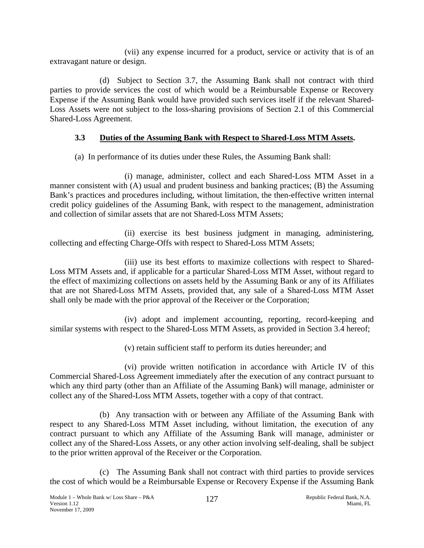(vii) any expense incurred for a product, service or activity that is of an extravagant nature or design.

(d) Subject to Section 3.7, the Assuming Bank shall not contract with third parties to provide services the cost of which would be a Reimbursable Expense or Recovery Expense if the Assuming Bank would have provided such services itself if the relevant Shared-Loss Assets were not subject to the loss-sharing provisions of Section 2.1 of this Commercial Shared-Loss Agreement.

## **3.3 Duties of the Assuming Bank with Respect to Shared-Loss MTM Assets.**

(a) In performance of its duties under these Rules, the Assuming Bank shall:

(i) manage, administer, collect and each Shared-Loss MTM Asset in a manner consistent with  $(A)$  usual and prudent business and banking practices;  $(B)$  the Assuming Bank's practices and procedures including, without limitation, the then-effective written internal credit policy guidelines of the Assuming Bank, with respect to the management, administration and collection of similar assets that are not Shared-Loss MTM Assets;

(ii) exercise its best business judgment in managing, administering, collecting and effecting Charge-Offs with respect to Shared-Loss MTM Assets;

(iii) use its best efforts to maximize collections with respect to Shared-Loss MTM Assets and, if applicable for a particular Shared-Loss MTM Asset, without regard to the effect of maximizing collections on assets held by the Assuming Bank or any of its Affiliates that are not Shared-Loss MTM Assets, provided that, any sale of a Shared-Loss MTM Asset shall only be made with the prior approval of the Receiver or the Corporation;

(iv) adopt and implement accounting, reporting, record-keeping and similar systems with respect to the Shared-Loss MTM Assets, as provided in Section 3.4 hereof;

(v) retain sufficient staff to perform its duties hereunder; and

(vi) provide written notification in accordance with Article IV of this Commercial Shared-Loss Agreement immediately after the execution of any contract pursuant to which any third party (other than an Affiliate of the Assuming Bank) will manage, administer or collect any of the Shared-Loss MTM Assets, together with a copy of that contract.

(b) Any transaction with or between any Affiliate of the Assuming Bank with respect to any Shared-Loss MTM Asset including, without limitation, the execution of any contract pursuant to which any Affiliate of the Assuming Bank will manage, administer or collect any of the Shared-Loss Assets, or any other action involving self-dealing, shall be subject to the prior written approval of the Receiver or the Corporation.

(c) The Assuming Bank shall not contract with third parties to provide services the cost of which would be a Reimbursable Expense or Recovery Expense if the Assuming Bank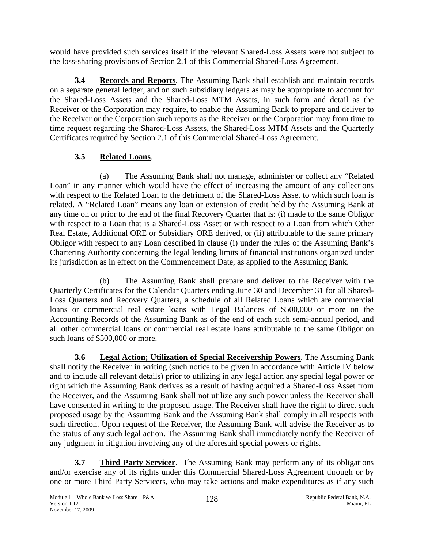would have provided such services itself if the relevant Shared-Loss Assets were not subject to the loss-sharing provisions of Section 2.1 of this Commercial Shared-Loss Agreement.

**3.4 Records and Reports**. The Assuming Bank shall establish and maintain records on a separate general ledger, and on such subsidiary ledgers as may be appropriate to account for the Shared-Loss Assets and the Shared-Loss MTM Assets, in such form and detail as the Receiver or the Corporation may require, to enable the Assuming Bank to prepare and deliver to the Receiver or the Corporation such reports as the Receiver or the Corporation may from time to time request regarding the Shared-Loss Assets, the Shared-Loss MTM Assets and the Quarterly Certificates required by Section 2.1 of this Commercial Shared-Loss Agreement.

# **3.5 Related Loans**.

(a) The Assuming Bank shall not manage, administer or collect any "Related Loan" in any manner which would have the effect of increasing the amount of any collections with respect to the Related Loan to the detriment of the Shared-Loss Asset to which such loan is related. A "Related Loan" means any loan or extension of credit held by the Assuming Bank at any time on or prior to the end of the final Recovery Quarter that is: (i) made to the same Obligor with respect to a Loan that is a Shared-Loss Asset or with respect to a Loan from which Other Real Estate, Additional ORE or Subsidiary ORE derived, or (ii) attributable to the same primary Obligor with respect to any Loan described in clause (i) under the rules of the Assuming Bank's Chartering Authority concerning the legal lending limits of financial institutions organized under its jurisdiction as in effect on the Commencement Date, as applied to the Assuming Bank.

(b) The Assuming Bank shall prepare and deliver to the Receiver with the Quarterly Certificates for the Calendar Quarters ending June 30 and December 31 for all Shared-Loss Quarters and Recovery Quarters, a schedule of all Related Loans which are commercial loans or commercial real estate loans with Legal Balances of \$500,000 or more on the Accounting Records of the Assuming Bank as of the end of each such semi-annual period, and all other commercial loans or commercial real estate loans attributable to the same Obligor on such loans of \$500,000 or more.

**3.6 Legal Action; Utilization of Special Receivership Powers**. The Assuming Bank shall notify the Receiver in writing (such notice to be given in accordance with Article IV below and to include all relevant details) prior to utilizing in any legal action any special legal power or right which the Assuming Bank derives as a result of having acquired a Shared-Loss Asset from the Receiver, and the Assuming Bank shall not utilize any such power unless the Receiver shall have consented in writing to the proposed usage. The Receiver shall have the right to direct such proposed usage by the Assuming Bank and the Assuming Bank shall comply in all respects with such direction. Upon request of the Receiver, the Assuming Bank will advise the Receiver as to the status of any such legal action. The Assuming Bank shall immediately notify the Receiver of any judgment in litigation involving any of the aforesaid special powers or rights.

**3.7 Third Party Servicer**. The Assuming Bank may perform any of its obligations and/or exercise any of its rights under this Commercial Shared-Loss Agreement through or by one or more Third Party Servicers, who may take actions and make expenditures as if any such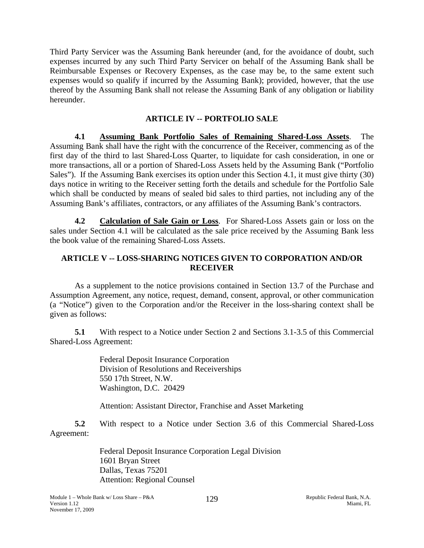Third Party Servicer was the Assuming Bank hereunder (and, for the avoidance of doubt, such expenses incurred by any such Third Party Servicer on behalf of the Assuming Bank shall be Reimbursable Expenses or Recovery Expenses, as the case may be, to the same extent such expenses would so qualify if incurred by the Assuming Bank); provided, however, that the use thereof by the Assuming Bank shall not release the Assuming Bank of any obligation or liability hereunder.

#### **ARTICLE IV -- PORTFOLIO SALE**

**4.1 Assuming Bank Portfolio Sales of Remaining Shared-Loss Assets**. The Assuming Bank shall have the right with the concurrence of the Receiver, commencing as of the first day of the third to last Shared-Loss Quarter, to liquidate for cash consideration, in one or more transactions, all or a portion of Shared-Loss Assets held by the Assuming Bank ("Portfolio Sales"). If the Assuming Bank exercises its option under this Section 4.1, it must give thirty (30) days notice in writing to the Receiver setting forth the details and schedule for the Portfolio Sale which shall be conducted by means of sealed bid sales to third parties, not including any of the Assuming Bank's affiliates, contractors, or any affiliates of the Assuming Bank's contractors.

**4.2 Calculation of Sale Gain or Loss**. For Shared-Loss Assets gain or loss on the sales under Section 4.1 will be calculated as the sale price received by the Assuming Bank less the book value of the remaining Shared-Loss Assets.

## **ARTICLE V -- LOSS-SHARING NOTICES GIVEN TO CORPORATION AND/OR RECEIVER**

As a supplement to the notice provisions contained in Section 13.7 of the Purchase and Assumption Agreement, any notice, request, demand, consent, approval, or other communication (a "Notice") given to the Corporation and/or the Receiver in the loss-sharing context shall be given as follows:

**5.1** With respect to a Notice under Section 2 and Sections 3.1-3.5 of this Commercial Shared-Loss Agreement:

> Federal Deposit Insurance Corporation Division of Resolutions and Receiverships 550 17th Street, N.W. Washington, D.C. 20429

Attention: Assistant Director, Franchise and Asset Marketing

**5.2** With respect to a Notice under Section 3.6 of this Commercial Shared-Loss Agreement:

> Federal Deposit Insurance Corporation Legal Division 1601 Bryan Street Dallas, Texas 75201 Attention: Regional Counsel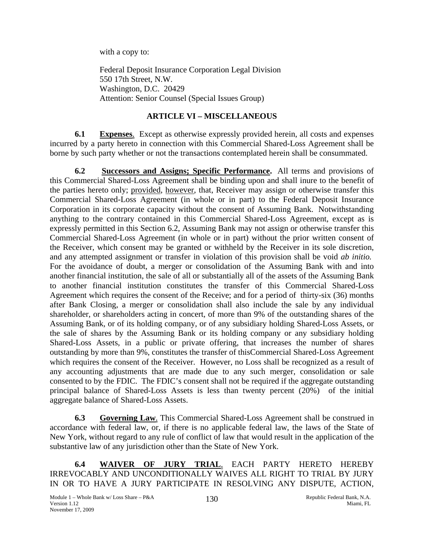with a copy to:

Federal Deposit Insurance Corporation Legal Division 550 17th Street, N.W. Washington, D.C. 20429 Attention: Senior Counsel (Special Issues Group)

# **ARTICLE VI – MISCELLANEOUS**

**6.1 Expenses**. Except as otherwise expressly provided herein, all costs and expenses incurred by a party hereto in connection with this Commercial Shared-Loss Agreement shall be borne by such party whether or not the transactions contemplated herein shall be consummated.

**6.2** Successors and Assigns; Specific Performance. All terms and provisions of this Commercial Shared-Loss Agreement shall be binding upon and shall inure to the benefit of the parties hereto only; provided, however, that, Receiver may assign or otherwise transfer this Commercial Shared-Loss Agreement (in whole or in part) to the Federal Deposit Insurance Corporation in its corporate capacity without the consent of Assuming Bank. Notwithstanding anything to the contrary contained in this Commercial Shared-Loss Agreement, except as is expressly permitted in this Section 6.2, Assuming Bank may not assign or otherwise transfer this Commercial Shared-Loss Agreement (in whole or in part) without the prior written consent of the Receiver, which consent may be granted or withheld by the Receiver in its sole discretion, and any attempted assignment or transfer in violation of this provision shall be void *ab initio.*  For the avoidance of doubt, a merger or consolidation of the Assuming Bank with and into another financial institution, the sale of all or substantially all of the assets of the Assuming Bank to another financial institution constitutes the transfer of this Commercial Shared-Loss Agreement which requires the consent of the Receive; and for a period of thirty-six (36) months after Bank Closing, a merger or consolidation shall also include the sale by any individual shareholder, or shareholders acting in concert, of more than 9% of the outstanding shares of the Assuming Bank, or of its holding company, or of any subsidiary holding Shared-Loss Assets, or the sale of shares by the Assuming Bank or its holding company or any subsidiary holding Shared-Loss Assets, in a public or private offering, that increases the number of shares outstanding by more than 9%, constitutes the transfer of thisCommercial Shared-Loss Agreement which requires the consent of the Receiver. However, no Loss shall be recognized as a result of any accounting adjustments that are made due to any such merger, consolidation or sale consented to by the FDIC. The FDIC's consent shall not be required if the aggregate outstanding principal balance of Shared-Loss Assets is less than twenty percent (20%) of the initial aggregate balance of Shared-Loss Assets.

**6.3 Governing Law**. This Commercial Shared-Loss Agreement shall be construed in accordance with federal law, or, if there is no applicable federal law, the laws of the State of New York, without regard to any rule of conflict of law that would result in the application of the substantive law of any jurisdiction other than the State of New York.

**6.4 WAIVER OF JURY TRIAL**. EACH PARTY HERETO HEREBY IRREVOCABLY AND UNCONDITIONALLY WAIVES ALL RIGHT TO TRIAL BY JURY IN OR TO HAVE A JURY PARTICIPATE IN RESOLVING ANY DISPUTE, ACTION,